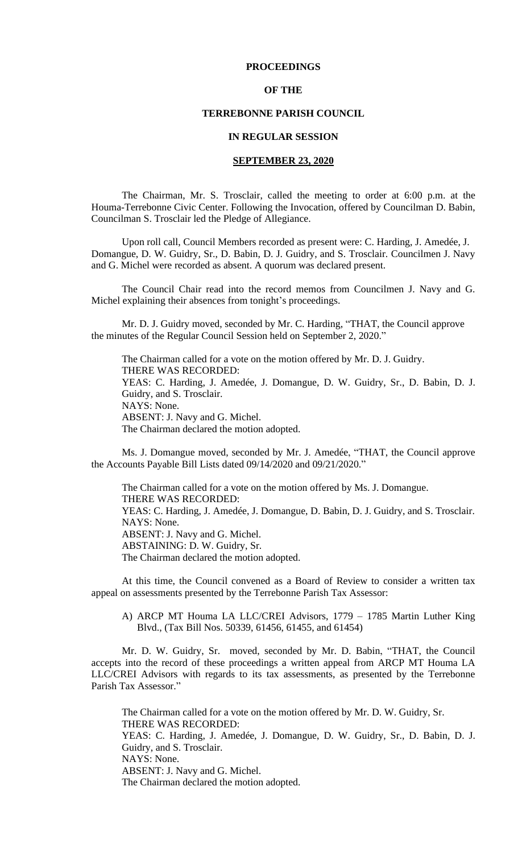## **PROCEEDINGS**

## **OF THE**

#### **TERREBONNE PARISH COUNCIL**

### **IN REGULAR SESSION**

## **SEPTEMBER 23, 2020**

The Chairman, Mr. S. Trosclair, called the meeting to order at 6:00 p.m. at the Houma-Terrebonne Civic Center. Following the Invocation, offered by Councilman D. Babin, Councilman S. Trosclair led the Pledge of Allegiance.

 Upon roll call, Council Members recorded as present were: C. Harding, J. Amedée, J. Domangue, D. W. Guidry, Sr., D. Babin, D. J. Guidry, and S. Trosclair. Councilmen J. Navy and G. Michel were recorded as absent. A quorum was declared present.

The Council Chair read into the record memos from Councilmen J. Navy and G. Michel explaining their absences from tonight's proceedings.

Mr. D. J. Guidry moved, seconded by Mr. C. Harding, "THAT, the Council approve the minutes of the Regular Council Session held on September 2, 2020."

The Chairman called for a vote on the motion offered by Mr. D. J. Guidry. THERE WAS RECORDED: YEAS: C. Harding, J. Amedée, J. Domangue, D. W. Guidry, Sr., D. Babin, D. J. Guidry, and S. Trosclair. NAYS: None. ABSENT: J. Navy and G. Michel. The Chairman declared the motion adopted.

Ms. J. Domangue moved, seconded by Mr. J. Amedée, "THAT, the Council approve the Accounts Payable Bill Lists dated 09/14/2020 and 09/21/2020."

The Chairman called for a vote on the motion offered by Ms. J. Domangue. THERE WAS RECORDED: YEAS: C. Harding, J. Amedée, J. Domangue, D. Babin, D. J. Guidry, and S. Trosclair. NAYS: None. ABSENT: J. Navy and G. Michel. ABSTAINING: D. W. Guidry, Sr. The Chairman declared the motion adopted.

At this time, the Council convened as a Board of Review to consider a written tax appeal on assessments presented by the Terrebonne Parish Tax Assessor:

A) ARCP MT Houma LA LLC/CREI Advisors, 1779 – 1785 Martin Luther King Blvd., (Tax Bill Nos. 50339, 61456, 61455, and 61454)

Mr. D. W. Guidry, Sr. moved, seconded by Mr. D. Babin, "THAT, the Council accepts into the record of these proceedings a written appeal from ARCP MT Houma LA LLC/CREI Advisors with regards to its tax assessments, as presented by the Terrebonne Parish Tax Assessor."

The Chairman called for a vote on the motion offered by Mr. D. W. Guidry, Sr. THERE WAS RECORDED: YEAS: C. Harding, J. Amedée, J. Domangue, D. W. Guidry, Sr., D. Babin, D. J. Guidry, and S. Trosclair. NAYS: None. ABSENT: J. Navy and G. Michel. The Chairman declared the motion adopted.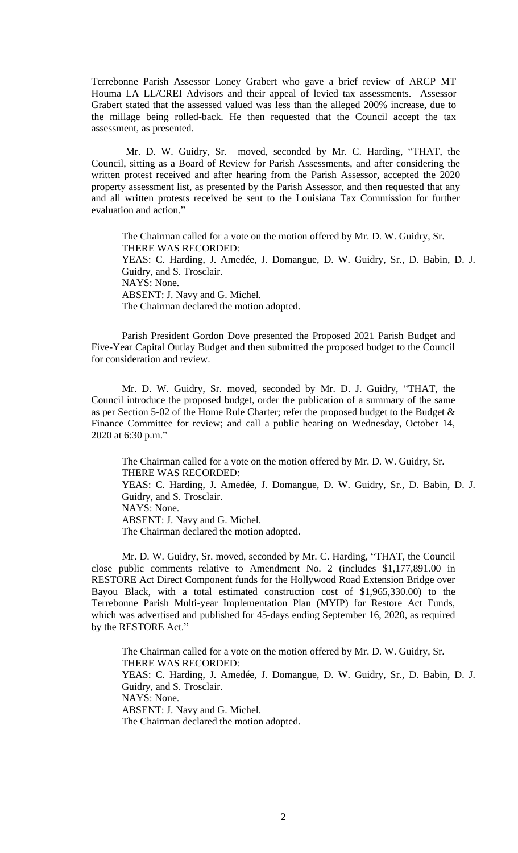Terrebonne Parish Assessor Loney Grabert who gave a brief review of ARCP MT Houma LA LL/CREI Advisors and their appeal of levied tax assessments. Assessor Grabert stated that the assessed valued was less than the alleged 200% increase, due to the millage being rolled-back. He then requested that the Council accept the tax assessment, as presented.

Mr. D. W. Guidry, Sr. moved, seconded by Mr. C. Harding, "THAT, the Council, sitting as a Board of Review for Parish Assessments, and after considering the written protest received and after hearing from the Parish Assessor, accepted the 2020 property assessment list, as presented by the Parish Assessor, and then requested that any and all written protests received be sent to the Louisiana Tax Commission for further evaluation and action."

The Chairman called for a vote on the motion offered by Mr. D. W. Guidry, Sr. THERE WAS RECORDED: YEAS: C. Harding, J. Amedée, J. Domangue, D. W. Guidry, Sr., D. Babin, D. J. Guidry, and S. Trosclair. NAYS: None. ABSENT: J. Navy and G. Michel. The Chairman declared the motion adopted.

Parish President Gordon Dove presented the Proposed 2021 Parish Budget and Five-Year Capital Outlay Budget and then submitted the proposed budget to the Council for consideration and review.

Mr. D. W. Guidry, Sr. moved, seconded by Mr. D. J. Guidry, "THAT, the Council introduce the proposed budget, order the publication of a summary of the same as per Section 5-02 of the Home Rule Charter; refer the proposed budget to the Budget & Finance Committee for review; and call a public hearing on Wednesday, October 14, 2020 at 6:30 p.m."

The Chairman called for a vote on the motion offered by Mr. D. W. Guidry, Sr. THERE WAS RECORDED: YEAS: C. Harding, J. Amedée, J. Domangue, D. W. Guidry, Sr., D. Babin, D. J. Guidry, and S. Trosclair. NAYS: None. ABSENT: J. Navy and G. Michel. The Chairman declared the motion adopted.

Mr. D. W. Guidry, Sr. moved, seconded by Mr. C. Harding, "THAT, the Council close public comments relative to Amendment No. 2 (includes \$1,177,891.00 in RESTORE Act Direct Component funds for the Hollywood Road Extension Bridge over Bayou Black, with a total estimated construction cost of \$1,965,330.00) to the Terrebonne Parish Multi-year Implementation Plan (MYIP) for Restore Act Funds, which was advertised and published for 45-days ending September 16, 2020, as required by the RESTORE Act."

The Chairman called for a vote on the motion offered by Mr. D. W. Guidry, Sr. THERE WAS RECORDED: YEAS: C. Harding, J. Amedée, J. Domangue, D. W. Guidry, Sr., D. Babin, D. J. Guidry, and S. Trosclair. NAYS: None. ABSENT: J. Navy and G. Michel. The Chairman declared the motion adopted.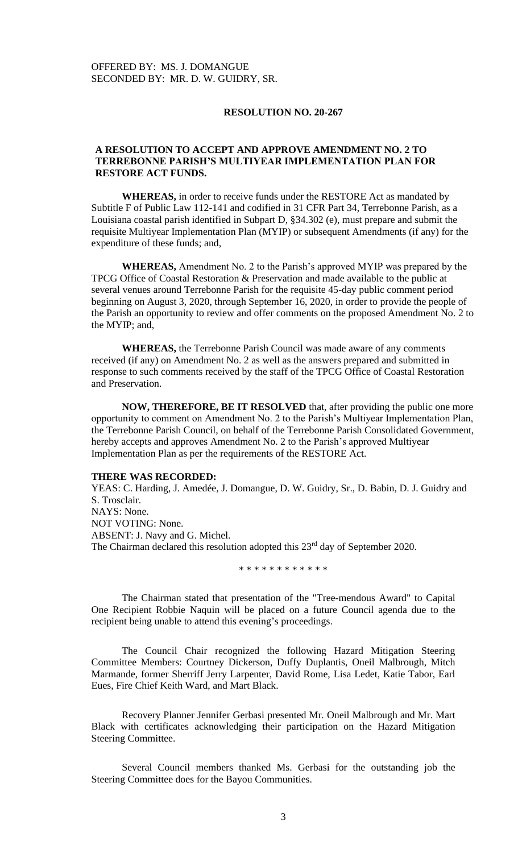### **RESOLUTION NO. 20-267**

# **A RESOLUTION TO ACCEPT AND APPROVE AMENDMENT NO. 2 TO TERREBONNE PARISH'S MULTIYEAR IMPLEMENTATION PLAN FOR RESTORE ACT FUNDS.**

**WHEREAS,** in order to receive funds under the RESTORE Act as mandated by Subtitle F of Public Law 112-141 and codified in 31 CFR Part 34, Terrebonne Parish, as a Louisiana coastal parish identified in Subpart D, §34.302 (e), must prepare and submit the requisite Multiyear Implementation Plan (MYIP) or subsequent Amendments (if any) for the expenditure of these funds; and,

**WHEREAS,** Amendment No. 2 to the Parish's approved MYIP was prepared by the TPCG Office of Coastal Restoration & Preservation and made available to the public at several venues around Terrebonne Parish for the requisite 45-day public comment period beginning on August 3, 2020, through September 16, 2020, in order to provide the people of the Parish an opportunity to review and offer comments on the proposed Amendment No. 2 to the MYIP; and,

**WHEREAS,** the Terrebonne Parish Council was made aware of any comments received (if any) on Amendment No. 2 as well as the answers prepared and submitted in response to such comments received by the staff of the TPCG Office of Coastal Restoration and Preservation.

**NOW, THEREFORE, BE IT RESOLVED** that, after providing the public one more opportunity to comment on Amendment No. 2 to the Parish's Multiyear Implementation Plan, the Terrebonne Parish Council, on behalf of the Terrebonne Parish Consolidated Government, hereby accepts and approves Amendment No. 2 to the Parish's approved Multiyear Implementation Plan as per the requirements of the RESTORE Act.

#### **THERE WAS RECORDED:**

YEAS: C. Harding, J. Amedée, J. Domangue, D. W. Guidry, Sr., D. Babin, D. J. Guidry and S. Trosclair. NAYS: None. NOT VOTING: None. ABSENT: J. Navy and G. Michel. The Chairman declared this resolution adopted this 23<sup>rd</sup> day of September 2020.

\* \* \* \* \* \* \* \* \* \* \* \*

The Chairman stated that presentation of the "Tree-mendous Award" to Capital One Recipient Robbie Naquin will be placed on a future Council agenda due to the recipient being unable to attend this evening's proceedings.

The Council Chair recognized the following Hazard Mitigation Steering Committee Members: Courtney Dickerson, Duffy Duplantis, Oneil Malbrough, Mitch Marmande, former Sherriff Jerry Larpenter, David Rome, Lisa Ledet, Katie Tabor, Earl Eues, Fire Chief Keith Ward, and Mart Black.

Recovery Planner Jennifer Gerbasi presented Mr. Oneil Malbrough and Mr. Mart Black with certificates acknowledging their participation on the Hazard Mitigation Steering Committee.

Several Council members thanked Ms. Gerbasi for the outstanding job the Steering Committee does for the Bayou Communities.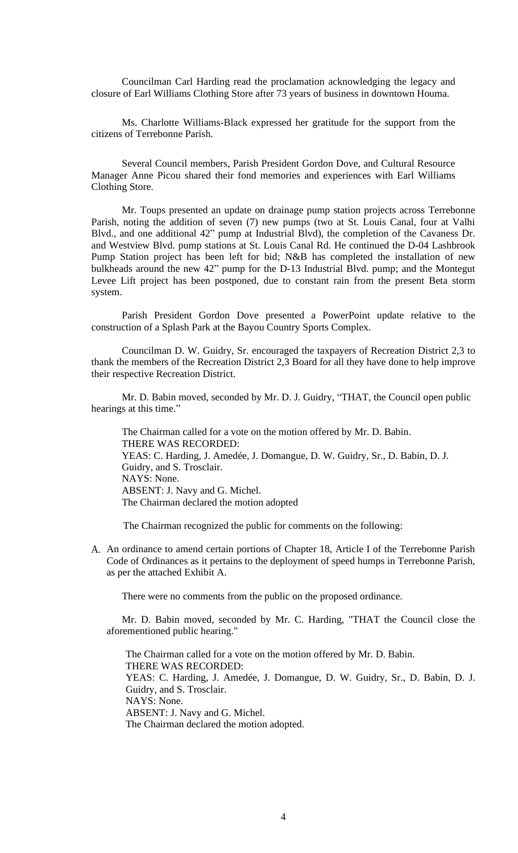Councilman Carl Harding read the proclamation acknowledging the legacy and closure of Earl Williams Clothing Store after 73 years of business in downtown Houma.

Ms. Charlotte Williams-Black expressed her gratitude for the support from the citizens of Terrebonne Parish.

Several Council members, Parish President Gordon Dove, and Cultural Resource Manager Anne Picou shared their fond memories and experiences with Earl Williams Clothing Store.

Mr. Toups presented an update on drainage pump station projects across Terrebonne Parish, noting the addition of seven (7) new pumps (two at St. Louis Canal, four at Valhi Blvd., and one additional 42" pump at Industrial Blvd), the completion of the Cavaness Dr. and Westview Blvd. pump stations at St. Louis Canal Rd. He continued the D-04 Lashbrook Pump Station project has been left for bid; N&B has completed the installation of new bulkheads around the new 42" pump for the D-13 Industrial Blvd. pump; and the Montegut Levee Lift project has been postponed, due to constant rain from the present Beta storm system.

Parish President Gordon Dove presented a PowerPoint update relative to the construction of a Splash Park at the Bayou Country Sports Complex.

Councilman D. W. Guidry, Sr. encouraged the taxpayers of Recreation District 2,3 to thank the members of the Recreation District 2,3 Board for all they have done to help improve their respective Recreation District.

Mr. D. Babin moved, seconded by Mr. D. J. Guidry, "THAT, the Council open public hearings at this time."

The Chairman called for a vote on the motion offered by Mr. D. Babin. THERE WAS RECORDED: YEAS: C. Harding, J. Amedée, J. Domangue, D. W. Guidry, Sr., D. Babin, D. J. Guidry, and S. Trosclair. NAYS: None. ABSENT: J. Navy and G. Michel. The Chairman declared the motion adopted

The Chairman recognized the public for comments on the following:

A. An ordinance to amend certain portions of Chapter 18, Article I of the Terrebonne Parish Code of Ordinances as it pertains to the deployment of speed humps in Terrebonne Parish, as per the attached Exhibit A.

There were no comments from the public on the proposed ordinance.

Mr. D. Babin moved, seconded by Mr. C. Harding, "THAT the Council close the aforementioned public hearing."

The Chairman called for a vote on the motion offered by Mr. D. Babin. THERE WAS RECORDED: YEAS: C. Harding, J. Amedée, J. Domangue, D. W. Guidry, Sr., D. Babin, D. J. Guidry, and S. Trosclair. NAYS: None. ABSENT: J. Navy and G. Michel. The Chairman declared the motion adopted.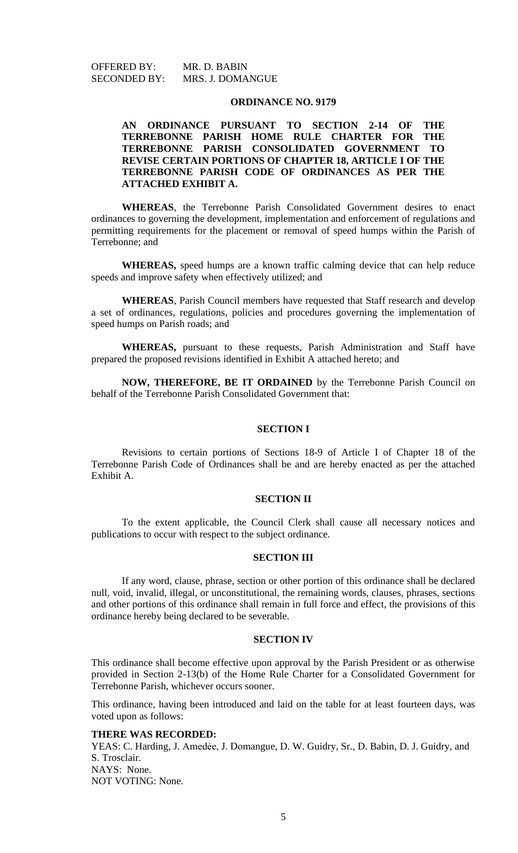OFFERED BY: MR. D. BABIN SECONDED BY: MRS. J. DOMANGUE

### **ORDINANCE NO. 9179**

# **AN ORDINANCE PURSUANT TO SECTION 2-14 OF THE TERREBONNE PARISH HOME RULE CHARTER FOR THE TERREBONNE PARISH CONSOLIDATED GOVERNMENT TO REVISE CERTAIN PORTIONS OF CHAPTER 18, ARTICLE I OF THE TERREBONNE PARISH CODE OF ORDINANCES AS PER THE ATTACHED EXHIBIT A.**

**WHEREAS**, the Terrebonne Parish Consolidated Government desires to enact ordinances to governing the development, implementation and enforcement of regulations and permitting requirements for the placement or removal of speed humps within the Parish of Terrebonne; and

**WHEREAS,** speed humps are a known traffic calming device that can help reduce speeds and improve safety when effectively utilized; and

**WHEREAS**, Parish Council members have requested that Staff research and develop a set of ordinances, regulations, policies and procedures governing the implementation of speed humps on Parish roads; and

**WHEREAS,** pursuant to these requests, Parish Administration and Staff have prepared the proposed revisions identified in Exhibit A attached hereto; and

**NOW, THEREFORE, BE IT ORDAINED** by the Terrebonne Parish Council on behalf of the Terrebonne Parish Consolidated Government that:

### **SECTION I**

Revisions to certain portions of Sections 18-9 of Article I of Chapter 18 of the Terrebonne Parish Code of Ordinances shall be and are hereby enacted as per the attached Exhibit A.

# **SECTION II**

To the extent applicable, the Council Clerk shall cause all necessary notices and publications to occur with respect to the subject ordinance.

### **SECTION III**

If any word, clause, phrase, section or other portion of this ordinance shall be declared null, void, invalid, illegal, or unconstitutional, the remaining words, clauses, phrases, sections and other portions of this ordinance shall remain in full force and effect, the provisions of this ordinance hereby being declared to be severable.

#### **SECTION IV**

This ordinance shall become effective upon approval by the Parish President or as otherwise provided in Section 2-13(b) of the Home Rule Charter for a Consolidated Government for Terrebonne Parish, whichever occurs sooner.

This ordinance, having been introduced and laid on the table for at least fourteen days, was voted upon as follows:

### **THERE WAS RECORDED:**

YEAS: C. Harding, J. Amedée, J. Domangue, D. W. Guidry, Sr., D. Babin, D. J. Guidry, and S. Trosclair. NAYS: None. NOT VOTING: None.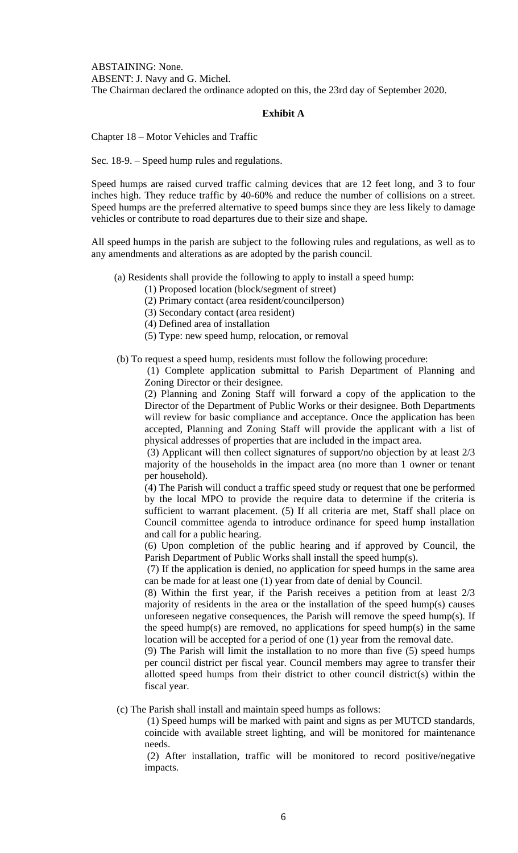ABSTAINING: None. ABSENT: J. Navy and G. Michel. The Chairman declared the ordinance adopted on this, the 23rd day of September 2020.

# **Exhibit A**

Chapter 18 – Motor Vehicles and Traffic

Sec. 18-9. – Speed hump rules and regulations.

Speed humps are raised curved traffic calming devices that are 12 feet long, and 3 to four inches high. They reduce traffic by 40-60% and reduce the number of collisions on a street. Speed humps are the preferred alternative to speed bumps since they are less likely to damage vehicles or contribute to road departures due to their size and shape.

All speed humps in the parish are subject to the following rules and regulations, as well as to any amendments and alterations as are adopted by the parish council.

(a) Residents shall provide the following to apply to install a speed hump:

(1) Proposed location (block/segment of street)

(2) Primary contact (area resident/councilperson)

(3) Secondary contact (area resident)

(4) Defined area of installation

(5) Type: new speed hump, relocation, or removal

(b) To request a speed hump, residents must follow the following procedure:

(1) Complete application submittal to Parish Department of Planning and Zoning Director or their designee.

(2) Planning and Zoning Staff will forward a copy of the application to the Director of the Department of Public Works or their designee. Both Departments will review for basic compliance and acceptance. Once the application has been accepted, Planning and Zoning Staff will provide the applicant with a list of physical addresses of properties that are included in the impact area.

(3) Applicant will then collect signatures of support/no objection by at least 2/3 majority of the households in the impact area (no more than 1 owner or tenant per household).

(4) The Parish will conduct a traffic speed study or request that one be performed by the local MPO to provide the require data to determine if the criteria is sufficient to warrant placement. (5) If all criteria are met, Staff shall place on Council committee agenda to introduce ordinance for speed hump installation and call for a public hearing.

(6) Upon completion of the public hearing and if approved by Council, the Parish Department of Public Works shall install the speed hump(s).

(7) If the application is denied, no application for speed humps in the same area can be made for at least one (1) year from date of denial by Council.

(8) Within the first year, if the Parish receives a petition from at least 2/3 majority of residents in the area or the installation of the speed hump(s) causes unforeseen negative consequences, the Parish will remove the speed hump(s). If the speed hump(s) are removed, no applications for speed hump(s) in the same location will be accepted for a period of one (1) year from the removal date.

(9) The Parish will limit the installation to no more than five (5) speed humps per council district per fiscal year. Council members may agree to transfer their allotted speed humps from their district to other council district(s) within the fiscal year.

(c) The Parish shall install and maintain speed humps as follows:

(1) Speed humps will be marked with paint and signs as per MUTCD standards, coincide with available street lighting, and will be monitored for maintenance needs.

(2) After installation, traffic will be monitored to record positive/negative impacts.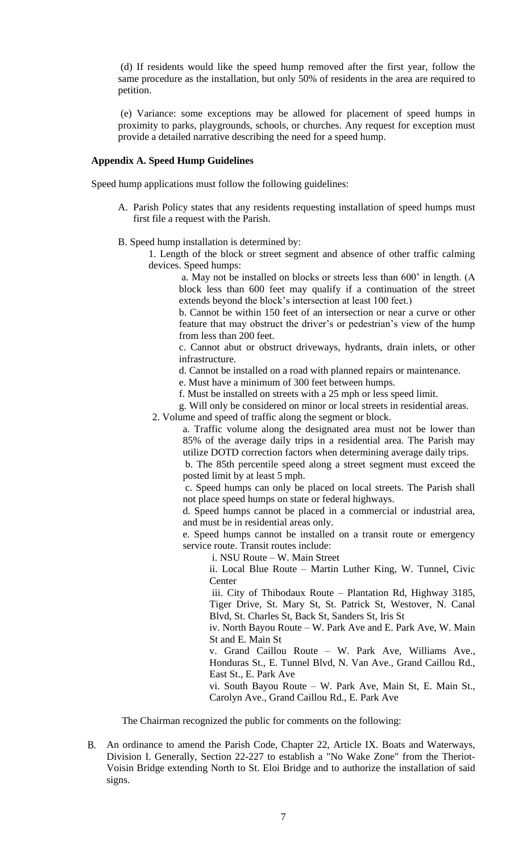(d) If residents would like the speed hump removed after the first year, follow the same procedure as the installation, but only 50% of residents in the area are required to petition.

(e) Variance: some exceptions may be allowed for placement of speed humps in proximity to parks, playgrounds, schools, or churches. Any request for exception must provide a detailed narrative describing the need for a speed hump.

# **Appendix A. Speed Hump Guidelines**

Speed hump applications must follow the following guidelines:

- A. Parish Policy states that any residents requesting installation of speed humps must first file a request with the Parish.
- B. Speed hump installation is determined by:
	- 1. Length of the block or street segment and absence of other traffic calming devices. Speed humps:

a. May not be installed on blocks or streets less than 600' in length. (A block less than 600 feet may qualify if a continuation of the street extends beyond the block's intersection at least 100 feet.)

b. Cannot be within 150 feet of an intersection or near a curve or other feature that may obstruct the driver's or pedestrian's view of the hump from less than 200 feet.

c. Cannot abut or obstruct driveways, hydrants, drain inlets, or other infrastructure.

d. Cannot be installed on a road with planned repairs or maintenance.

e. Must have a minimum of 300 feet between humps.

f. Must be installed on streets with a 25 mph or less speed limit.

g. Will only be considered on minor or local streets in residential areas. 2. Volume and speed of traffic along the segment or block.

a. Traffic volume along the designated area must not be lower than 85% of the average daily trips in a residential area. The Parish may utilize DOTD correction factors when determining average daily trips.

b. The 85th percentile speed along a street segment must exceed the posted limit by at least 5 mph.

c. Speed humps can only be placed on local streets. The Parish shall not place speed humps on state or federal highways.

d. Speed humps cannot be placed in a commercial or industrial area, and must be in residential areas only.

e. Speed humps cannot be installed on a transit route or emergency service route. Transit routes include:

i. NSU Route – W. Main Street

ii. Local Blue Route – Martin Luther King, W. Tunnel, Civic **Center** 

iii. City of Thibodaux Route – Plantation Rd, Highway 3185, Tiger Drive, St. Mary St, St. Patrick St, Westover, N. Canal Blvd, St. Charles St, Back St, Sanders St, Iris St

iv. North Bayou Route – W. Park Ave and E. Park Ave, W. Main St and E. Main St

v. Grand Caillou Route – W. Park Ave, Williams Ave., Honduras St., E. Tunnel Blvd, N. Van Ave., Grand Caillou Rd., East St., E. Park Ave

vi. South Bayou Route – W. Park Ave, Main St, E. Main St., Carolyn Ave., Grand Caillou Rd., E. Park Ave

The Chairman recognized the public for comments on the following:

B. An ordinance to amend the Parish Code, Chapter 22, Article IX. Boats and Waterways, Division I. Generally, Section 22-227 to establish a "No Wake Zone" from the Theriot-Voisin Bridge extending North to St. Eloi Bridge and to authorize the installation of said signs.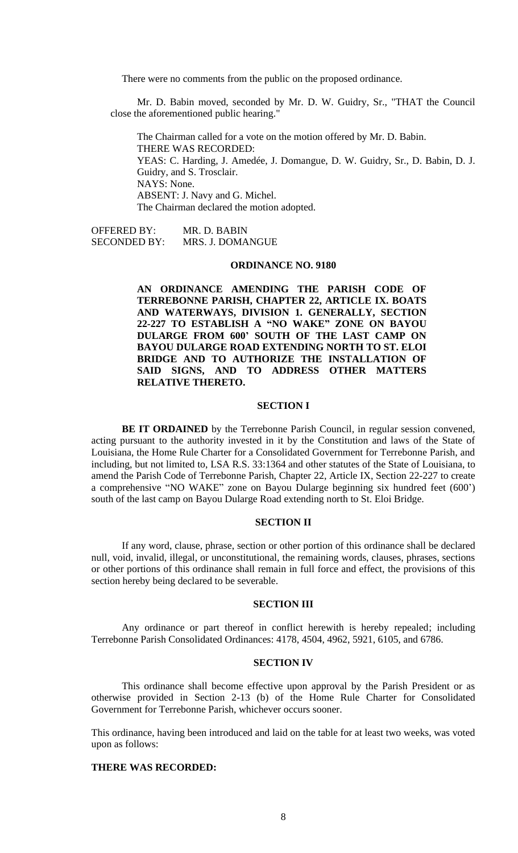There were no comments from the public on the proposed ordinance.

Mr. D. Babin moved, seconded by Mr. D. W. Guidry, Sr., "THAT the Council close the aforementioned public hearing."

The Chairman called for a vote on the motion offered by Mr. D. Babin. THERE WAS RECORDED: YEAS: C. Harding, J. Amedée, J. Domangue, D. W. Guidry, Sr., D. Babin, D. J. Guidry, and S. Trosclair. NAYS: None. ABSENT: J. Navy and G. Michel. The Chairman declared the motion adopted.

OFFERED BY: MR. D. BABIN SECONDED BY: MRS. J. DOMANGUE

### **ORDINANCE NO. 9180**

**AN ORDINANCE AMENDING THE PARISH CODE OF TERREBONNE PARISH, CHAPTER 22, ARTICLE IX. BOATS AND WATERWAYS, DIVISION 1. GENERALLY, SECTION 22-227 TO ESTABLISH A "NO WAKE" ZONE ON BAYOU DULARGE FROM 600' SOUTH OF THE LAST CAMP ON BAYOU DULARGE ROAD EXTENDING NORTH TO ST. ELOI BRIDGE AND TO AUTHORIZE THE INSTALLATION OF SAID SIGNS, AND TO ADDRESS OTHER MATTERS RELATIVE THERETO.**

## **SECTION I**

**BE IT ORDAINED** by the Terrebonne Parish Council, in regular session convened, acting pursuant to the authority invested in it by the Constitution and laws of the State of Louisiana, the Home Rule Charter for a Consolidated Government for Terrebonne Parish, and including, but not limited to, LSA R.S. 33:1364 and other statutes of the State of Louisiana, to amend the Parish Code of Terrebonne Parish, Chapter 22, Article IX, Section 22-227 to create a comprehensive "NO WAKE" zone on Bayou Dularge beginning six hundred feet (600') south of the last camp on Bayou Dularge Road extending north to St. Eloi Bridge.

## **SECTION II**

If any word, clause, phrase, section or other portion of this ordinance shall be declared null, void, invalid, illegal, or unconstitutional, the remaining words, clauses, phrases, sections or other portions of this ordinance shall remain in full force and effect, the provisions of this section hereby being declared to be severable.

#### **SECTION III**

Any ordinance or part thereof in conflict herewith is hereby repealed; including Terrebonne Parish Consolidated Ordinances: 4178, 4504, 4962, 5921, 6105, and 6786.

#### **SECTION IV**

This ordinance shall become effective upon approval by the Parish President or as otherwise provided in Section 2-13 (b) of the Home Rule Charter for Consolidated Government for Terrebonne Parish, whichever occurs sooner.

This ordinance, having been introduced and laid on the table for at least two weeks, was voted upon as follows:

## **THERE WAS RECORDED:**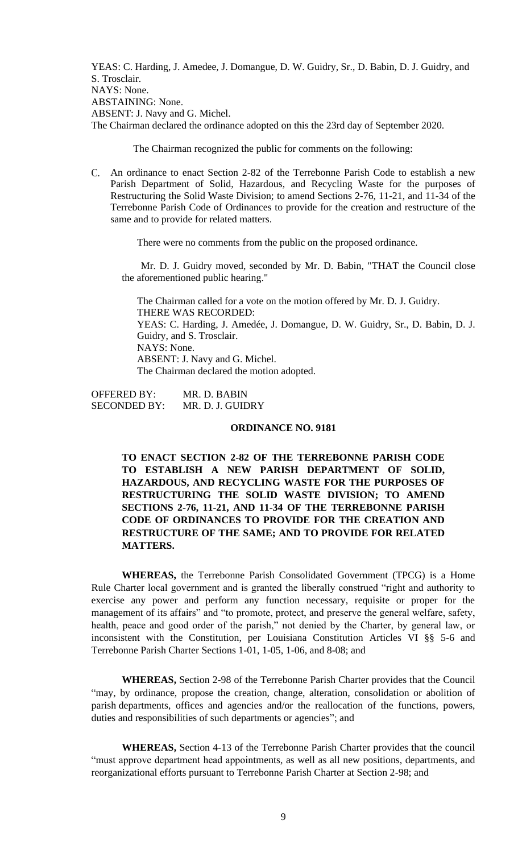YEAS: C. Harding, J. Amedee, J. Domangue, D. W. Guidry, Sr., D. Babin, D. J. Guidry, and S. Trosclair. NAYS: None. ABSTAINING: None. ABSENT: J. Navy and G. Michel. The Chairman declared the ordinance adopted on this the 23rd day of September 2020.

The Chairman recognized the public for comments on the following:

C. An ordinance to enact Section 2-82 of the Terrebonne Parish Code to establish a new Parish Department of Solid, Hazardous, and Recycling Waste for the purposes of Restructuring the Solid Waste Division; to amend Sections 2-76, 11-21, and 11-34 of the Terrebonne Parish Code of Ordinances to provide for the creation and restructure of the same and to provide for related matters.

There were no comments from the public on the proposed ordinance.

Mr. D. J. Guidry moved, seconded by Mr. D. Babin, "THAT the Council close the aforementioned public hearing."

The Chairman called for a vote on the motion offered by Mr. D. J. Guidry. THERE WAS RECORDED: YEAS: C. Harding, J. Amedée, J. Domangue, D. W. Guidry, Sr., D. Babin, D. J. Guidry, and S. Trosclair. NAYS: None. ABSENT: J. Navy and G. Michel. The Chairman declared the motion adopted.

OFFERED BY: MR. D. BABIN SECONDED BY: MR. D. J. GUIDRY

## **ORDINANCE NO. 9181**

**TO ENACT SECTION 2-82 OF THE TERREBONNE PARISH CODE TO ESTABLISH A NEW PARISH DEPARTMENT OF SOLID, HAZARDOUS, AND RECYCLING WASTE FOR THE PURPOSES OF RESTRUCTURING THE SOLID WASTE DIVISION; TO AMEND SECTIONS 2-76, 11-21, AND 11-34 OF THE TERREBONNE PARISH CODE OF ORDINANCES TO PROVIDE FOR THE CREATION AND RESTRUCTURE OF THE SAME; AND TO PROVIDE FOR RELATED MATTERS.**

**WHEREAS,** the Terrebonne Parish Consolidated Government (TPCG) is a Home Rule Charter local government and is granted the liberally construed "right and authority to exercise any power and perform any function necessary, requisite or proper for the management of its affairs" and "to promote, protect, and preserve the general welfare, safety, health, peace and good order of the parish," not denied by the Charter, by general law, or inconsistent with the Constitution, per Louisiana Constitution Articles VI §§ 5-6 and Terrebonne Parish Charter Sections 1-01, 1-05, 1-06, and 8-08; and

**WHEREAS,** Section 2-98 of the Terrebonne Parish Charter provides that the Council "may, by ordinance, propose the creation, change, alteration, consolidation or abolition of parish departments, offices and agencies and/or the reallocation of the functions, powers, duties and responsibilities of such departments or agencies"; and

**WHEREAS,** Section 4-13 of the Terrebonne Parish Charter provides that the council "must approve department head appointments, as well as all new positions, departments, and reorganizational efforts pursuant to Terrebonne Parish Charter at Section 2-98; and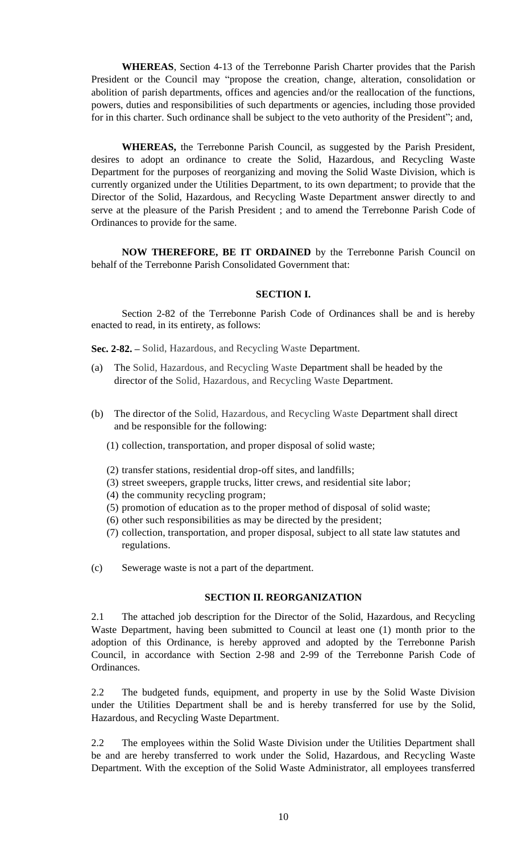**WHEREAS**, Section 4-13 of the Terrebonne Parish Charter provides that the Parish President or the Council may "propose the creation, change, alteration, consolidation or abolition of parish departments, offices and agencies and/or the reallocation of the functions, powers, duties and responsibilities of such departments or agencies, including those provided for in this charter. Such ordinance shall be subject to the veto authority of the President"; and,

**WHEREAS,** the Terrebonne Parish Council, as suggested by the Parish President, desires to adopt an ordinance to create the Solid, Hazardous, and Recycling Waste Department for the purposes of reorganizing and moving the Solid Waste Division, which is currently organized under the Utilities Department, to its own department; to provide that the Director of the Solid, Hazardous, and Recycling Waste Department answer directly to and serve at the pleasure of the Parish President ; and to amend the Terrebonne Parish Code of Ordinances to provide for the same.

**NOW THEREFORE, BE IT ORDAINED** by the Terrebonne Parish Council on behalf of the Terrebonne Parish Consolidated Government that:

## **SECTION I.**

Section 2-82 of the Terrebonne Parish Code of Ordinances shall be and is hereby enacted to read, in its entirety, as follows:

**Sec. 2-82. –** Solid, Hazardous, and Recycling Waste Department.

- (a) The Solid, Hazardous, and Recycling Waste Department shall be headed by the director of the Solid, Hazardous, and Recycling Waste Department.
- (b) The director of the Solid, Hazardous, and Recycling Waste Department shall direct and be responsible for the following:
	- (1) collection, transportation, and proper disposal of solid waste;
	- (2) transfer stations, residential drop-off sites, and landfills;
	- (3) street sweepers, grapple trucks, litter crews, and residential site labor;
	- (4) the community recycling program;
	- (5) promotion of education as to the proper method of disposal of solid waste;
	- (6) other such responsibilities as may be directed by the president;
	- (7) collection, transportation, and proper disposal, subject to all state law statutes and regulations.
- (c) Sewerage waste is not a part of the department.

### **SECTION II. REORGANIZATION**

2.1 The attached job description for the Director of the Solid, Hazardous, and Recycling Waste Department, having been submitted to Council at least one (1) month prior to the adoption of this Ordinance, is hereby approved and adopted by the Terrebonne Parish Council, in accordance with Section 2-98 and 2-99 of the Terrebonne Parish Code of Ordinances.

2.2 The budgeted funds, equipment, and property in use by the Solid Waste Division under the Utilities Department shall be and is hereby transferred for use by the Solid, Hazardous, and Recycling Waste Department.

2.2 The employees within the Solid Waste Division under the Utilities Department shall be and are hereby transferred to work under the Solid, Hazardous, and Recycling Waste Department. With the exception of the Solid Waste Administrator, all employees transferred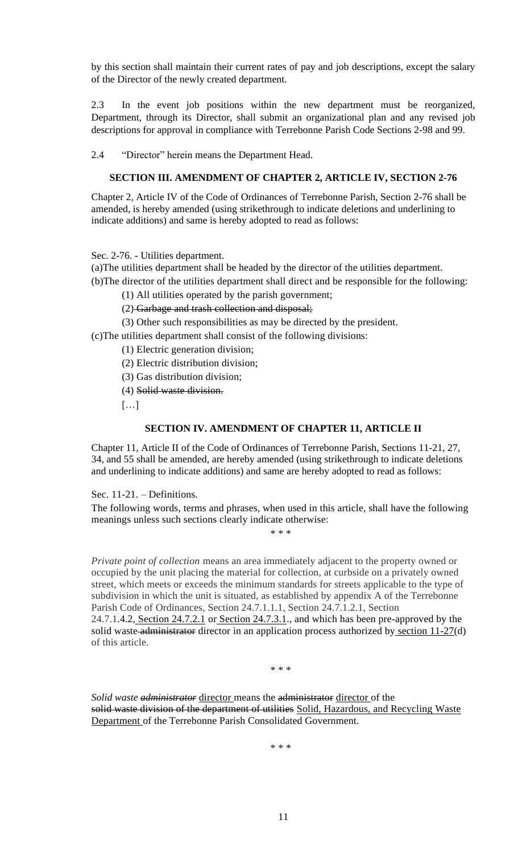by this section shall maintain their current rates of pay and job descriptions, except the salary of the Director of the newly created department.

2.3 In the event job positions within the new department must be reorganized, Department, through its Director, shall submit an organizational plan and any revised job descriptions for approval in compliance with Terrebonne Parish Code Sections 2-98 and 99.

2.4 "Director" herein means the Department Head.

# **SECTION III. AMENDMENT OF CHAPTER 2, ARTICLE IV, SECTION 2-76**

Chapter 2, Article IV of the Code of Ordinances of Terrebonne Parish, Section 2-76 shall be amended, is hereby amended (using strikethrough to indicate deletions and underlining to indicate additions) and same is hereby adopted to read as follows:

Sec. 2-76. - Utilities department.

(a)The utilities department shall be headed by the director of the utilities department.

(b)The director of the utilities department shall direct and be responsible for the following:

(1) All utilities operated by the parish government;

(2) Garbage and trash collection and disposal;

(3) Other such responsibilities as may be directed by the president.

(c)The utilities department shall consist of the following divisions:

(1) Electric generation division;

(2) Electric distribution division;

(3) Gas distribution division;

(4) Solid waste division.

[…]

# **SECTION IV. AMENDMENT OF CHAPTER 11, ARTICLE II**

Chapter 11, Article II of the Code of Ordinances of Terrebonne Parish, Sections 11-21, 27, 34, and 55 shall be amended, are hereby amended (using strikethrough to indicate deletions and underlining to indicate additions) and same are hereby adopted to read as follows:

Sec. 11-21. – Definitions.

The following words, terms and phrases, when used in this article, shall have the following meanings unless such sections clearly indicate otherwise:

\* \* \*

*Private point of collection* means an area immediately adjacent to the property owned or occupied by the unit placing the material for collection, at curbside on a privately owned street, which meets or exceeds the minimum standards for streets applicable to the type of subdivision in which the unit is situated, as established by appendix A of the Terrebonne Parish Code of Ordinances, Section 24.7.1.1.1, Section 24.7.1.2.1, Section  $24.7.1.4.2$ , Section  $24.7.2.1$  or Section  $24.7.3.1$ ., and which has been pre-approved by the solid waste administrator director in an application process authorized by section  $11-27(d)$ of this article.

\* \* \*

*Solid waste administrator* director means the administrator director of the solid waste division of the department of utilities Solid, Hazardous, and Recycling Waste Department of the Terrebonne Parish Consolidated Government.

\* \* \*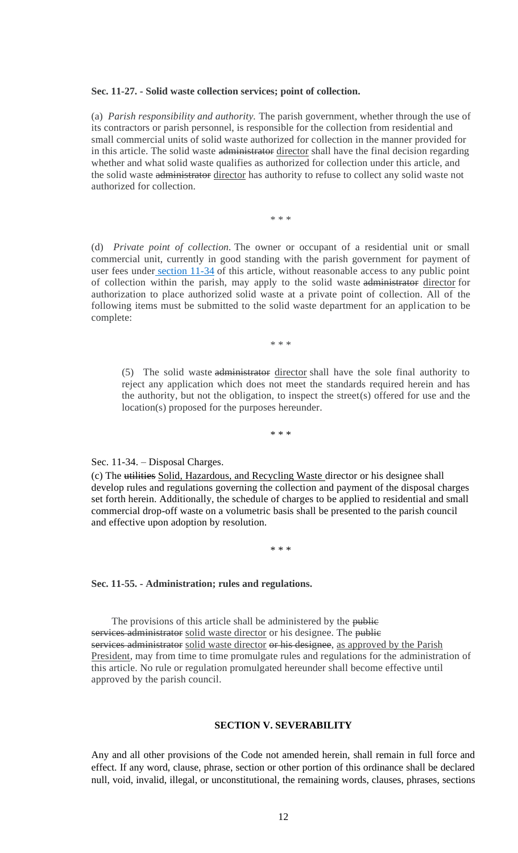#### **Sec. 11-27. - Solid waste collection services; point of collection.**

(a) *Parish responsibility and authority.* The parish government, whether through the use of its contractors or parish personnel, is responsible for the collection from residential and small commercial units of solid waste authorized for collection in the manner provided for in this article. The solid waste administrator director shall have the final decision regarding whether and what solid waste qualifies as authorized for collection under this article, and the solid waste administrator director has authority to refuse to collect any solid waste not authorized for collection.

\* \* \*

(d) *Private point of collection.* The owner or occupant of a residential unit or small commercial unit, currently in good standing with the parish government for payment of user fees under [section 11-34](https://library.municode.com/la/terrebonne_parish/codes/code_of_ordinances?nodeId=PTIIPACO_CH11GATRHAWAWE_ARTIICOSOWAMAPR_S11-34DICH) of this article, without reasonable access to any public point of collection within the parish, may apply to the solid waste administrator director for authorization to place authorized solid waste at a private point of collection. All of the following items must be submitted to the solid waste department for an application to be complete:

\* \* \*

(5) The solid waste administrator director shall have the sole final authority to reject any application which does not meet the standards required herein and has the authority, but not the obligation, to inspect the street(s) offered for use and the location(s) proposed for the purposes hereunder.

\* \* \*

#### Sec. 11-34. – Disposal Charges.

(c) The utilities Solid, Hazardous, and Recycling Waste director or his designee shall develop rules and regulations governing the collection and payment of the disposal charges set forth herein. Additionally, the schedule of charges to be applied to residential and small commercial drop-off waste on a volumetric basis shall be presented to the parish council and effective upon adoption by resolution.

\* \* \*

## **Sec. 11-55. - Administration; rules and regulations.**

The provisions of this article shall be administered by the public services administrator solid waste director or his designee. The public services administrator solid waste director or his designee, as approved by the Parish President, may from time to time promulgate rules and regulations for the administration of this article. No rule or regulation promulgated hereunder shall become effective until approved by the parish council.

## **SECTION V. SEVERABILITY**

Any and all other provisions of the Code not amended herein, shall remain in full force and effect. If any word, clause, phrase, section or other portion of this ordinance shall be declared null, void, invalid, illegal, or unconstitutional, the remaining words, clauses, phrases, sections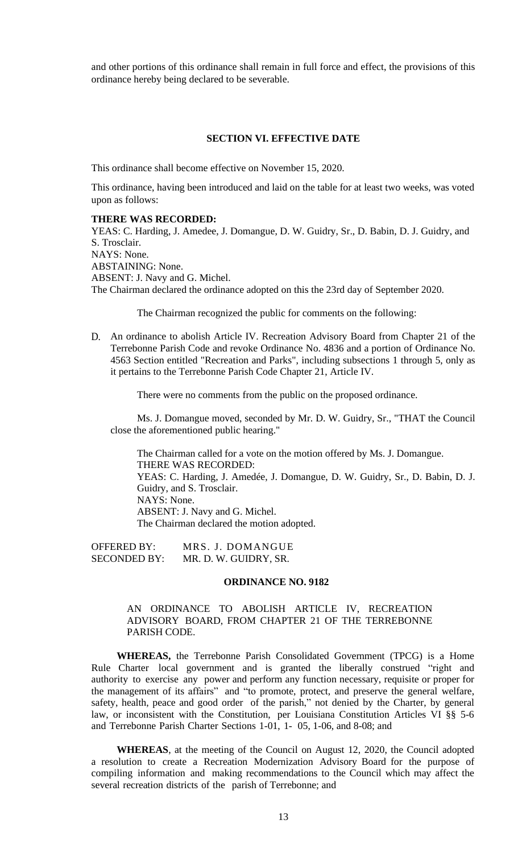and other portions of this ordinance shall remain in full force and effect, the provisions of this ordinance hereby being declared to be severable.

# **SECTION VI. EFFECTIVE DATE**

This ordinance shall become effective on November 15, 2020.

This ordinance, having been introduced and laid on the table for at least two weeks, was voted upon as follows:

#### **THERE WAS RECORDED:**

YEAS: C. Harding, J. Amedee, J. Domangue, D. W. Guidry, Sr., D. Babin, D. J. Guidry, and S. Trosclair. NAYS: None. ABSTAINING: None. ABSENT: J. Navy and G. Michel. The Chairman declared the ordinance adopted on this the 23rd day of September 2020.

The Chairman recognized the public for comments on the following:

D. An ordinance to abolish Article IV. Recreation Advisory Board from Chapter 21 of the Terrebonne Parish Code and revoke Ordinance No. 4836 and a portion of Ordinance No. 4563 Section entitled "Recreation and Parks", including subsections 1 through 5, only as it pertains to the Terrebonne Parish Code Chapter 21, Article IV.

There were no comments from the public on the proposed ordinance.

Ms. J. Domangue moved, seconded by Mr. D. W. Guidry, Sr., "THAT the Council close the aforementioned public hearing."

The Chairman called for a vote on the motion offered by Ms. J. Domangue. THERE WAS RECORDED: YEAS: C. Harding, J. Amedée, J. Domangue, D. W. Guidry, Sr., D. Babin, D. J. Guidry, and S. Trosclair. NAYS: None. ABSENT: J. Navy and G. Michel. The Chairman declared the motion adopted.

OFFERED BY: MRS. J. DOMANGUE SECONDED BY: MR. D. W. GUIDRY, SR.

#### **ORDINANCE NO. 9182**

# AN ORDINANCE TO ABOLISH ARTICLE IV, RECREATION ADVISORY BOARD, FROM CHAPTER 21 OF THE TERREBONNE PARISH CODE.

**WHEREAS,** the Terrebonne Parish Consolidated Government (TPCG) is a Home Rule Charter local government and is granted the liberally construed "right and authority to exercise any power and perform any function necessary, requisite or proper for the management of its affairs" and "to promote, protect, and preserve the general welfare, safety, health, peace and good order of the parish," not denied by the Charter, by general law, or inconsistent with the Constitution, per Louisiana Constitution Articles VI §§ 5-6 and Terrebonne Parish Charter Sections 1-01, 1- 05, 1-06, and 8-08; and

**WHEREAS**, at the meeting of the Council on August 12, 2020, the Council adopted a resolution to create a Recreation Modernization Advisory Board for the purpose of compiling information and making recommendations to the Council which may affect the several recreation districts of the parish of Terrebonne; and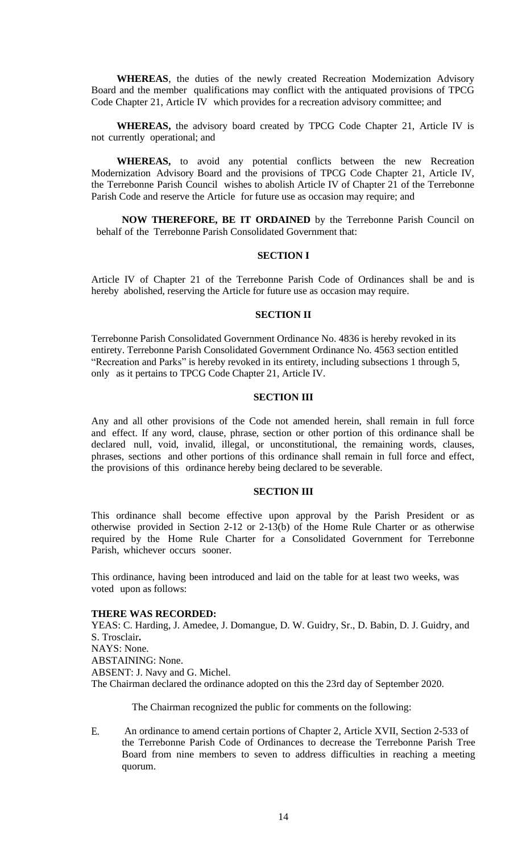**WHEREAS**, the duties of the newly created Recreation Modernization Advisory Board and the member qualifications may conflict with the antiquated provisions of TPCG Code Chapter 21, Article IV which provides for a recreation advisory committee; and

**WHEREAS,** the advisory board created by TPCG Code Chapter 21, Article IV is not currently operational; and

**WHEREAS,** to avoid any potential conflicts between the new Recreation Modernization Advisory Board and the provisions of TPCG Code Chapter 21, Article IV, the Terrebonne Parish Council wishes to abolish Article IV of Chapter 21 of the Terrebonne Parish Code and reserve the Article for future use as occasion may require; and

**NOW THEREFORE, BE IT ORDAINED** by the Terrebonne Parish Council on behalf of the Terrebonne Parish Consolidated Government that:

#### **SECTION I**

Article IV of Chapter 21 of the Terrebonne Parish Code of Ordinances shall be and is hereby abolished, reserving the Article for future use as occasion may require.

### **SECTION II**

Terrebonne Parish Consolidated Government Ordinance No. 4836 is hereby revoked in its entirety. Terrebonne Parish Consolidated Government Ordinance No. 4563 section entitled "Recreation and Parks" is hereby revoked in its entirety, including subsections 1 through 5, only as it pertains to TPCG Code Chapter 21, Article IV.

#### **SECTION III**

Any and all other provisions of the Code not amended herein, shall remain in full force and effect. If any word, clause, phrase, section or other portion of this ordinance shall be declared null, void, invalid, illegal, or unconstitutional, the remaining words, clauses, phrases, sections and other portions of this ordinance shall remain in full force and effect, the provisions of this ordinance hereby being declared to be severable.

#### **SECTION III**

This ordinance shall become effective upon approval by the Parish President or as otherwise provided in Section 2-12 or 2-13(b) of the Home Rule Charter or as otherwise required by the Home Rule Charter for a Consolidated Government for Terrebonne Parish, whichever occurs sooner.

This ordinance, having been introduced and laid on the table for at least two weeks, was voted upon as follows:

### **THERE WAS RECORDED:**

YEAS: C. Harding, J. Amedee, J. Domangue, D. W. Guidry, Sr., D. Babin, D. J. Guidry, and S. Trosclair**.** NAYS: None. ABSTAINING: None. ABSENT: J. Navy and G. Michel. The Chairman declared the ordinance adopted on this the 23rd day of September 2020.

The Chairman recognized the public for comments on the following:

E. An ordinance to amend certain portions of Chapter 2, Article XVII, Section 2-533 of the Terrebonne Parish Code of Ordinances to decrease the Terrebonne Parish Tree Board from nine members to seven to address difficulties in reaching a meeting quorum.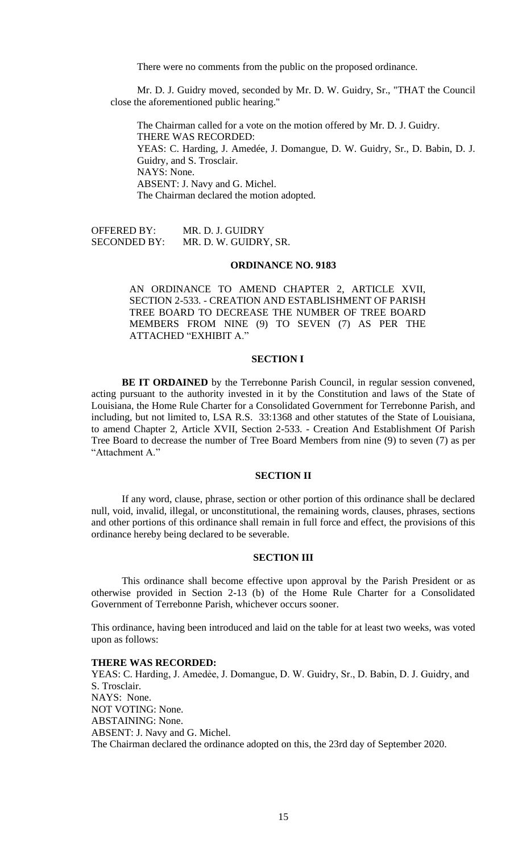There were no comments from the public on the proposed ordinance.

Mr. D. J. Guidry moved, seconded by Mr. D. W. Guidry, Sr., "THAT the Council close the aforementioned public hearing."

The Chairman called for a vote on the motion offered by Mr. D. J. Guidry. THERE WAS RECORDED: YEAS: C. Harding, J. Amedée, J. Domangue, D. W. Guidry, Sr., D. Babin, D. J. Guidry, and S. Trosclair. NAYS: None. ABSENT: J. Navy and G. Michel. The Chairman declared the motion adopted.

OFFERED BY: MR. D. J. GUIDRY SECONDED BY: MR. D. W. GUIDRY, SR.

### **ORDINANCE NO. 9183**

AN ORDINANCE TO AMEND CHAPTER 2, ARTICLE XVII, SECTION 2-533. - CREATION AND ESTABLISHMENT OF PARISH TREE BOARD TO DECREASE THE NUMBER OF TREE BOARD MEMBERS FROM NINE (9) TO SEVEN (7) AS PER THE ATTACHED "EXHIBIT A."

### **SECTION I**

**BE IT ORDAINED** by the Terrebonne Parish Council, in regular session convened, acting pursuant to the authority invested in it by the Constitution and laws of the State of Louisiana, the Home Rule Charter for a Consolidated Government for Terrebonne Parish, and including, but not limited to, LSA R.S. 33:1368 and other statutes of the State of Louisiana, to amend Chapter 2, Article XVII, Section 2-533. - Creation And Establishment Of Parish Tree Board to decrease the number of Tree Board Members from nine (9) to seven (7) as per "Attachment A."

### **SECTION II**

If any word, clause, phrase, section or other portion of this ordinance shall be declared null, void, invalid, illegal, or unconstitutional, the remaining words, clauses, phrases, sections and other portions of this ordinance shall remain in full force and effect, the provisions of this ordinance hereby being declared to be severable.

### **SECTION III**

This ordinance shall become effective upon approval by the Parish President or as otherwise provided in Section 2-13 (b) of the Home Rule Charter for a Consolidated Government of Terrebonne Parish, whichever occurs sooner.

This ordinance, having been introduced and laid on the table for at least two weeks, was voted upon as follows:

#### **THERE WAS RECORDED:**

YEAS: C. Harding, J. Amedėe, J. Domangue, D. W. Guidry, Sr., D. Babin, D. J. Guidry, and S. Trosclair. NAYS: None. NOT VOTING: None. ABSTAINING: None. ABSENT: J. Navy and G. Michel. The Chairman declared the ordinance adopted on this, the 23rd day of September 2020.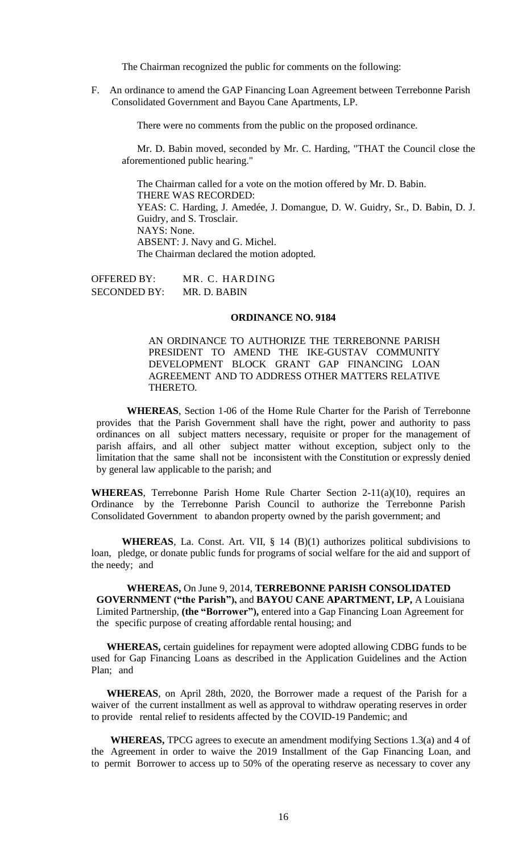The Chairman recognized the public for comments on the following:

F. An ordinance to amend the GAP Financing Loan Agreement between Terrebonne Parish Consolidated Government and Bayou Cane Apartments, LP.

There were no comments from the public on the proposed ordinance.

Mr. D. Babin moved, seconded by Mr. C. Harding, "THAT the Council close the aforementioned public hearing."

The Chairman called for a vote on the motion offered by Mr. D. Babin. THERE WAS RECORDED: YEAS: C. Harding, J. Amedée, J. Domangue, D. W. Guidry, Sr., D. Babin, D. J. Guidry, and S. Trosclair. NAYS: None. ABSENT: J. Navy and G. Michel. The Chairman declared the motion adopted.

OFFERED BY: MR. C. HARDING SECONDED BY: MR. D. BABIN

#### **ORDINANCE NO. 9184**

AN ORDINANCE TO AUTHORIZE THE TERREBONNE PARISH PRESIDENT TO AMEND THE IKE-GUSTAV COMMUNITY DEVELOPMENT BLOCK GRANT GAP FINANCING LOAN AGREEMENT AND TO ADDRESS OTHER MATTERS RELATIVE THERETO.

**WHEREAS**, Section 1-06 of the Home Rule Charter for the Parish of Terrebonne provides that the Parish Government shall have the right, power and authority to pass ordinances on all subject matters necessary, requisite or proper for the management of parish affairs, and all other subject matter without exception, subject only to the limitation that the same shall not be inconsistent with the Constitution or expressly denied by general law applicable to the parish; and

**WHEREAS**, Terrebonne Parish Home Rule Charter Section 2-11(a)(10), requires an Ordinance by the Terrebonne Parish Council to authorize the Terrebonne Parish Consolidated Government to abandon property owned by the parish government; and

**WHEREAS**, La. Const. Art. VII, § 14 (B)(1) authorizes political subdivisions to loan, pledge, or donate public funds for programs of social welfare for the aid and support of the needy; and

**WHEREAS,** On June 9, 2014, **TERREBONNE PARISH CONSOLIDATED GOVERNMENT ("the Parish"),** and **BAYOU CANE APARTMENT, LP,** A Louisiana Limited Partnership, **(the "Borrower"),** entered into a Gap Financing Loan Agreement for the specific purpose of creating affordable rental housing; and

**WHEREAS,** certain guidelines for repayment were adopted allowing CDBG funds to be used for Gap Financing Loans as described in the Application Guidelines and the Action Plan; and

**WHEREAS**, on April 28th, 2020, the Borrower made a request of the Parish for a waiver of the current installment as well as approval to withdraw operating reserves in order to provide rental relief to residents affected by the COVID-19 Pandemic; and

**WHEREAS,** TPCG agrees to execute an amendment modifying Sections 1.3(a) and 4 of the Agreement in order to waive the 2019 Installment of the Gap Financing Loan, and to permit Borrower to access up to 50% of the operating reserve as necessary to cover any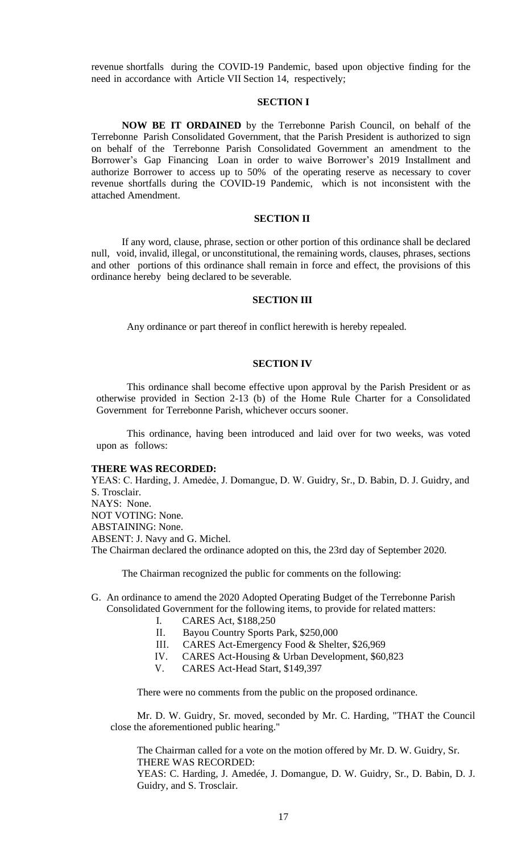revenue shortfalls during the COVID-19 Pandemic, based upon objective finding for the need in accordance with Article VII Section 14, respectively;

### **SECTION I**

**NOW BE IT ORDAINED** by the Terrebonne Parish Council, on behalf of the Terrebonne Parish Consolidated Government, that the Parish President is authorized to sign on behalf of the Terrebonne Parish Consolidated Government an amendment to the Borrower's Gap Financing Loan in order to waive Borrower's 2019 Installment and authorize Borrower to access up to 50% of the operating reserve as necessary to cover revenue shortfalls during the COVID-19 Pandemic, which is not inconsistent with the attached Amendment.

#### **SECTION II**

If any word, clause, phrase, section or other portion of this ordinance shall be declared null, void, invalid, illegal, or unconstitutional, the remaining words, clauses, phrases, sections and other portions of this ordinance shall remain in force and effect, the provisions of this ordinance hereby being declared to be severable.

## **SECTION III**

Any ordinance or part thereof in conflict herewith is hereby repealed.

#### **SECTION IV**

This ordinance shall become effective upon approval by the Parish President or as otherwise provided in Section 2-13 (b) of the Home Rule Charter for a Consolidated Government for Terrebonne Parish, whichever occurs sooner.

This ordinance, having been introduced and laid over for two weeks, was voted upon as follows:

#### **THERE WAS RECORDED:**

YEAS: C. Harding, J. Amedée, J. Domangue, D. W. Guidry, Sr., D. Babin, D. J. Guidry, and S. Trosclair. NAYS: None. NOT VOTING: None. ABSTAINING: None. ABSENT: J. Navy and G. Michel. The Chairman declared the ordinance adopted on this, the 23rd day of September 2020.

The Chairman recognized the public for comments on the following:

- G. An ordinance to amend the 2020 Adopted Operating Budget of the Terrebonne Parish Consolidated Government for the following items, to provide for related matters:
	- I. CARES Act, \$188,250
	- II. Bayou Country Sports Park, \$250,000
	- III. CARES Act-Emergency Food & Shelter, \$26,969
	- IV. CARES Act-Housing & Urban Development, \$60,823
	- V. CARES Act-Head Start, \$149,397

There were no comments from the public on the proposed ordinance.

Mr. D. W. Guidry, Sr. moved, seconded by Mr. C. Harding, "THAT the Council close the aforementioned public hearing."

The Chairman called for a vote on the motion offered by Mr. D. W. Guidry, Sr. THERE WAS RECORDED:

YEAS: C. Harding, J. Amedée, J. Domangue, D. W. Guidry, Sr., D. Babin, D. J. Guidry, and S. Trosclair.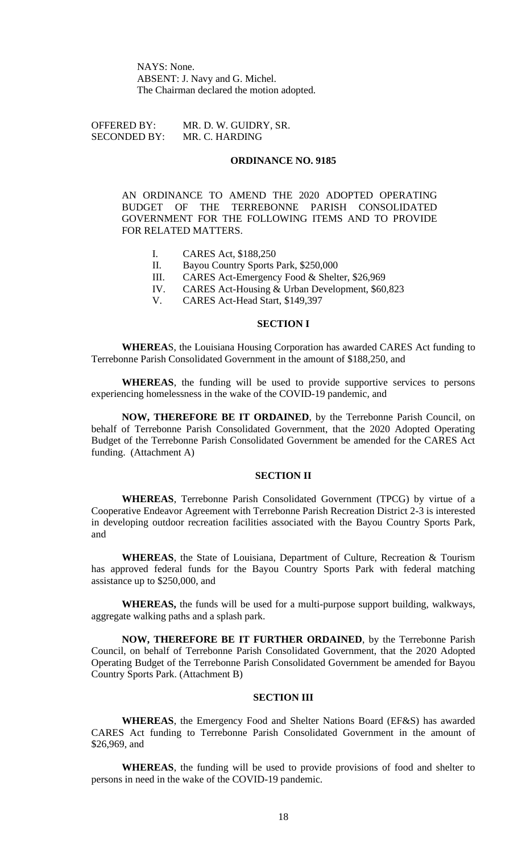NAYS: None. ABSENT: J. Navy and G. Michel. The Chairman declared the motion adopted.

OFFERED BY: MR. D. W. GUIDRY, SR. SECONDED BY: MR. C. HARDING

## **ORDINANCE NO. 9185**

AN ORDINANCE TO AMEND THE 2020 ADOPTED OPERATING BUDGET OF THE TERREBONNE PARISH CONSOLIDATED GOVERNMENT FOR THE FOLLOWING ITEMS AND TO PROVIDE FOR RELATED MATTERS.

- I. CARES Act, \$188,250
- II. Bayou Country Sports Park, \$250,000
- III. CARES Act-Emergency Food & Shelter, \$26,969
- IV. CARES Act-Housing & Urban Development, \$60,823
- V. CARES Act-Head Start, \$149,397

#### **SECTION I**

**WHEREA**S, the Louisiana Housing Corporation has awarded CARES Act funding to Terrebonne Parish Consolidated Government in the amount of \$188,250, and

**WHEREAS**, the funding will be used to provide supportive services to persons experiencing homelessness in the wake of the COVID-19 pandemic, and

**NOW, THEREFORE BE IT ORDAINED**, by the Terrebonne Parish Council, on behalf of Terrebonne Parish Consolidated Government, that the 2020 Adopted Operating Budget of the Terrebonne Parish Consolidated Government be amended for the CARES Act funding. (Attachment A)

# **SECTION II**

**WHEREAS**, Terrebonne Parish Consolidated Government (TPCG) by virtue of a Cooperative Endeavor Agreement with Terrebonne Parish Recreation District 2-3 is interested in developing outdoor recreation facilities associated with the Bayou Country Sports Park, and

**WHEREAS**, the State of Louisiana, Department of Culture, Recreation & Tourism has approved federal funds for the Bayou Country Sports Park with federal matching assistance up to \$250,000, and

**WHEREAS,** the funds will be used for a multi-purpose support building, walkways, aggregate walking paths and a splash park.

**NOW, THEREFORE BE IT FURTHER ORDAINED**, by the Terrebonne Parish Council, on behalf of Terrebonne Parish Consolidated Government, that the 2020 Adopted Operating Budget of the Terrebonne Parish Consolidated Government be amended for Bayou Country Sports Park. (Attachment B)

#### **SECTION III**

**WHEREAS**, the Emergency Food and Shelter Nations Board (EF&S) has awarded CARES Act funding to Terrebonne Parish Consolidated Government in the amount of \$26,969, and

**WHEREAS**, the funding will be used to provide provisions of food and shelter to persons in need in the wake of the COVID-19 pandemic.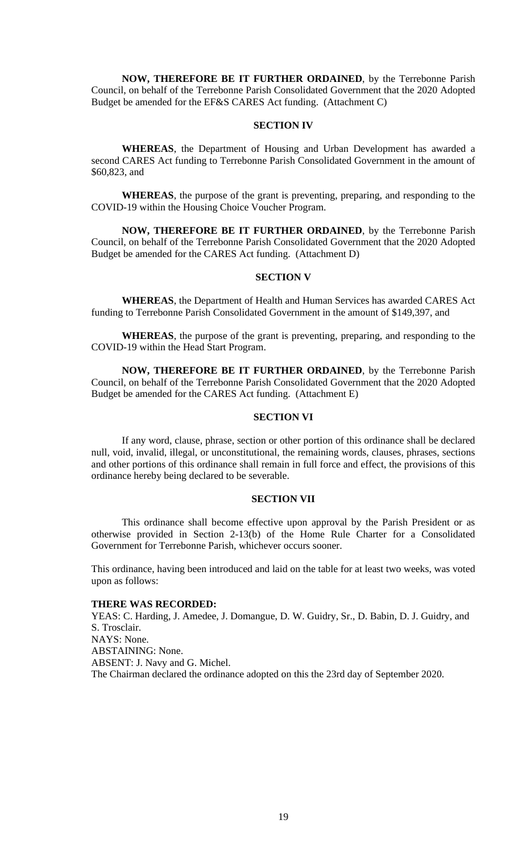**NOW, THEREFORE BE IT FURTHER ORDAINED**, by the Terrebonne Parish Council, on behalf of the Terrebonne Parish Consolidated Government that the 2020 Adopted Budget be amended for the EF&S CARES Act funding. (Attachment C)

## **SECTION IV**

**WHEREAS**, the Department of Housing and Urban Development has awarded a second CARES Act funding to Terrebonne Parish Consolidated Government in the amount of \$60,823, and

**WHEREAS**, the purpose of the grant is preventing, preparing, and responding to the COVID-19 within the Housing Choice Voucher Program.

**NOW, THEREFORE BE IT FURTHER ORDAINED**, by the Terrebonne Parish Council, on behalf of the Terrebonne Parish Consolidated Government that the 2020 Adopted Budget be amended for the CARES Act funding. (Attachment D)

# **SECTION V**

**WHEREAS**, the Department of Health and Human Services has awarded CARES Act funding to Terrebonne Parish Consolidated Government in the amount of \$149,397, and

**WHEREAS**, the purpose of the grant is preventing, preparing, and responding to the COVID-19 within the Head Start Program.

**NOW, THEREFORE BE IT FURTHER ORDAINED**, by the Terrebonne Parish Council, on behalf of the Terrebonne Parish Consolidated Government that the 2020 Adopted Budget be amended for the CARES Act funding. (Attachment E)

## **SECTION VI**

If any word, clause, phrase, section or other portion of this ordinance shall be declared null, void, invalid, illegal, or unconstitutional, the remaining words, clauses, phrases, sections and other portions of this ordinance shall remain in full force and effect, the provisions of this ordinance hereby being declared to be severable.

### **SECTION VII**

This ordinance shall become effective upon approval by the Parish President or as otherwise provided in Section 2-13(b) of the Home Rule Charter for a Consolidated Government for Terrebonne Parish, whichever occurs sooner.

This ordinance, having been introduced and laid on the table for at least two weeks, was voted upon as follows:

### **THERE WAS RECORDED:**

YEAS: C. Harding, J. Amedee, J. Domangue, D. W. Guidry, Sr., D. Babin, D. J. Guidry, and S. Trosclair. NAYS: None. ABSTAINING: None. ABSENT: J. Navy and G. Michel. The Chairman declared the ordinance adopted on this the 23rd day of September 2020.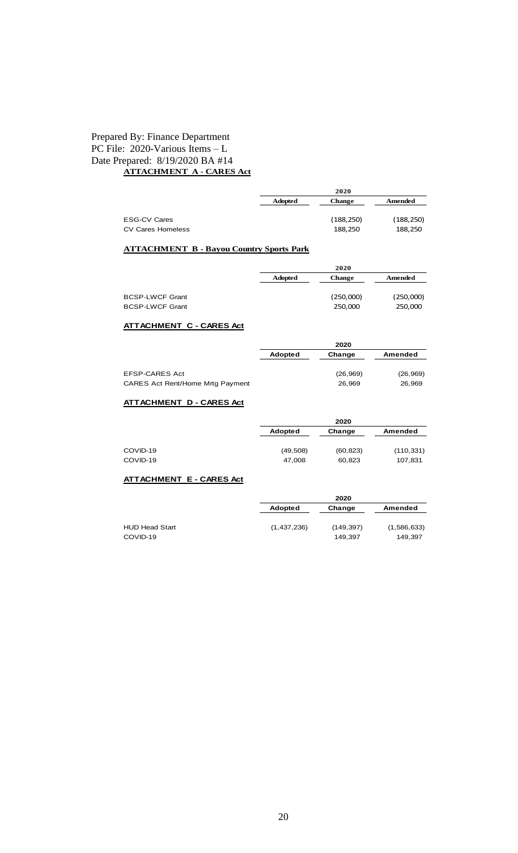# Prepared By: Finance Department PC File: 2020-Various Items – L Date Prepared: 8/19/2020 BA #14 **ATTACHMENT A - CARES Act**

| <b>ESG-CV Cares</b><br><b>CV Cares Homeless</b>  |                | (188, 250)<br>188,250 | (188, 250)<br>188,250 |
|--------------------------------------------------|----------------|-----------------------|-----------------------|
| <b>ATTACHMENT B - Bayou Country Sports Park</b>  |                |                       |                       |
|                                                  |                | 2020                  |                       |
|                                                  | <b>Adopted</b> | <b>Change</b>         | Amended               |
| <b>BCSP-LWCF Grant</b><br><b>BCSP-LWCF Grant</b> |                | (250,000)<br>250,000  | (250,000)<br>250,000  |
| <b>ATTACHMENT C - CARES Act</b>                  |                |                       |                       |
|                                                  |                | 2020                  |                       |
|                                                  | Adopted        | Change                | <b>Amended</b>        |
| EFOD CADEO A at                                  |                | (2c 2c)               | (2c 2c)               |

**Adopted Change Amended**

**2020**

| EFSP-CARES Act                   | (26, 969) | (26, 969) |
|----------------------------------|-----------|-----------|
| CARES Act Rent/Home Mrtg Payment | 26.969    | 26.969    |

# **ATTACHMENT D - CARES Act**

|          |           | 2020      |            |
|----------|-----------|-----------|------------|
|          | Adopted   | Change    | Amended    |
| COVID-19 | (49, 508) | (60, 823) | (110, 331) |
| COVID-19 | 47,008    | 60,823    | 107,831    |

# **ATTACHMENT E - CARES Act**

|                       |             | 2020       |             |
|-----------------------|-------------|------------|-------------|
|                       | Adopted     | Change     | Amended     |
| <b>HUD Head Start</b> | (1,437,236) | (149, 397) | (1,586,633) |
| COVID-19              |             | 149.397    | 149.397     |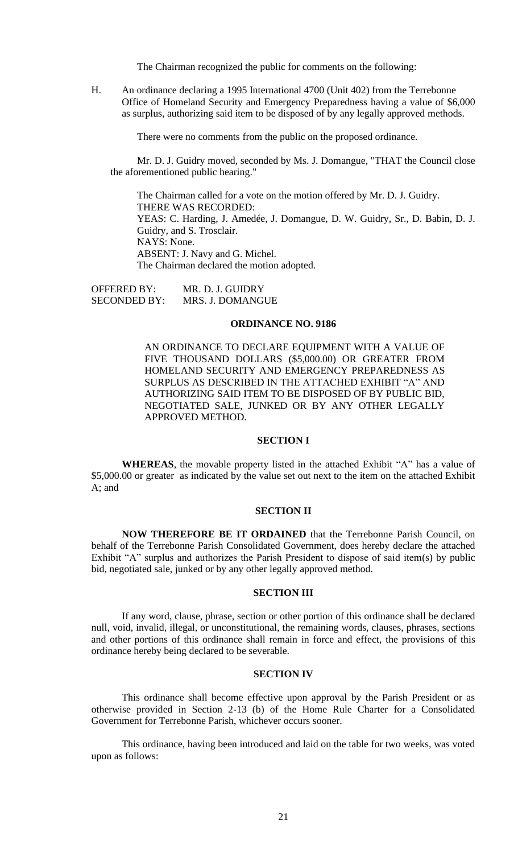The Chairman recognized the public for comments on the following:

H. An ordinance declaring a 1995 International 4700 (Unit 402) from the Terrebonne Office of Homeland Security and Emergency Preparedness having a value of \$6,000 as surplus, authorizing said item to be disposed of by any legally approved methods.

There were no comments from the public on the proposed ordinance.

Mr. D. J. Guidry moved, seconded by Ms. J. Domangue, "THAT the Council close the aforementioned public hearing."

The Chairman called for a vote on the motion offered by Mr. D. J. Guidry. THERE WAS RECORDED: YEAS: C. Harding, J. Amedée, J. Domangue, D. W. Guidry, Sr., D. Babin, D. J. Guidry, and S. Trosclair. NAYS: None. ABSENT: J. Navy and G. Michel. The Chairman declared the motion adopted.

OFFERED BY: MR. D. J. GUIDRY SECONDED BY: MRS. J. DOMANGUE

#### **ORDINANCE NO. 9186**

AN ORDINANCE TO DECLARE EQUIPMENT WITH A VALUE OF FIVE THOUSAND DOLLARS (\$5,000.00) OR GREATER FROM HOMELAND SECURITY AND EMERGENCY PREPAREDNESS AS SURPLUS AS DESCRIBED IN THE ATTACHED EXHIBIT "A" AND AUTHORIZING SAID ITEM TO BE DISPOSED OF BY PUBLIC BID, NEGOTIATED SALE, JUNKED OR BY ANY OTHER LEGALLY APPROVED METHOD.

#### **SECTION I**

**WHEREAS**, the movable property listed in the attached Exhibit "A" has a value of \$5,000.00 or greater as indicated by the value set out next to the item on the attached Exhibit A; and

### **SECTION II**

**NOW THEREFORE BE IT ORDAINED** that the Terrebonne Parish Council, on behalf of the Terrebonne Parish Consolidated Government, does hereby declare the attached Exhibit "A" surplus and authorizes the Parish President to dispose of said item(s) by public bid, negotiated sale, junked or by any other legally approved method.

### **SECTION III**

If any word, clause, phrase, section or other portion of this ordinance shall be declared null, void, invalid, illegal, or unconstitutional, the remaining words, clauses, phrases, sections and other portions of this ordinance shall remain in force and effect, the provisions of this ordinance hereby being declared to be severable.

#### **SECTION IV**

This ordinance shall become effective upon approval by the Parish President or as otherwise provided in Section 2-13 (b) of the Home Rule Charter for a Consolidated Government for Terrebonne Parish, whichever occurs sooner.

This ordinance, having been introduced and laid on the table for two weeks, was voted upon as follows: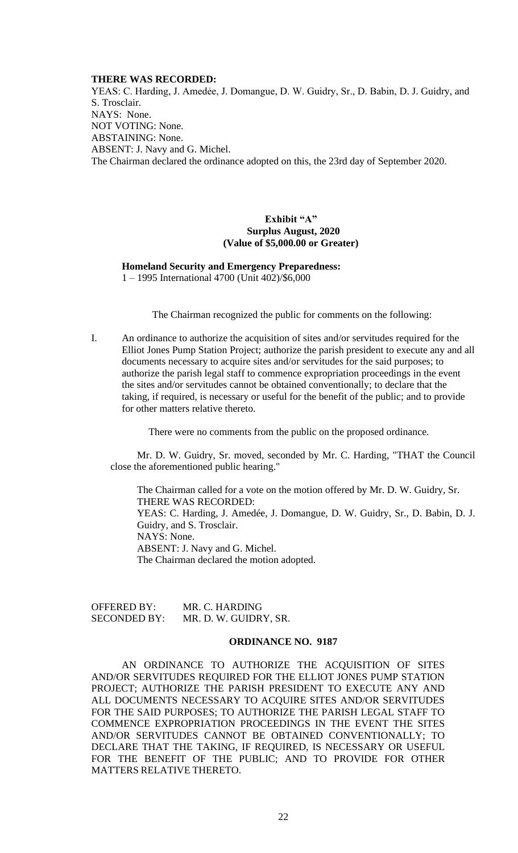### **THERE WAS RECORDED:**

YEAS: C. Harding, J. Amedée, J. Domangue, D. W. Guidry, Sr., D. Babin, D. J. Guidry, and S. Trosclair. NAYS: None. NOT VOTING: None. ABSTAINING: None. ABSENT: J. Navy and G. Michel. The Chairman declared the ordinance adopted on this, the 23rd day of September 2020.

# **Exhibit "A" Surplus August, 2020 (Value of \$5,000.00 or Greater)**

#### **Homeland Security and Emergency Preparedness:** 1 – 1995 International 4700 (Unit 402)/\$6,000

The Chairman recognized the public for comments on the following:

I. An ordinance to authorize the acquisition of sites and/or servitudes required for the Elliot Jones Pump Station Project; authorize the parish president to execute any and all documents necessary to acquire sites and/or servitudes for the said purposes; to authorize the parish legal staff to commence expropriation proceedings in the event the sites and/or servitudes cannot be obtained conventionally; to declare that the taking, if required, is necessary or useful for the benefit of the public; and to provide for other matters relative thereto.

There were no comments from the public on the proposed ordinance.

Mr. D. W. Guidry, Sr. moved, seconded by Mr. C. Harding, "THAT the Council close the aforementioned public hearing."

The Chairman called for a vote on the motion offered by Mr. D. W. Guidry, Sr. THERE WAS RECORDED: YEAS: C. Harding, J. Amedée, J. Domangue, D. W. Guidry, Sr., D. Babin, D. J. Guidry, and S. Trosclair. NAYS: None. ABSENT: J. Navy and G. Michel. The Chairman declared the motion adopted.

| OFFERED BY:         | MR. C. HARDING        |
|---------------------|-----------------------|
| <b>SECONDED BY:</b> | MR. D. W. GUIDRY, SR. |

#### **ORDINANCE NO. 9187**

AN ORDINANCE TO AUTHORIZE THE ACQUISITION OF SITES AND/OR SERVITUDES REQUIRED FOR THE ELLIOT JONES PUMP STATION PROJECT; AUTHORIZE THE PARISH PRESIDENT TO EXECUTE ANY AND ALL DOCUMENTS NECESSARY TO ACQUIRE SITES AND/OR SERVITUDES FOR THE SAID PURPOSES; TO AUTHORIZE THE PARISH LEGAL STAFF TO COMMENCE EXPROPRIATION PROCEEDINGS IN THE EVENT THE SITES AND/OR SERVITUDES CANNOT BE OBTAINED CONVENTIONALLY; TO DECLARE THAT THE TAKING, IF REQUIRED, IS NECESSARY OR USEFUL FOR THE BENEFIT OF THE PUBLIC; AND TO PROVIDE FOR OTHER MATTERS RELATIVE THERETO.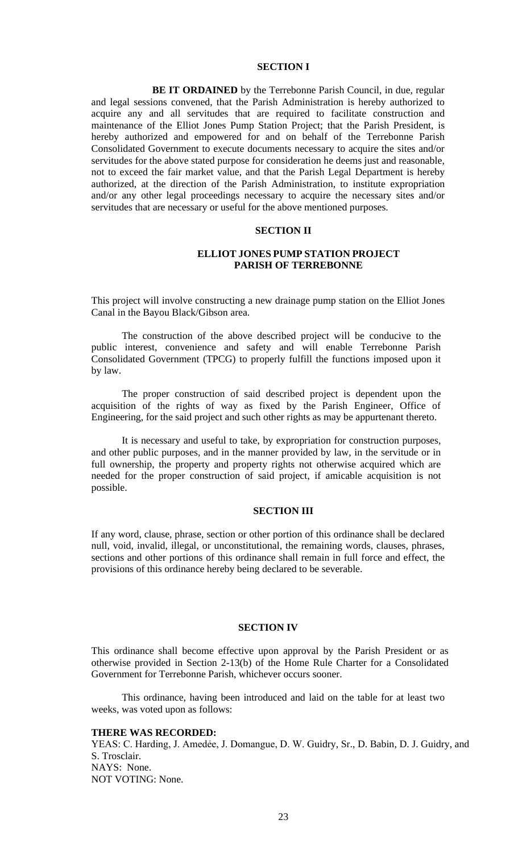# **SECTION I**

**BE IT ORDAINED** by the Terrebonne Parish Council, in due, regular and legal sessions convened, that the Parish Administration is hereby authorized to acquire any and all servitudes that are required to facilitate construction and maintenance of the Elliot Jones Pump Station Project; that the Parish President, is hereby authorized and empowered for and on behalf of the Terrebonne Parish Consolidated Government to execute documents necessary to acquire the sites and/or servitudes for the above stated purpose for consideration he deems just and reasonable, not to exceed the fair market value, and that the Parish Legal Department is hereby authorized, at the direction of the Parish Administration, to institute expropriation and/or any other legal proceedings necessary to acquire the necessary sites and/or servitudes that are necessary or useful for the above mentioned purposes.

### **SECTION II**

## **ELLIOT JONES PUMP STATION PROJECT PARISH OF TERREBONNE**

This project will involve constructing a new drainage pump station on the Elliot Jones Canal in the Bayou Black/Gibson area.

The construction of the above described project will be conducive to the public interest, convenience and safety and will enable Terrebonne Parish Consolidated Government (TPCG) to properly fulfill the functions imposed upon it by law.

The proper construction of said described project is dependent upon the acquisition of the rights of way as fixed by the Parish Engineer, Office of Engineering, for the said project and such other rights as may be appurtenant thereto.

It is necessary and useful to take, by expropriation for construction purposes, and other public purposes, and in the manner provided by law, in the servitude or in full ownership, the property and property rights not otherwise acquired which are needed for the proper construction of said project, if amicable acquisition is not possible.

# **SECTION III**

If any word, clause, phrase, section or other portion of this ordinance shall be declared null, void, invalid, illegal, or unconstitutional, the remaining words, clauses, phrases, sections and other portions of this ordinance shall remain in full force and effect, the provisions of this ordinance hereby being declared to be severable.

## **SECTION IV**

This ordinance shall become effective upon approval by the Parish President or as otherwise provided in Section 2-13(b) of the Home Rule Charter for a Consolidated Government for Terrebonne Parish, whichever occurs sooner.

This ordinance, having been introduced and laid on the table for at least two weeks, was voted upon as follows:

#### **THERE WAS RECORDED:**

YEAS: C. Harding, J. Amedée, J. Domangue, D. W. Guidry, Sr., D. Babin, D. J. Guidry, and S. Trosclair. NAYS: None. NOT VOTING: None.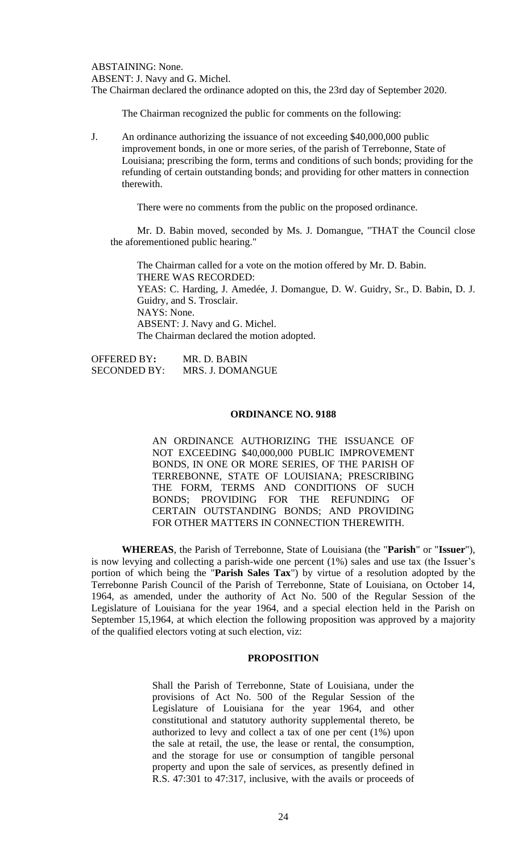ABSTAINING: None. ABSENT: J. Navy and G. Michel. The Chairman declared the ordinance adopted on this, the 23rd day of September 2020.

The Chairman recognized the public for comments on the following:

J. An ordinance authorizing the issuance of not exceeding \$40,000,000 public improvement bonds, in one or more series, of the parish of Terrebonne, State of Louisiana; prescribing the form, terms and conditions of such bonds; providing for the refunding of certain outstanding bonds; and providing for other matters in connection therewith.

There were no comments from the public on the proposed ordinance.

Mr. D. Babin moved, seconded by Ms. J. Domangue, "THAT the Council close the aforementioned public hearing."

The Chairman called for a vote on the motion offered by Mr. D. Babin. THERE WAS RECORDED: YEAS: C. Harding, J. Amedée, J. Domangue, D. W. Guidry, Sr., D. Babin, D. J. Guidry, and S. Trosclair. NAYS: None. ABSENT: J. Navy and G. Michel. The Chairman declared the motion adopted.

| OFFERED BY:         | MR. D. BABIN     |
|---------------------|------------------|
| <b>SECONDED BY:</b> | MRS. J. DOMANGUE |

### **ORDINANCE NO. 9188**

AN ORDINANCE AUTHORIZING THE ISSUANCE OF NOT EXCEEDING \$40,000,000 PUBLIC IMPROVEMENT BONDS, IN ONE OR MORE SERIES, OF THE PARISH OF TERREBONNE, STATE OF LOUISIANA; PRESCRIBING THE FORM, TERMS AND CONDITIONS OF SUCH BONDS; PROVIDING FOR THE REFUNDING OF CERTAIN OUTSTANDING BONDS; AND PROVIDING FOR OTHER MATTERS IN CONNECTION THEREWITH.

**WHEREAS**, the Parish of Terrebonne, State of Louisiana (the "**Parish**" or "**Issuer**"), is now levying and collecting a parish-wide one percent (1%) sales and use tax (the Issuer's portion of which being the "**Parish Sales Tax**") by virtue of a resolution adopted by the Terrebonne Parish Council of the Parish of Terrebonne, State of Louisiana, on October 14, 1964, as amended, under the authority of Act No. 500 of the Regular Session of the Legislature of Louisiana for the year 1964, and a special election held in the Parish on September 15,1964, at which election the following proposition was approved by a majority of the qualified electors voting at such election, viz:

# **PROPOSITION**

Shall the Parish of Terrebonne, State of Louisiana, under the provisions of Act No. 500 of the Regular Session of the Legislature of Louisiana for the year 1964, and other constitutional and statutory authority supplemental thereto, be authorized to levy and collect a tax of one per cent (1%) upon the sale at retail, the use, the lease or rental, the consumption, and the storage for use or consumption of tangible personal property and upon the sale of services, as presently defined in R.S. 47:301 to 47:317, inclusive, with the avails or proceeds of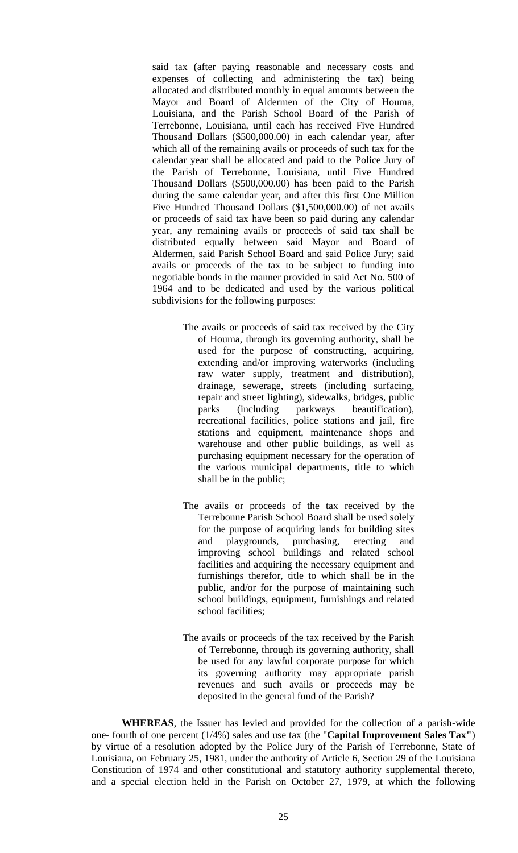said tax (after paying reasonable and necessary costs and expenses of collecting and administering the tax) being allocated and distributed monthly in equal amounts between the Mayor and Board of Aldermen of the City of Houma, Louisiana, and the Parish School Board of the Parish of Terrebonne, Louisiana, until each has received Five Hundred Thousand Dollars (\$500,000.00) in each calendar year, after which all of the remaining avails or proceeds of such tax for the calendar year shall be allocated and paid to the Police Jury of the Parish of Terrebonne, Louisiana, until Five Hundred Thousand Dollars (\$500,000.00) has been paid to the Parish during the same calendar year, and after this first One Million Five Hundred Thousand Dollars (\$1,500,000.00) of net avails or proceeds of said tax have been so paid during any calendar year, any remaining avails or proceeds of said tax shall be distributed equally between said Mayor and Board of Aldermen, said Parish School Board and said Police Jury; said avails or proceeds of the tax to be subject to funding into negotiable bonds in the manner provided in said Act No. 500 of 1964 and to be dedicated and used by the various political subdivisions for the following purposes:

- The avails or proceeds of said tax received by the City of Houma, through its governing authority, shall be used for the purpose of constructing, acquiring, extending and/or improving waterworks (including raw water supply, treatment and distribution), drainage, sewerage, streets (including surfacing, repair and street lighting), sidewalks, bridges, public parks (including parkways beautification), recreational facilities, police stations and jail, fire stations and equipment, maintenance shops and warehouse and other public buildings, as well as purchasing equipment necessary for the operation of the various municipal departments, title to which shall be in the public;
- The avails or proceeds of the tax received by the Terrebonne Parish School Board shall be used solely for the purpose of acquiring lands for building sites and playgrounds, purchasing, erecting and improving school buildings and related school facilities and acquiring the necessary equipment and furnishings therefor, title to which shall be in the public, and/or for the purpose of maintaining such school buildings, equipment, furnishings and related school facilities;
- The avails or proceeds of the tax received by the Parish of Terrebonne, through its governing authority, shall be used for any lawful corporate purpose for which its governing authority may appropriate parish revenues and such avails or proceeds may be deposited in the general fund of the Parish?

**WHEREAS**, the Issuer has levied and provided for the collection of a parish-wide one- fourth of one percent (1/4%) sales and use tax (the "**Capital Improvement Sales Tax"**) by virtue of a resolution adopted by the Police Jury of the Parish of Terrebonne, State of Louisiana, on February 25, 1981, under the authority of Article 6, Section 29 of the Louisiana Constitution of 1974 and other constitutional and statutory authority supplemental thereto, and a special election held in the Parish on October 27, 1979, at which the following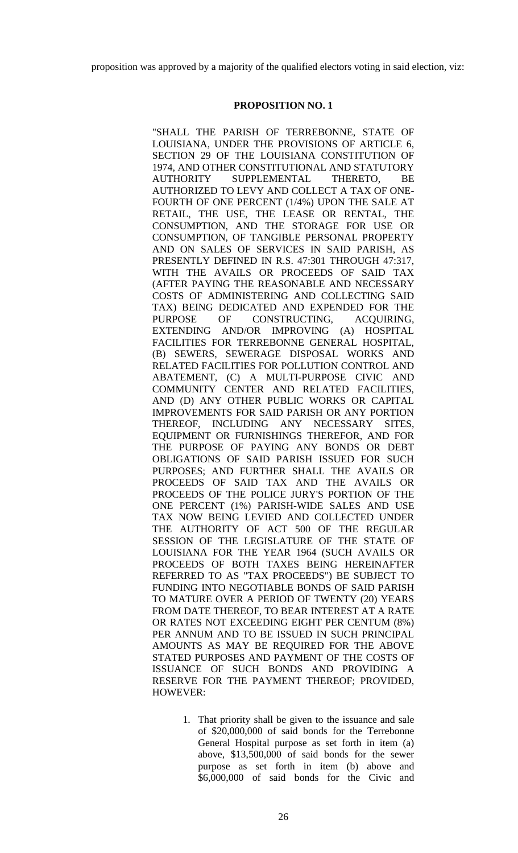proposition was approved by a majority of the qualified electors voting in said election, viz:

## **PROPOSITION NO. 1**

"SHALL THE PARISH OF TERREBONNE, STATE OF LOUISIANA, UNDER THE PROVISIONS OF ARTICLE 6, SECTION 29 OF THE LOUISIANA CONSTITUTION OF 1974, AND OTHER CONSTITUTIONAL AND STATUTORY AUTHORITY SUPPLEMENTAL THERETO, BE AUTHORIZED TO LEVY AND COLLECT A TAX OF ONE-FOURTH OF ONE PERCENT (1/4%) UPON THE SALE AT RETAIL, THE USE, THE LEASE OR RENTAL, THE CONSUMPTION, AND THE STORAGE FOR USE OR CONSUMPTION, OF TANGIBLE PERSONAL PROPERTY AND ON SALES OF SERVICES IN SAID PARISH, AS PRESENTLY DEFINED IN R.S. 47:301 THROUGH 47:317, WITH THE AVAILS OR PROCEEDS OF SAID TAX (AFTER PAYING THE REASONABLE AND NECESSARY COSTS OF ADMINISTERING AND COLLECTING SAID TAX) BEING DEDICATED AND EXPENDED FOR THE PURPOSE OF CONSTRUCTING, ACQUIRING, EXTENDING AND/OR IMPROVING (A) HOSPITAL FACILITIES FOR TERREBONNE GENERAL HOSPITAL, (B) SEWERS, SEWERAGE DISPOSAL WORKS AND RELATED FACILITIES FOR POLLUTION CONTROL AND ABATEMENT, (C) A MULTI-PURPOSE CIVIC AND COMMUNITY CENTER AND RELATED FACILITIES, AND (D) ANY OTHER PUBLIC WORKS OR CAPITAL IMPROVEMENTS FOR SAID PARISH OR ANY PORTION THEREOF, INCLUDING ANY NECESSARY SITES, EQUIPMENT OR FURNISHINGS THEREFOR, AND FOR THE PURPOSE OF PAYING ANY BONDS OR DEBT OBLIGATIONS OF SAID PARISH ISSUED FOR SUCH PURPOSES; AND FURTHER SHALL THE AVAILS OR PROCEEDS OF SAID TAX AND THE AVAILS OR PROCEEDS OF THE POLICE JURY'S PORTION OF THE ONE PERCENT (1%) PARISH-WIDE SALES AND USE TAX NOW BEING LEVIED AND COLLECTED UNDER THE AUTHORITY OF ACT 500 OF THE REGULAR SESSION OF THE LEGISLATURE OF THE STATE OF LOUISIANA FOR THE YEAR 1964 (SUCH AVAILS OR PROCEEDS OF BOTH TAXES BEING HEREINAFTER REFERRED TO AS "TAX PROCEEDS") BE SUBJECT TO FUNDING INTO NEGOTIABLE BONDS OF SAID PARISH TO MATURE OVER A PERIOD OF TWENTY (20) YEARS FROM DATE THEREOF, TO BEAR INTEREST AT A RATE OR RATES NOT EXCEEDING EIGHT PER CENTUM (8%) PER ANNUM AND TO BE ISSUED IN SUCH PRINCIPAL AMOUNTS AS MAY BE REQUIRED FOR THE ABOVE STATED PURPOSES AND PAYMENT OF THE COSTS OF ISSUANCE OF SUCH BONDS AND PROVIDING A RESERVE FOR THE PAYMENT THEREOF; PROVIDED, HOWEVER:

> 1. That priority shall be given to the issuance and sale of \$20,000,000 of said bonds for the Terrebonne General Hospital purpose as set forth in item (a) above, \$13,500,000 of said bonds for the sewer purpose as set forth in item (b) above and \$6,000,000 of said bonds for the Civic and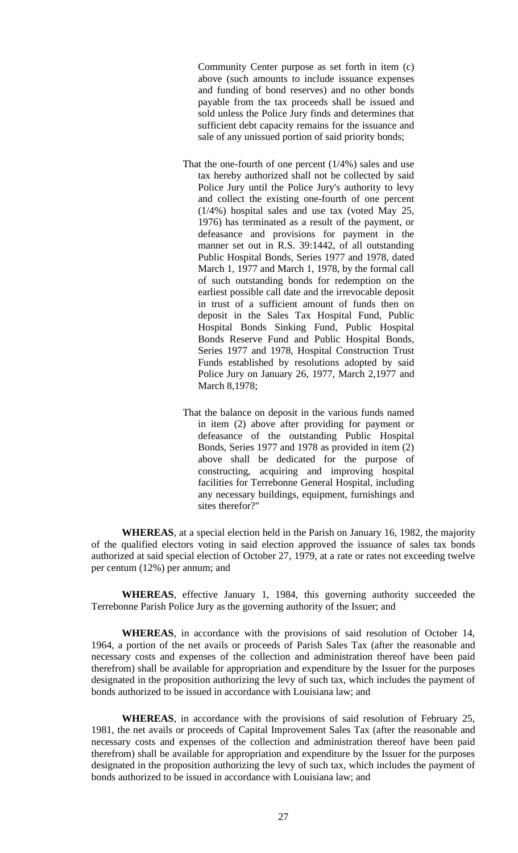Community Center purpose as set forth in item (c) above (such amounts to include issuance expenses and funding of bond reserves) and no other bonds payable from the tax proceeds shall be issued and sold unless the Police Jury finds and determines that sufficient debt capacity remains for the issuance and sale of any unissued portion of said priority bonds;

- That the one-fourth of one percent  $(1/4%)$  sales and use tax hereby authorized shall not be collected by said Police Jury until the Police Jury's authority to levy and collect the existing one-fourth of one percent (1/4%) hospital sales and use tax (voted May 25, 1976) has terminated as a result of the payment, or defeasance and provisions for payment in the manner set out in R.S. 39:1442, of all outstanding Public Hospital Bonds, Series 1977 and 1978, dated March 1, 1977 and March 1, 1978, by the formal call of such outstanding bonds for redemption on the earliest possible call date and the irrevocable deposit in trust of a sufficient amount of funds then on deposit in the Sales Tax Hospital Fund, Public Hospital Bonds Sinking Fund, Public Hospital Bonds Reserve Fund and Public Hospital Bonds, Series 1977 and 1978, Hospital Construction Trust Funds established by resolutions adopted by said Police Jury on January 26, 1977, March 2,1977 and March 8,1978;
- That the balance on deposit in the various funds named in item (2) above after providing for payment or defeasance of the outstanding Public Hospital Bonds, Series 1977 and 1978 as provided in item (2) above shall be dedicated for the purpose of constructing, acquiring and improving hospital facilities for Terrebonne General Hospital, including any necessary buildings, equipment, furnishings and sites therefor?"

**WHEREAS**, at a special election held in the Parish on January 16, 1982, the majority of the qualified electors voting in said election approved the issuance of sales tax bonds authorized at said special election of October 27, 1979, at a rate or rates not exceeding twelve per centum (12%) per annum; and

**WHEREAS**, effective January 1, 1984, this governing authority succeeded the Terrebonne Parish Police Jury as the governing authority of the Issuer; and

**WHEREAS**, in accordance with the provisions of said resolution of October 14, 1964, a portion of the net avails or proceeds of Parish Sales Tax (after the reasonable and necessary costs and expenses of the collection and administration thereof have been paid therefrom) shall be available for appropriation and expenditure by the Issuer for the purposes designated in the proposition authorizing the levy of such tax, which includes the payment of bonds authorized to be issued in accordance with Louisiana law; and

**WHEREAS**, in accordance with the provisions of said resolution of February 25, 1981, the net avails or proceeds of Capital Improvement Sales Tax (after the reasonable and necessary costs and expenses of the collection and administration thereof have been paid therefrom) shall be available for appropriation and expenditure by the Issuer for the purposes designated in the proposition authorizing the levy of such tax, which includes the payment of bonds authorized to be issued in accordance with Louisiana law; and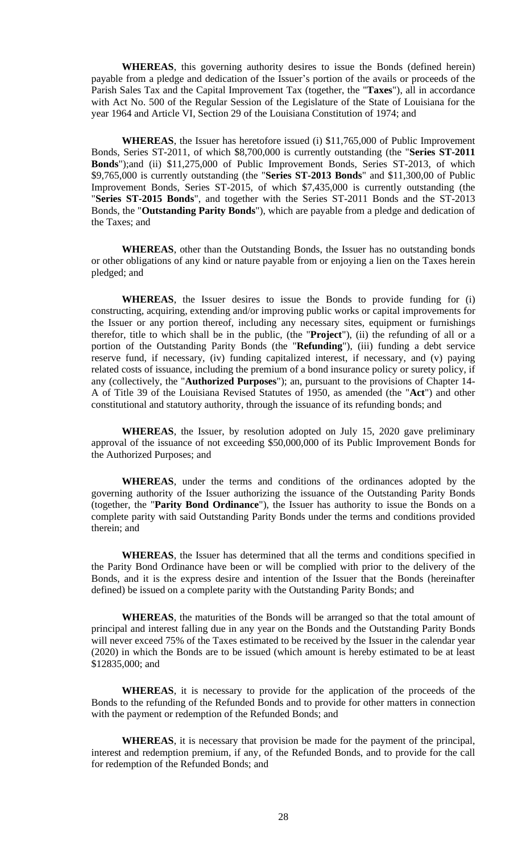**WHEREAS**, this governing authority desires to issue the Bonds (defined herein) payable from a pledge and dedication of the Issuer's portion of the avails or proceeds of the Parish Sales Tax and the Capital Improvement Tax (together, the "**Taxes**"), all in accordance with Act No. 500 of the Regular Session of the Legislature of the State of Louisiana for the year 1964 and Article VI, Section 29 of the Louisiana Constitution of 1974; and

**WHEREAS**, the Issuer has heretofore issued (i) \$11,765,000 of Public Improvement Bonds, Series ST-2011, of which \$8,700,000 is currently outstanding (the "**Series ST-2011 Bonds**");and (ii) \$11,275,000 of Public Improvement Bonds, Series ST-2013, of which \$9,765,000 is currently outstanding (the "**Series ST-2013 Bonds**" and \$11,300,00 of Public Improvement Bonds, Series ST-2015, of which \$7,435,000 is currently outstanding (the "**Series ST-2015 Bonds**", and together with the Series ST-2011 Bonds and the ST-2013 Bonds, the "**Outstanding Parity Bonds**"), which are payable from a pledge and dedication of the Taxes; and

**WHEREAS**, other than the Outstanding Bonds, the Issuer has no outstanding bonds or other obligations of any kind or nature payable from or enjoying a lien on the Taxes herein pledged; and

**WHEREAS**, the Issuer desires to issue the Bonds to provide funding for (i) constructing, acquiring, extending and/or improving public works or capital improvements for the Issuer or any portion thereof, including any necessary sites, equipment or furnishings therefor, title to which shall be in the public, (the "**Project**"), (ii) the refunding of all or a portion of the Outstanding Parity Bonds (the "**Refunding**"), (iii) funding a debt service reserve fund, if necessary, (iv) funding capitalized interest, if necessary, and (v) paying related costs of issuance, including the premium of a bond insurance policy or surety policy, if any (collectively, the "**Authorized Purposes**"); an, pursuant to the provisions of Chapter 14- A of Title 39 of the Louisiana Revised Statutes of 1950, as amended (the "**Act**") and other constitutional and statutory authority, through the issuance of its refunding bonds; and

**WHEREAS**, the Issuer, by resolution adopted on July 15, 2020 gave preliminary approval of the issuance of not exceeding \$50,000,000 of its Public Improvement Bonds for the Authorized Purposes; and

**WHEREAS**, under the terms and conditions of the ordinances adopted by the governing authority of the Issuer authorizing the issuance of the Outstanding Parity Bonds (together, the "**Parity Bond Ordinance**"), the Issuer has authority to issue the Bonds on a complete parity with said Outstanding Parity Bonds under the terms and conditions provided therein; and

**WHEREAS**, the Issuer has determined that all the terms and conditions specified in the Parity Bond Ordinance have been or will be complied with prior to the delivery of the Bonds, and it is the express desire and intention of the Issuer that the Bonds (hereinafter defined) be issued on a complete parity with the Outstanding Parity Bonds; and

**WHEREAS**, the maturities of the Bonds will be arranged so that the total amount of principal and interest falling due in any year on the Bonds and the Outstanding Parity Bonds will never exceed 75% of the Taxes estimated to be received by the Issuer in the calendar year (2020) in which the Bonds are to be issued (which amount is hereby estimated to be at least \$12835,000; and

**WHEREAS**, it is necessary to provide for the application of the proceeds of the Bonds to the refunding of the Refunded Bonds and to provide for other matters in connection with the payment or redemption of the Refunded Bonds; and

**WHEREAS**, it is necessary that provision be made for the payment of the principal, interest and redemption premium, if any, of the Refunded Bonds, and to provide for the call for redemption of the Refunded Bonds; and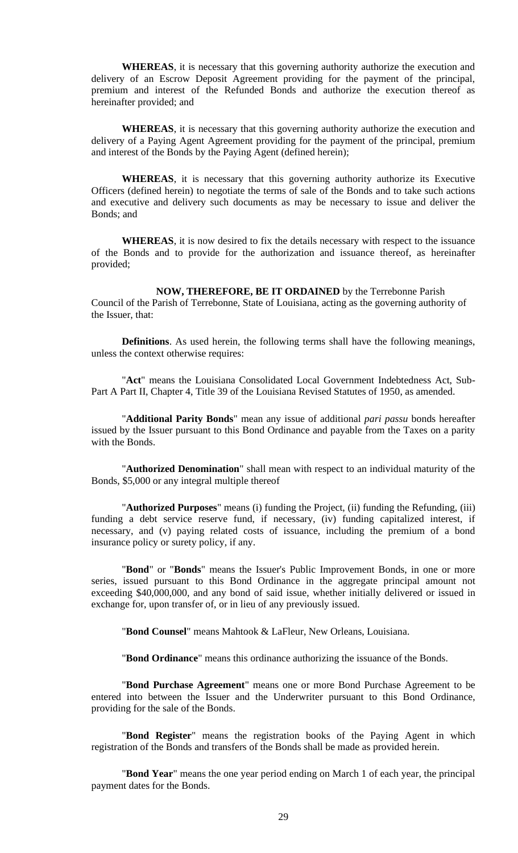**WHEREAS**, it is necessary that this governing authority authorize the execution and delivery of an Escrow Deposit Agreement providing for the payment of the principal, premium and interest of the Refunded Bonds and authorize the execution thereof as hereinafter provided; and

**WHEREAS**, it is necessary that this governing authority authorize the execution and delivery of a Paying Agent Agreement providing for the payment of the principal, premium and interest of the Bonds by the Paying Agent (defined herein);

**WHEREAS**, it is necessary that this governing authority authorize its Executive Officers (defined herein) to negotiate the terms of sale of the Bonds and to take such actions and executive and delivery such documents as may be necessary to issue and deliver the Bonds; and

**WHEREAS**, it is now desired to fix the details necessary with respect to the issuance of the Bonds and to provide for the authorization and issuance thereof, as hereinafter provided;

 **NOW, THEREFORE, BE IT ORDAINED** by the Terrebonne Parish Council of the Parish of Terrebonne, State of Louisiana, acting as the governing authority of the Issuer, that:

**Definitions**. As used herein, the following terms shall have the following meanings, unless the context otherwise requires:

"**Act**" means the Louisiana Consolidated Local Government Indebtedness Act, Sub-Part A Part II, Chapter 4, Title 39 of the Louisiana Revised Statutes of 1950, as amended.

"**Additional Parity Bonds**" mean any issue of additional *pari passu* bonds hereafter issued by the Issuer pursuant to this Bond Ordinance and payable from the Taxes on a parity with the Bonds.

"**Authorized Denomination**" shall mean with respect to an individual maturity of the Bonds, \$5,000 or any integral multiple thereof

"**Authorized Purposes**" means (i) funding the Project, (ii) funding the Refunding, (iii) funding a debt service reserve fund, if necessary, (iv) funding capitalized interest, if necessary, and (v) paying related costs of issuance, including the premium of a bond insurance policy or surety policy, if any.

"**Bond**" or "**Bonds**" means the Issuer's Public Improvement Bonds, in one or more series, issued pursuant to this Bond Ordinance in the aggregate principal amount not exceeding \$40,000,000, and any bond of said issue, whether initially delivered or issued in exchange for, upon transfer of, or in lieu of any previously issued.

"**Bond Counsel**" means Mahtook & LaFleur, New Orleans, Louisiana.

"**Bond Ordinance**" means this ordinance authorizing the issuance of the Bonds.

"**Bond Purchase Agreement**" means one or more Bond Purchase Agreement to be entered into between the Issuer and the Underwriter pursuant to this Bond Ordinance, providing for the sale of the Bonds.

"**Bond Register**" means the registration books of the Paying Agent in which registration of the Bonds and transfers of the Bonds shall be made as provided herein.

"**Bond Year**" means the one year period ending on March 1 of each year, the principal payment dates for the Bonds.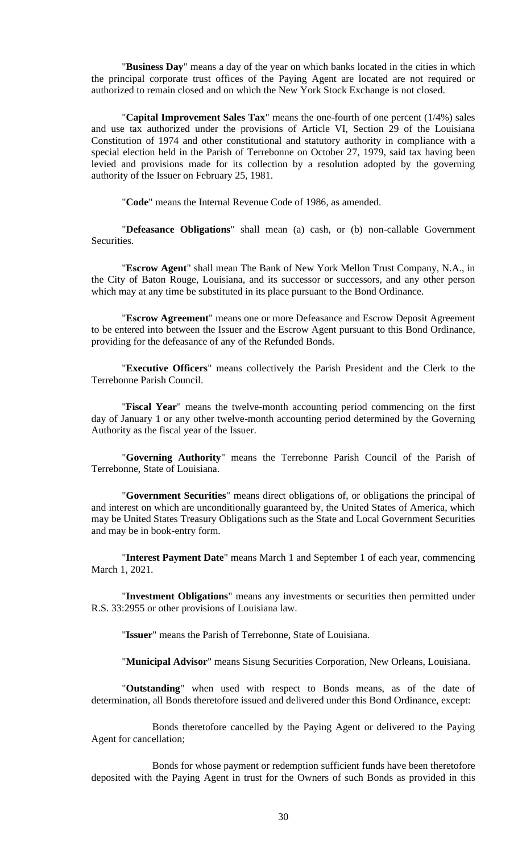"**Business Day**" means a day of the year on which banks located in the cities in which the principal corporate trust offices of the Paying Agent are located are not required or authorized to remain closed and on which the New York Stock Exchange is not closed.

"**Capital Improvement Sales Tax**" means the one-fourth of one percent (1/4%) sales and use tax authorized under the provisions of Article VI, Section 29 of the Louisiana Constitution of 1974 and other constitutional and statutory authority in compliance with a special election held in the Parish of Terrebonne on October 27, 1979, said tax having been levied and provisions made for its collection by a resolution adopted by the governing authority of the Issuer on February 25, 1981.

"**Code**" means the Internal Revenue Code of 1986, as amended.

"**Defeasance Obligations**" shall mean (a) cash, or (b) non-callable Government Securities.

"**Escrow Agent**" shall mean The Bank of New York Mellon Trust Company, N.A., in the City of Baton Rouge, Louisiana, and its successor or successors, and any other person which may at any time be substituted in its place pursuant to the Bond Ordinance.

"**Escrow Agreement**" means one or more Defeasance and Escrow Deposit Agreement to be entered into between the Issuer and the Escrow Agent pursuant to this Bond Ordinance, providing for the defeasance of any of the Refunded Bonds.

"**Executive Officers**" means collectively the Parish President and the Clerk to the Terrebonne Parish Council.

"**Fiscal Year**" means the twelve-month accounting period commencing on the first day of January 1 or any other twelve-month accounting period determined by the Governing Authority as the fiscal year of the Issuer.

"**Governing Authority**" means the Terrebonne Parish Council of the Parish of Terrebonne, State of Louisiana.

"**Government Securities**" means direct obligations of, or obligations the principal of and interest on which are unconditionally guaranteed by, the United States of America, which may be United States Treasury Obligations such as the State and Local Government Securities and may be in book-entry form.

"**Interest Payment Date**" means March 1 and September 1 of each year, commencing March 1, 2021.

"**Investment Obligations**" means any investments or securities then permitted under R.S. 33:2955 or other provisions of Louisiana law.

"**Issuer**" means the Parish of Terrebonne, State of Louisiana.

"**Municipal Advisor**" means Sisung Securities Corporation, New Orleans, Louisiana.

"**Outstanding**" when used with respect to Bonds means, as of the date of determination, all Bonds theretofore issued and delivered under this Bond Ordinance, except:

Bonds theretofore cancelled by the Paying Agent or delivered to the Paying Agent for cancellation;

Bonds for whose payment or redemption sufficient funds have been theretofore deposited with the Paying Agent in trust for the Owners of such Bonds as provided in this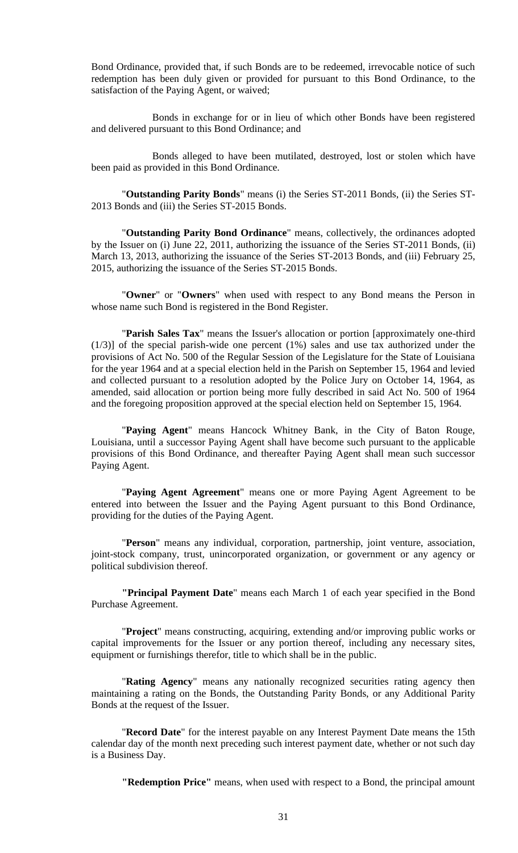Bond Ordinance, provided that, if such Bonds are to be redeemed, irrevocable notice of such redemption has been duly given or provided for pursuant to this Bond Ordinance, to the satisfaction of the Paying Agent, or waived;

Bonds in exchange for or in lieu of which other Bonds have been registered and delivered pursuant to this Bond Ordinance; and

Bonds alleged to have been mutilated, destroyed, lost or stolen which have been paid as provided in this Bond Ordinance.

"**Outstanding Parity Bonds**" means (i) the Series ST-2011 Bonds, (ii) the Series ST-2013 Bonds and (iii) the Series ST-2015 Bonds.

"**Outstanding Parity Bond Ordinance**" means, collectively, the ordinances adopted by the Issuer on (i) June 22, 2011, authorizing the issuance of the Series ST-2011 Bonds, (ii) March 13, 2013, authorizing the issuance of the Series ST-2013 Bonds, and (iii) February 25, 2015, authorizing the issuance of the Series ST-2015 Bonds.

"**Owner**" or "**Owners**" when used with respect to any Bond means the Person in whose name such Bond is registered in the Bond Register.

"**Parish Sales Tax**" means the Issuer's allocation or portion [approximately one-third (1/3)] of the special parish-wide one percent (1%) sales and use tax authorized under the provisions of Act No. 500 of the Regular Session of the Legislature for the State of Louisiana for the year 1964 and at a special election held in the Parish on September 15, 1964 and levied and collected pursuant to a resolution adopted by the Police Jury on October 14, 1964, as amended, said allocation or portion being more fully described in said Act No. 500 of 1964 and the foregoing proposition approved at the special election held on September 15, 1964.

"**Paying Agent**" means Hancock Whitney Bank, in the City of Baton Rouge, Louisiana, until a successor Paying Agent shall have become such pursuant to the applicable provisions of this Bond Ordinance, and thereafter Paying Agent shall mean such successor Paying Agent.

"**Paying Agent Agreement**" means one or more Paying Agent Agreement to be entered into between the Issuer and the Paying Agent pursuant to this Bond Ordinance, providing for the duties of the Paying Agent.

"**Person**" means any individual, corporation, partnership, joint venture, association, joint-stock company, trust, unincorporated organization, or government or any agency or political subdivision thereof.

**"Principal Payment Date**" means each March 1 of each year specified in the Bond Purchase Agreement.

"**Project**" means constructing, acquiring, extending and/or improving public works or capital improvements for the Issuer or any portion thereof, including any necessary sites, equipment or furnishings therefor, title to which shall be in the public.

"**Rating Agency**" means any nationally recognized securities rating agency then maintaining a rating on the Bonds, the Outstanding Parity Bonds, or any Additional Parity Bonds at the request of the Issuer.

"**Record Date**" for the interest payable on any Interest Payment Date means the 15th calendar day of the month next preceding such interest payment date, whether or not such day is a Business Day.

**"Redemption Price"** means, when used with respect to a Bond, the principal amount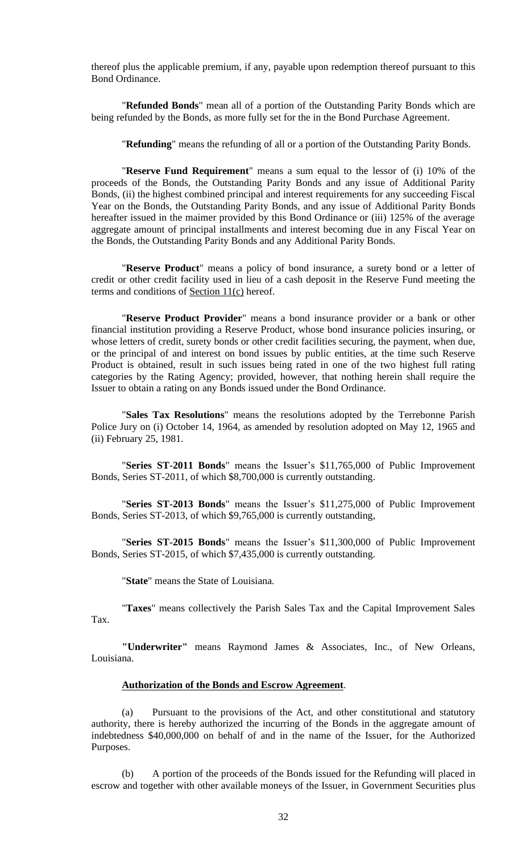thereof plus the applicable premium, if any, payable upon redemption thereof pursuant to this Bond Ordinance.

"**Refunded Bonds**" mean all of a portion of the Outstanding Parity Bonds which are being refunded by the Bonds, as more fully set for the in the Bond Purchase Agreement.

"**Refunding**" means the refunding of all or a portion of the Outstanding Parity Bonds.

"**Reserve Fund Requirement**" means a sum equal to the lessor of (i) 10% of the proceeds of the Bonds, the Outstanding Parity Bonds and any issue of Additional Parity Bonds, (ii) the highest combined principal and interest requirements for any succeeding Fiscal Year on the Bonds, the Outstanding Parity Bonds, and any issue of Additional Parity Bonds hereafter issued in the maimer provided by this Bond Ordinance or (iii) 125% of the average aggregate amount of principal installments and interest becoming due in any Fiscal Year on the Bonds, the Outstanding Parity Bonds and any Additional Parity Bonds.

"**Reserve Product**" means a policy of bond insurance, a surety bond or a letter of credit or other credit facility used in lieu of a cash deposit in the Reserve Fund meeting the terms and conditions of Section  $11(c)$  hereof.

"**Reserve Product Provider**" means a bond insurance provider or a bank or other financial institution providing a Reserve Product, whose bond insurance policies insuring, or whose letters of credit, surety bonds or other credit facilities securing, the payment, when due, or the principal of and interest on bond issues by public entities, at the time such Reserve Product is obtained, result in such issues being rated in one of the two highest full rating categories by the Rating Agency; provided, however, that nothing herein shall require the Issuer to obtain a rating on any Bonds issued under the Bond Ordinance.

"**Sales Tax Resolutions**" means the resolutions adopted by the Terrebonne Parish Police Jury on (i) October 14, 1964, as amended by resolution adopted on May 12, 1965 and (ii) February 25, 1981.

"**Series ST-2011 Bonds**" means the Issuer's \$11,765,000 of Public Improvement Bonds, Series ST-2011, of which \$8,700,000 is currently outstanding.

"**Series ST-2013 Bonds**" means the Issuer's \$11,275,000 of Public Improvement Bonds, Series ST-2013, of which \$9,765,000 is currently outstanding,

"**Series ST-2015 Bonds**" means the Issuer's \$11,300,000 of Public Improvement Bonds, Series ST-2015, of which \$7,435,000 is currently outstanding.

"**State**" means the State of Louisiana.

"**Taxes**" means collectively the Parish Sales Tax and the Capital Improvement Sales Tax.

**"Underwriter"** means Raymond James & Associates, Inc., of New Orleans, Louisiana.

## **Authorization of the Bonds and Escrow Agreement**.

(a) Pursuant to the provisions of the Act, and other constitutional and statutory authority, there is hereby authorized the incurring of the Bonds in the aggregate amount of indebtedness \$40,000,000 on behalf of and in the name of the Issuer, for the Authorized Purposes.

(b) A portion of the proceeds of the Bonds issued for the Refunding will placed in escrow and together with other available moneys of the Issuer, in Government Securities plus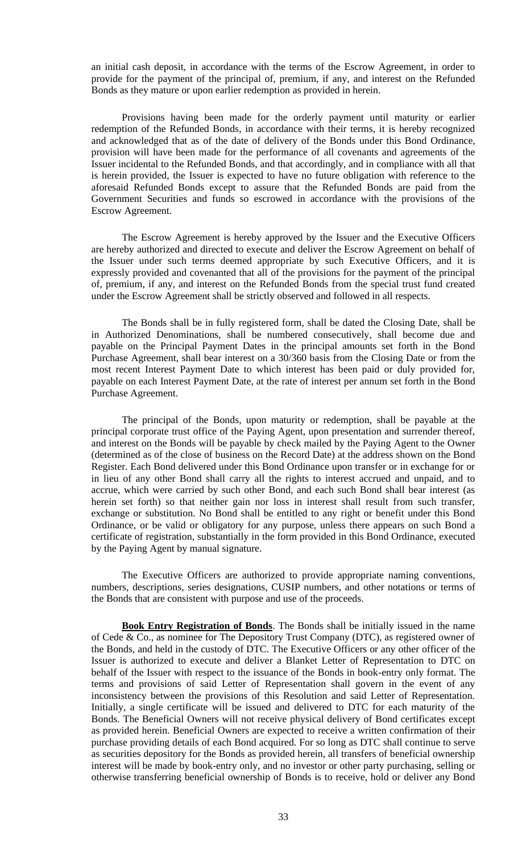an initial cash deposit, in accordance with the terms of the Escrow Agreement, in order to provide for the payment of the principal of, premium, if any, and interest on the Refunded Bonds as they mature or upon earlier redemption as provided in herein.

Provisions having been made for the orderly payment until maturity or earlier redemption of the Refunded Bonds, in accordance with their terms, it is hereby recognized and acknowledged that as of the date of delivery of the Bonds under this Bond Ordinance, provision will have been made for the performance of all covenants and agreements of the Issuer incidental to the Refunded Bonds, and that accordingly, and in compliance with all that is herein provided, the Issuer is expected to have no future obligation with reference to the aforesaid Refunded Bonds except to assure that the Refunded Bonds are paid from the Government Securities and funds so escrowed in accordance with the provisions of the Escrow Agreement.

The Escrow Agreement is hereby approved by the Issuer and the Executive Officers are hereby authorized and directed to execute and deliver the Escrow Agreement on behalf of the Issuer under such terms deemed appropriate by such Executive Officers, and it is expressly provided and covenanted that all of the provisions for the payment of the principal of, premium, if any, and interest on the Refunded Bonds from the special trust fund created under the Escrow Agreement shall be strictly observed and followed in all respects.

The Bonds shall be in fully registered form, shall be dated the Closing Date, shall be in Authorized Denominations, shall be numbered consecutively, shall become due and payable on the Principal Payment Dates in the principal amounts set forth in the Bond Purchase Agreement, shall bear interest on a 30/360 basis from the Closing Date or from the most recent Interest Payment Date to which interest has been paid or duly provided for, payable on each Interest Payment Date, at the rate of interest per annum set forth in the Bond Purchase Agreement.

The principal of the Bonds, upon maturity or redemption, shall be payable at the principal corporate trust office of the Paying Agent, upon presentation and surrender thereof, and interest on the Bonds will be payable by check mailed by the Paying Agent to the Owner (determined as of the close of business on the Record Date) at the address shown on the Bond Register. Each Bond delivered under this Bond Ordinance upon transfer or in exchange for or in lieu of any other Bond shall carry all the rights to interest accrued and unpaid, and to accrue, which were carried by such other Bond, and each such Bond shall bear interest (as herein set forth) so that neither gain nor loss in interest shall result from such transfer, exchange or substitution. No Bond shall be entitled to any right or benefit under this Bond Ordinance, or be valid or obligatory for any purpose, unless there appears on such Bond a certificate of registration, substantially in the form provided in this Bond Ordinance, executed by the Paying Agent by manual signature.

The Executive Officers are authorized to provide appropriate naming conventions, numbers, descriptions, series designations, CUSIP numbers, and other notations or terms of the Bonds that are consistent with purpose and use of the proceeds.

**Book Entry Registration of Bonds**. The Bonds shall be initially issued in the name of Cede & Co., as nominee for The Depository Trust Company (DTC), as registered owner of the Bonds, and held in the custody of DTC. The Executive Officers or any other officer of the Issuer is authorized to execute and deliver a Blanket Letter of Representation to DTC on behalf of the Issuer with respect to the issuance of the Bonds in book-entry only format. The terms and provisions of said Letter of Representation shall govern in the event of any inconsistency between the provisions of this Resolution and said Letter of Representation. Initially, a single certificate will be issued and delivered to DTC for each maturity of the Bonds. The Beneficial Owners will not receive physical delivery of Bond certificates except as provided herein. Beneficial Owners are expected to receive a written confirmation of their purchase providing details of each Bond acquired. For so long as DTC shall continue to serve as securities depository for the Bonds as provided herein, all transfers of beneficial ownership interest will be made by book-entry only, and no investor or other party purchasing, selling or otherwise transferring beneficial ownership of Bonds is to receive, hold or deliver any Bond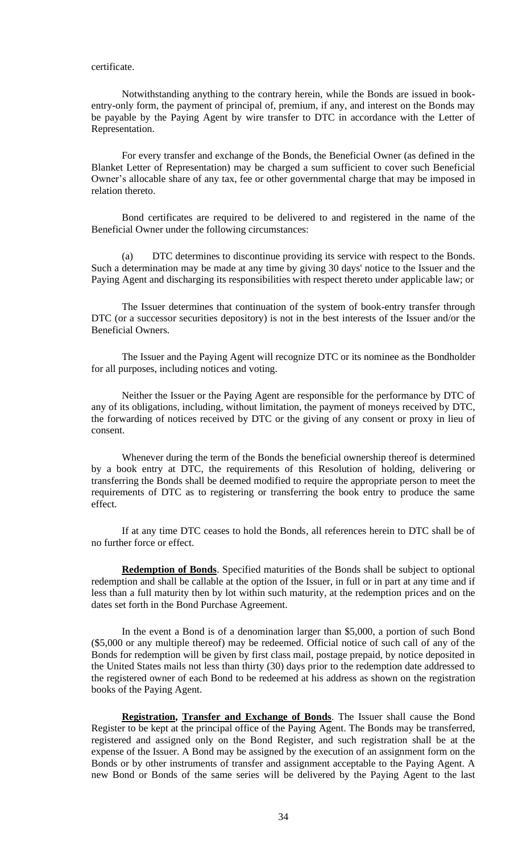### certificate.

Notwithstanding anything to the contrary herein, while the Bonds are issued in bookentry-only form, the payment of principal of, premium, if any, and interest on the Bonds may be payable by the Paying Agent by wire transfer to DTC in accordance with the Letter of Representation.

For every transfer and exchange of the Bonds, the Beneficial Owner (as defined in the Blanket Letter of Representation) may be charged a sum sufficient to cover such Beneficial Owner's allocable share of any tax, fee or other governmental charge that may be imposed in relation thereto.

Bond certificates are required to be delivered to and registered in the name of the Beneficial Owner under the following circumstances:

(a) DTC determines to discontinue providing its service with respect to the Bonds. Such a determination may be made at any time by giving 30 days' notice to the Issuer and the Paying Agent and discharging its responsibilities with respect thereto under applicable law; or

The Issuer determines that continuation of the system of book-entry transfer through DTC (or a successor securities depository) is not in the best interests of the Issuer and/or the Beneficial Owners.

The Issuer and the Paying Agent will recognize DTC or its nominee as the Bondholder for all purposes, including notices and voting.

Neither the Issuer or the Paying Agent are responsible for the performance by DTC of any of its obligations, including, without limitation, the payment of moneys received by DTC, the forwarding of notices received by DTC or the giving of any consent or proxy in lieu of consent.

Whenever during the term of the Bonds the beneficial ownership thereof is determined by a book entry at DTC, the requirements of this Resolution of holding, delivering or transferring the Bonds shall be deemed modified to require the appropriate person to meet the requirements of DTC as to registering or transferring the book entry to produce the same effect.

If at any time DTC ceases to hold the Bonds, all references herein to DTC shall be of no further force or effect.

**Redemption of Bonds**. Specified maturities of the Bonds shall be subject to optional redemption and shall be callable at the option of the Issuer, in full or in part at any time and if less than a full maturity then by lot within such maturity, at the redemption prices and on the dates set forth in the Bond Purchase Agreement.

In the event a Bond is of a denomination larger than \$5,000, a portion of such Bond (\$5,000 or any multiple thereof) may be redeemed. Official notice of such call of any of the Bonds for redemption will be given by first class mail, postage prepaid, by notice deposited in the United States mails not less than thirty (30) days prior to the redemption date addressed to the registered owner of each Bond to be redeemed at his address as shown on the registration books of the Paying Agent.

**Registration, Transfer and Exchange of Bonds**. The Issuer shall cause the Bond Register to be kept at the principal office of the Paying Agent. The Bonds may be transferred, registered and assigned only on the Bond Register, and such registration shall be at the expense of the Issuer. A Bond may be assigned by the execution of an assignment form on the Bonds or by other instruments of transfer and assignment acceptable to the Paying Agent. A new Bond or Bonds of the same series will be delivered by the Paying Agent to the last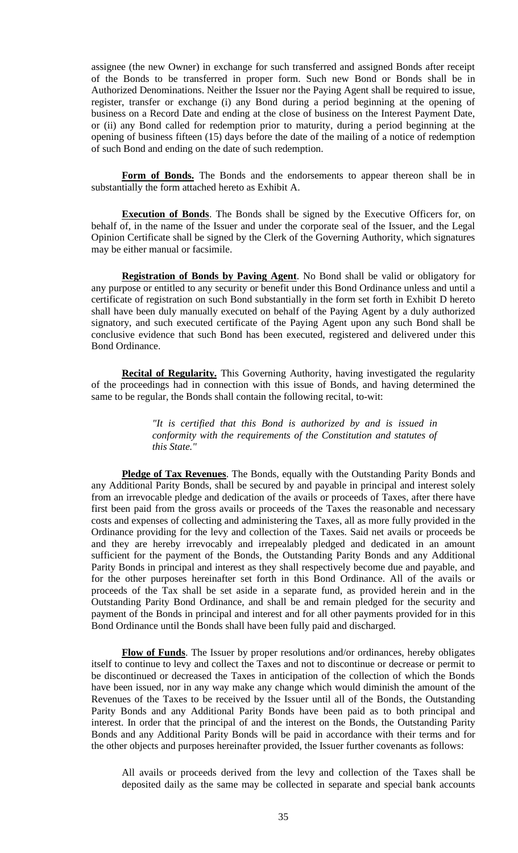assignee (the new Owner) in exchange for such transferred and assigned Bonds after receipt of the Bonds to be transferred in proper form. Such new Bond or Bonds shall be in Authorized Denominations. Neither the Issuer nor the Paying Agent shall be required to issue, register, transfer or exchange (i) any Bond during a period beginning at the opening of business on a Record Date and ending at the close of business on the Interest Payment Date, or (ii) any Bond called for redemption prior to maturity, during a period beginning at the opening of business fifteen (15) days before the date of the mailing of a notice of redemption of such Bond and ending on the date of such redemption.

Form of Bonds. The Bonds and the endorsements to appear thereon shall be in substantially the form attached hereto as Exhibit A.

**Execution of Bonds**. The Bonds shall be signed by the Executive Officers for, on behalf of, in the name of the Issuer and under the corporate seal of the Issuer, and the Legal Opinion Certificate shall be signed by the Clerk of the Governing Authority, which signatures may be either manual or facsimile.

**Registration of Bonds by Paving Agent**. No Bond shall be valid or obligatory for any purpose or entitled to any security or benefit under this Bond Ordinance unless and until a certificate of registration on such Bond substantially in the form set forth in Exhibit D hereto shall have been duly manually executed on behalf of the Paying Agent by a duly authorized signatory, and such executed certificate of the Paying Agent upon any such Bond shall be conclusive evidence that such Bond has been executed, registered and delivered under this Bond Ordinance.

**Recital of Regularity.** This Governing Authority, having investigated the regularity of the proceedings had in connection with this issue of Bonds, and having determined the same to be regular, the Bonds shall contain the following recital, to-wit:

> *"It is certified that this Bond is authorized by and is issued in conformity with the requirements of the Constitution and statutes of this State."*

**Pledge of Tax Revenues**. The Bonds, equally with the Outstanding Parity Bonds and any Additional Parity Bonds, shall be secured by and payable in principal and interest solely from an irrevocable pledge and dedication of the avails or proceeds of Taxes, after there have first been paid from the gross avails or proceeds of the Taxes the reasonable and necessary costs and expenses of collecting and administering the Taxes, all as more fully provided in the Ordinance providing for the levy and collection of the Taxes. Said net avails or proceeds be and they are hereby irrevocably and irrepealably pledged and dedicated in an amount sufficient for the payment of the Bonds, the Outstanding Parity Bonds and any Additional Parity Bonds in principal and interest as they shall respectively become due and payable, and for the other purposes hereinafter set forth in this Bond Ordinance. All of the avails or proceeds of the Tax shall be set aside in a separate fund, as provided herein and in the Outstanding Parity Bond Ordinance, and shall be and remain pledged for the security and payment of the Bonds in principal and interest and for all other payments provided for in this Bond Ordinance until the Bonds shall have been fully paid and discharged.

**Flow of Funds**. The Issuer by proper resolutions and/or ordinances, hereby obligates itself to continue to levy and collect the Taxes and not to discontinue or decrease or permit to be discontinued or decreased the Taxes in anticipation of the collection of which the Bonds have been issued, nor in any way make any change which would diminish the amount of the Revenues of the Taxes to be received by the Issuer until all of the Bonds, the Outstanding Parity Bonds and any Additional Parity Bonds have been paid as to both principal and interest. In order that the principal of and the interest on the Bonds, the Outstanding Parity Bonds and any Additional Parity Bonds will be paid in accordance with their terms and for the other objects and purposes hereinafter provided, the Issuer further covenants as follows:

All avails or proceeds derived from the levy and collection of the Taxes shall be deposited daily as the same may be collected in separate and special bank accounts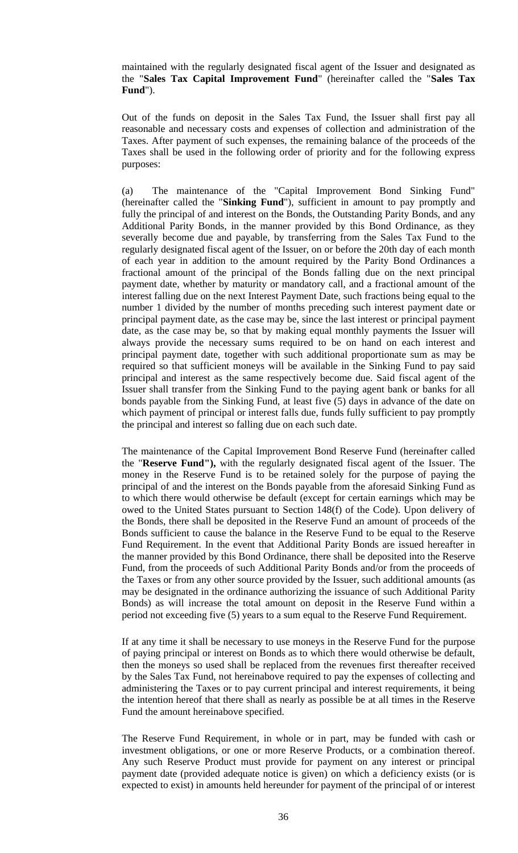maintained with the regularly designated fiscal agent of the Issuer and designated as the "**Sales Tax Capital Improvement Fund**" (hereinafter called the "**Sales Tax Fund**").

Out of the funds on deposit in the Sales Tax Fund, the Issuer shall first pay all reasonable and necessary costs and expenses of collection and administration of the Taxes. After payment of such expenses, the remaining balance of the proceeds of the Taxes shall be used in the following order of priority and for the following express purposes:

(a) The maintenance of the "Capital Improvement Bond Sinking Fund" (hereinafter called the "**Sinking Fund**"), sufficient in amount to pay promptly and fully the principal of and interest on the Bonds, the Outstanding Parity Bonds, and any Additional Parity Bonds, in the manner provided by this Bond Ordinance, as they severally become due and payable, by transferring from the Sales Tax Fund to the regularly designated fiscal agent of the Issuer, on or before the 20th day of each month of each year in addition to the amount required by the Parity Bond Ordinances a fractional amount of the principal of the Bonds falling due on the next principal payment date, whether by maturity or mandatory call, and a fractional amount of the interest falling due on the next Interest Payment Date, such fractions being equal to the number 1 divided by the number of months preceding such interest payment date or principal payment date, as the case may be, since the last interest or principal payment date, as the case may be, so that by making equal monthly payments the Issuer will always provide the necessary sums required to be on hand on each interest and principal payment date, together with such additional proportionate sum as may be required so that sufficient moneys will be available in the Sinking Fund to pay said principal and interest as the same respectively become due. Said fiscal agent of the Issuer shall transfer from the Sinking Fund to the paying agent bank or banks for all bonds payable from the Sinking Fund, at least five (5) days in advance of the date on which payment of principal or interest falls due, funds fully sufficient to pay promptly the principal and interest so falling due on each such date.

The maintenance of the Capital Improvement Bond Reserve Fund (hereinafter called the "**Reserve Fund"),** with the regularly designated fiscal agent of the Issuer. The money in the Reserve Fund is to be retained solely for the purpose of paying the principal of and the interest on the Bonds payable from the aforesaid Sinking Fund as to which there would otherwise be default (except for certain earnings which may be owed to the United States pursuant to Section 148(f) of the Code). Upon delivery of the Bonds, there shall be deposited in the Reserve Fund an amount of proceeds of the Bonds sufficient to cause the balance in the Reserve Fund to be equal to the Reserve Fund Requirement. In the event that Additional Parity Bonds are issued hereafter in the manner provided by this Bond Ordinance, there shall be deposited into the Reserve Fund, from the proceeds of such Additional Parity Bonds and/or from the proceeds of the Taxes or from any other source provided by the Issuer, such additional amounts (as may be designated in the ordinance authorizing the issuance of such Additional Parity Bonds) as will increase the total amount on deposit in the Reserve Fund within a period not exceeding five (5) years to a sum equal to the Reserve Fund Requirement.

If at any time it shall be necessary to use moneys in the Reserve Fund for the purpose of paying principal or interest on Bonds as to which there would otherwise be default, then the moneys so used shall be replaced from the revenues first thereafter received by the Sales Tax Fund, not hereinabove required to pay the expenses of collecting and administering the Taxes or to pay current principal and interest requirements, it being the intention hereof that there shall as nearly as possible be at all times in the Reserve Fund the amount hereinabove specified.

The Reserve Fund Requirement, in whole or in part, may be funded with cash or investment obligations, or one or more Reserve Products, or a combination thereof. Any such Reserve Product must provide for payment on any interest or principal payment date (provided adequate notice is given) on which a deficiency exists (or is expected to exist) in amounts held hereunder for payment of the principal of or interest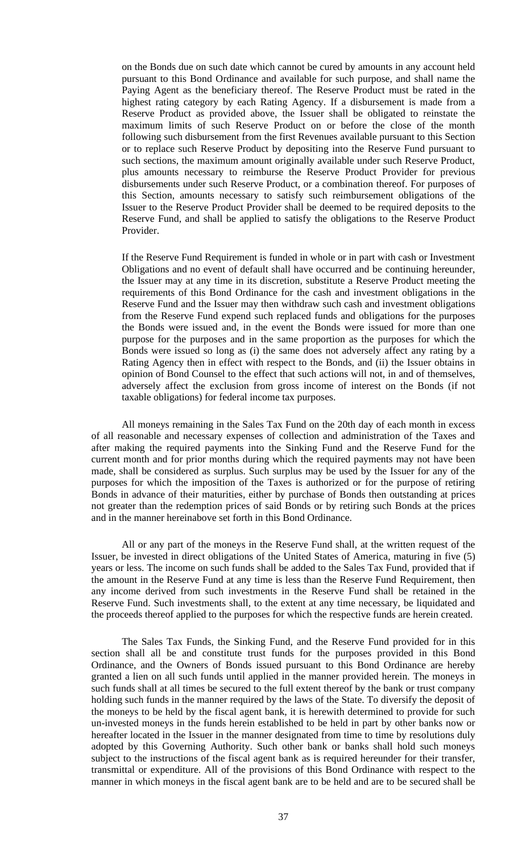on the Bonds due on such date which cannot be cured by amounts in any account held pursuant to this Bond Ordinance and available for such purpose, and shall name the Paying Agent as the beneficiary thereof. The Reserve Product must be rated in the highest rating category by each Rating Agency. If a disbursement is made from a Reserve Product as provided above, the Issuer shall be obligated to reinstate the maximum limits of such Reserve Product on or before the close of the month following such disbursement from the first Revenues available pursuant to this Section or to replace such Reserve Product by depositing into the Reserve Fund pursuant to such sections, the maximum amount originally available under such Reserve Product, plus amounts necessary to reimburse the Reserve Product Provider for previous disbursements under such Reserve Product, or a combination thereof. For purposes of this Section, amounts necessary to satisfy such reimbursement obligations of the Issuer to the Reserve Product Provider shall be deemed to be required deposits to the Reserve Fund, and shall be applied to satisfy the obligations to the Reserve Product Provider.

If the Reserve Fund Requirement is funded in whole or in part with cash or Investment Obligations and no event of default shall have occurred and be continuing hereunder, the Issuer may at any time in its discretion, substitute a Reserve Product meeting the requirements of this Bond Ordinance for the cash and investment obligations in the Reserve Fund and the Issuer may then withdraw such cash and investment obligations from the Reserve Fund expend such replaced funds and obligations for the purposes the Bonds were issued and, in the event the Bonds were issued for more than one purpose for the purposes and in the same proportion as the purposes for which the Bonds were issued so long as (i) the same does not adversely affect any rating by a Rating Agency then in effect with respect to the Bonds, and (ii) the Issuer obtains in opinion of Bond Counsel to the effect that such actions will not, in and of themselves, adversely affect the exclusion from gross income of interest on the Bonds (if not taxable obligations) for federal income tax purposes.

All moneys remaining in the Sales Tax Fund on the 20th day of each month in excess of all reasonable and necessary expenses of collection and administration of the Taxes and after making the required payments into the Sinking Fund and the Reserve Fund for the current month and for prior months during which the required payments may not have been made, shall be considered as surplus. Such surplus may be used by the Issuer for any of the purposes for which the imposition of the Taxes is authorized or for the purpose of retiring Bonds in advance of their maturities, either by purchase of Bonds then outstanding at prices not greater than the redemption prices of said Bonds or by retiring such Bonds at the prices and in the manner hereinabove set forth in this Bond Ordinance.

All or any part of the moneys in the Reserve Fund shall, at the written request of the Issuer, be invested in direct obligations of the United States of America, maturing in five (5) years or less. The income on such funds shall be added to the Sales Tax Fund, provided that if the amount in the Reserve Fund at any time is less than the Reserve Fund Requirement, then any income derived from such investments in the Reserve Fund shall be retained in the Reserve Fund. Such investments shall, to the extent at any time necessary, be liquidated and the proceeds thereof applied to the purposes for which the respective funds are herein created.

The Sales Tax Funds, the Sinking Fund, and the Reserve Fund provided for in this section shall all be and constitute trust funds for the purposes provided in this Bond Ordinance, and the Owners of Bonds issued pursuant to this Bond Ordinance are hereby granted a lien on all such funds until applied in the manner provided herein. The moneys in such funds shall at all times be secured to the full extent thereof by the bank or trust company holding such funds in the manner required by the laws of the State. To diversify the deposit of the moneys to be held by the fiscal agent bank, it is herewith determined to provide for such un-invested moneys in the funds herein established to be held in part by other banks now or hereafter located in the Issuer in the manner designated from time to time by resolutions duly adopted by this Governing Authority. Such other bank or banks shall hold such moneys subject to the instructions of the fiscal agent bank as is required hereunder for their transfer, transmittal or expenditure. All of the provisions of this Bond Ordinance with respect to the manner in which moneys in the fiscal agent bank are to be held and are to be secured shall be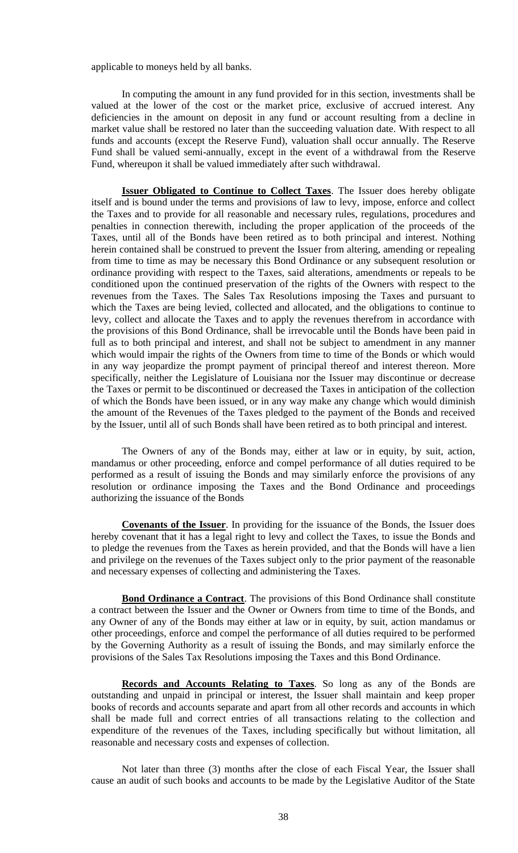applicable to moneys held by all banks.

In computing the amount in any fund provided for in this section, investments shall be valued at the lower of the cost or the market price, exclusive of accrued interest. Any deficiencies in the amount on deposit in any fund or account resulting from a decline in market value shall be restored no later than the succeeding valuation date. With respect to all funds and accounts (except the Reserve Fund), valuation shall occur annually. The Reserve Fund shall be valued semi-annually, except in the event of a withdrawal from the Reserve Fund, whereupon it shall be valued immediately after such withdrawal.

**Issuer Obligated to Continue to Collect Taxes**. The Issuer does hereby obligate itself and is bound under the terms and provisions of law to levy, impose, enforce and collect the Taxes and to provide for all reasonable and necessary rules, regulations, procedures and penalties in connection therewith, including the proper application of the proceeds of the Taxes, until all of the Bonds have been retired as to both principal and interest. Nothing herein contained shall be construed to prevent the Issuer from altering, amending or repealing from time to time as may be necessary this Bond Ordinance or any subsequent resolution or ordinance providing with respect to the Taxes, said alterations, amendments or repeals to be conditioned upon the continued preservation of the rights of the Owners with respect to the revenues from the Taxes. The Sales Tax Resolutions imposing the Taxes and pursuant to which the Taxes are being levied, collected and allocated, and the obligations to continue to levy, collect and allocate the Taxes and to apply the revenues therefrom in accordance with the provisions of this Bond Ordinance, shall be irrevocable until the Bonds have been paid in full as to both principal and interest, and shall not be subject to amendment in any manner which would impair the rights of the Owners from time to time of the Bonds or which would in any way jeopardize the prompt payment of principal thereof and interest thereon. More specifically, neither the Legislature of Louisiana nor the Issuer may discontinue or decrease the Taxes or permit to be discontinued or decreased the Taxes in anticipation of the collection of which the Bonds have been issued, or in any way make any change which would diminish the amount of the Revenues of the Taxes pledged to the payment of the Bonds and received by the Issuer, until all of such Bonds shall have been retired as to both principal and interest.

The Owners of any of the Bonds may, either at law or in equity, by suit, action, mandamus or other proceeding, enforce and compel performance of all duties required to be performed as a result of issuing the Bonds and may similarly enforce the provisions of any resolution or ordinance imposing the Taxes and the Bond Ordinance and proceedings authorizing the issuance of the Bonds

**Covenants of the Issuer**. In providing for the issuance of the Bonds, the Issuer does hereby covenant that it has a legal right to levy and collect the Taxes, to issue the Bonds and to pledge the revenues from the Taxes as herein provided, and that the Bonds will have a lien and privilege on the revenues of the Taxes subject only to the prior payment of the reasonable and necessary expenses of collecting and administering the Taxes.

**Bond Ordinance a Contract**. The provisions of this Bond Ordinance shall constitute a contract between the Issuer and the Owner or Owners from time to time of the Bonds, and any Owner of any of the Bonds may either at law or in equity, by suit, action mandamus or other proceedings, enforce and compel the performance of all duties required to be performed by the Governing Authority as a result of issuing the Bonds, and may similarly enforce the provisions of the Sales Tax Resolutions imposing the Taxes and this Bond Ordinance.

**Records and Accounts Relating to Taxes**. So long as any of the Bonds are outstanding and unpaid in principal or interest, the Issuer shall maintain and keep proper books of records and accounts separate and apart from all other records and accounts in which shall be made full and correct entries of all transactions relating to the collection and expenditure of the revenues of the Taxes, including specifically but without limitation, all reasonable and necessary costs and expenses of collection.

Not later than three (3) months after the close of each Fiscal Year, the Issuer shall cause an audit of such books and accounts to be made by the Legislative Auditor of the State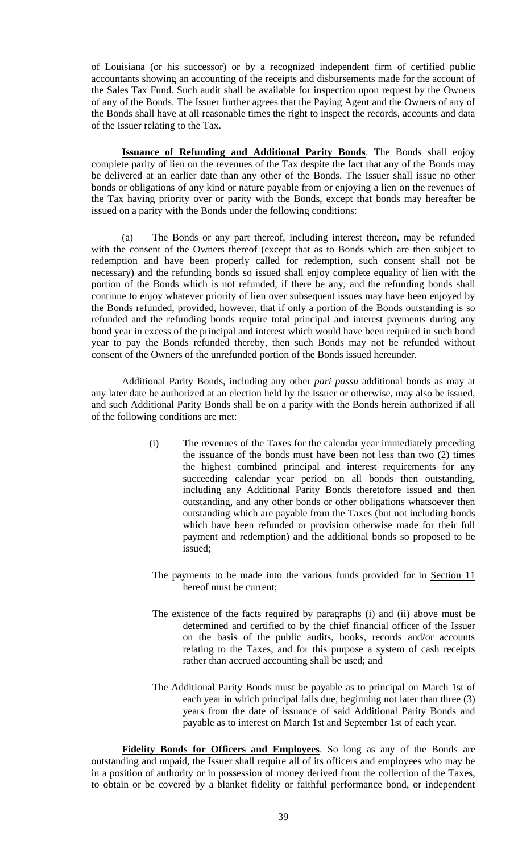of Louisiana (or his successor) or by a recognized independent firm of certified public accountants showing an accounting of the receipts and disbursements made for the account of the Sales Tax Fund. Such audit shall be available for inspection upon request by the Owners of any of the Bonds. The Issuer further agrees that the Paying Agent and the Owners of any of the Bonds shall have at all reasonable times the right to inspect the records, accounts and data of the Issuer relating to the Tax.

**Issuance of Refunding and Additional Parity Bonds**. The Bonds shall enjoy complete parity of lien on the revenues of the Tax despite the fact that any of the Bonds may be delivered at an earlier date than any other of the Bonds. The Issuer shall issue no other bonds or obligations of any kind or nature payable from or enjoying a lien on the revenues of the Tax having priority over or parity with the Bonds, except that bonds may hereafter be issued on a parity with the Bonds under the following conditions:

(a) The Bonds or any part thereof, including interest thereon, may be refunded with the consent of the Owners thereof (except that as to Bonds which are then subject to redemption and have been properly called for redemption, such consent shall not be necessary) and the refunding bonds so issued shall enjoy complete equality of lien with the portion of the Bonds which is not refunded, if there be any, and the refunding bonds shall continue to enjoy whatever priority of lien over subsequent issues may have been enjoyed by the Bonds refunded, provided, however, that if only a portion of the Bonds outstanding is so refunded and the refunding bonds require total principal and interest payments during any bond year in excess of the principal and interest which would have been required in such bond year to pay the Bonds refunded thereby, then such Bonds may not be refunded without consent of the Owners of the unrefunded portion of the Bonds issued hereunder.

Additional Parity Bonds, including any other *pari passu* additional bonds as may at any later date be authorized at an election held by the Issuer or otherwise, may also be issued, and such Additional Parity Bonds shall be on a parity with the Bonds herein authorized if all of the following conditions are met:

- (i) The revenues of the Taxes for the calendar year immediately preceding the issuance of the bonds must have been not less than two (2) times the highest combined principal and interest requirements for any succeeding calendar year period on all bonds then outstanding, including any Additional Parity Bonds theretofore issued and then outstanding, and any other bonds or other obligations whatsoever then outstanding which are payable from the Taxes (but not including bonds which have been refunded or provision otherwise made for their full payment and redemption) and the additional bonds so proposed to be issued;
- The payments to be made into the various funds provided for in Section 11 hereof must be current;
- The existence of the facts required by paragraphs (i) and (ii) above must be determined and certified to by the chief financial officer of the Issuer on the basis of the public audits, books, records and/or accounts relating to the Taxes, and for this purpose a system of cash receipts rather than accrued accounting shall be used; and
- The Additional Parity Bonds must be payable as to principal on March 1st of each year in which principal falls due, beginning not later than three (3) years from the date of issuance of said Additional Parity Bonds and payable as to interest on March 1st and September 1st of each year.

**Fidelity Bonds for Officers and Employees**. So long as any of the Bonds are outstanding and unpaid, the Issuer shall require all of its officers and employees who may be in a position of authority or in possession of money derived from the collection of the Taxes, to obtain or be covered by a blanket fidelity or faithful performance bond, or independent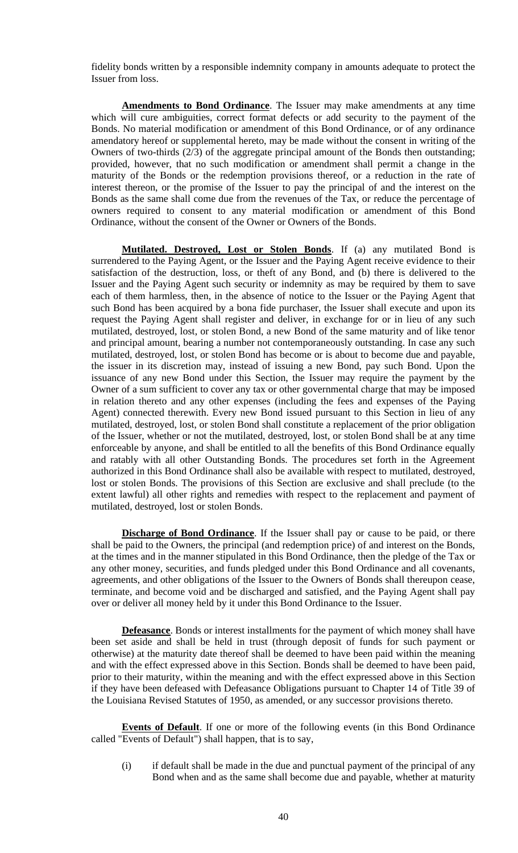fidelity bonds written by a responsible indemnity company in amounts adequate to protect the Issuer from loss.

**Amendments to Bond Ordinance**. The Issuer may make amendments at any time which will cure ambiguities, correct format defects or add security to the payment of the Bonds. No material modification or amendment of this Bond Ordinance, or of any ordinance amendatory hereof or supplemental hereto, may be made without the consent in writing of the Owners of two-thirds (2/3) of the aggregate principal amount of the Bonds then outstanding; provided, however, that no such modification or amendment shall permit a change in the maturity of the Bonds or the redemption provisions thereof, or a reduction in the rate of interest thereon, or the promise of the Issuer to pay the principal of and the interest on the Bonds as the same shall come due from the revenues of the Tax, or reduce the percentage of owners required to consent to any material modification or amendment of this Bond Ordinance, without the consent of the Owner or Owners of the Bonds.

**Mutilated. Destroyed, Lost or Stolen Bonds**. If (a) any mutilated Bond is surrendered to the Paying Agent, or the Issuer and the Paying Agent receive evidence to their satisfaction of the destruction, loss, or theft of any Bond, and (b) there is delivered to the Issuer and the Paying Agent such security or indemnity as may be required by them to save each of them harmless, then, in the absence of notice to the Issuer or the Paying Agent that such Bond has been acquired by a bona fide purchaser, the Issuer shall execute and upon its request the Paying Agent shall register and deliver, in exchange for or in lieu of any such mutilated, destroyed, lost, or stolen Bond, a new Bond of the same maturity and of like tenor and principal amount, bearing a number not contemporaneously outstanding. In case any such mutilated, destroyed, lost, or stolen Bond has become or is about to become due and payable, the issuer in its discretion may, instead of issuing a new Bond, pay such Bond. Upon the issuance of any new Bond under this Section, the Issuer may require the payment by the Owner of a sum sufficient to cover any tax or other governmental charge that may be imposed in relation thereto and any other expenses (including the fees and expenses of the Paying Agent) connected therewith. Every new Bond issued pursuant to this Section in lieu of any mutilated, destroyed, lost, or stolen Bond shall constitute a replacement of the prior obligation of the Issuer, whether or not the mutilated, destroyed, lost, or stolen Bond shall be at any time enforceable by anyone, and shall be entitled to all the benefits of this Bond Ordinance equally and ratably with all other Outstanding Bonds. The procedures set forth in the Agreement authorized in this Bond Ordinance shall also be available with respect to mutilated, destroyed, lost or stolen Bonds. The provisions of this Section are exclusive and shall preclude (to the extent lawful) all other rights and remedies with respect to the replacement and payment of mutilated, destroyed, lost or stolen Bonds.

**Discharge of Bond Ordinance**. If the Issuer shall pay or cause to be paid, or there shall be paid to the Owners, the principal (and redemption price) of and interest on the Bonds, at the times and in the manner stipulated in this Bond Ordinance, then the pledge of the Tax or any other money, securities, and funds pledged under this Bond Ordinance and all covenants, agreements, and other obligations of the Issuer to the Owners of Bonds shall thereupon cease, terminate, and become void and be discharged and satisfied, and the Paying Agent shall pay over or deliver all money held by it under this Bond Ordinance to the Issuer.

**Defeasance**. Bonds or interest installments for the payment of which money shall have been set aside and shall be held in trust (through deposit of funds for such payment or otherwise) at the maturity date thereof shall be deemed to have been paid within the meaning and with the effect expressed above in this Section. Bonds shall be deemed to have been paid, prior to their maturity, within the meaning and with the effect expressed above in this Section if they have been defeased with Defeasance Obligations pursuant to Chapter 14 of Title 39 of the Louisiana Revised Statutes of 1950, as amended, or any successor provisions thereto.

**Events of Default**. If one or more of the following events (in this Bond Ordinance called "Events of Default") shall happen, that is to say,

(i) if default shall be made in the due and punctual payment of the principal of any Bond when and as the same shall become due and payable, whether at maturity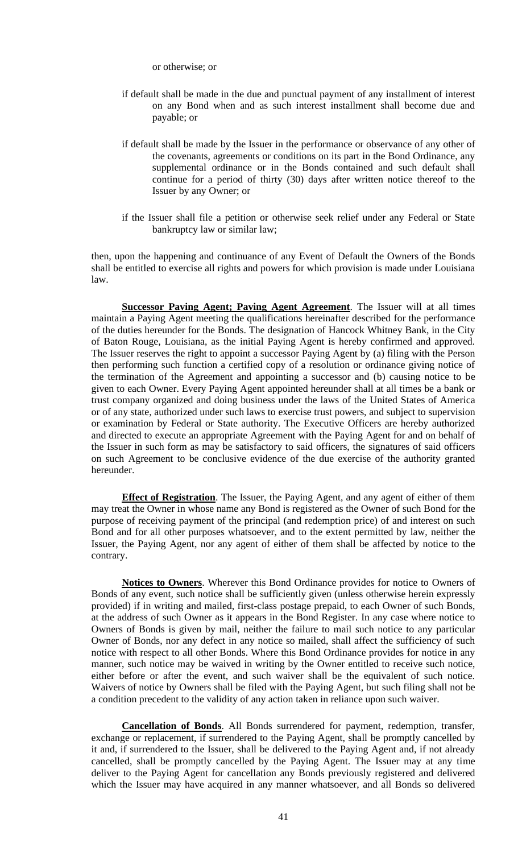or otherwise; or

- if default shall be made in the due and punctual payment of any installment of interest on any Bond when and as such interest installment shall become due and payable; or
- if default shall be made by the Issuer in the performance or observance of any other of the covenants, agreements or conditions on its part in the Bond Ordinance, any supplemental ordinance or in the Bonds contained and such default shall continue for a period of thirty (30) days after written notice thereof to the Issuer by any Owner; or
- if the Issuer shall file a petition or otherwise seek relief under any Federal or State bankruptcy law or similar law;

then, upon the happening and continuance of any Event of Default the Owners of the Bonds shall be entitled to exercise all rights and powers for which provision is made under Louisiana law.

**Successor Paving Agent; Paving Agent Agreement**. The Issuer will at all times maintain a Paying Agent meeting the qualifications hereinafter described for the performance of the duties hereunder for the Bonds. The designation of Hancock Whitney Bank, in the City of Baton Rouge, Louisiana, as the initial Paying Agent is hereby confirmed and approved. The Issuer reserves the right to appoint a successor Paying Agent by (a) filing with the Person then performing such function a certified copy of a resolution or ordinance giving notice of the termination of the Agreement and appointing a successor and (b) causing notice to be given to each Owner. Every Paying Agent appointed hereunder shall at all times be a bank or trust company organized and doing business under the laws of the United States of America or of any state, authorized under such laws to exercise trust powers, and subject to supervision or examination by Federal or State authority. The Executive Officers are hereby authorized and directed to execute an appropriate Agreement with the Paying Agent for and on behalf of the Issuer in such form as may be satisfactory to said officers, the signatures of said officers on such Agreement to be conclusive evidence of the due exercise of the authority granted hereunder.

**Effect of Registration**. The Issuer, the Paying Agent, and any agent of either of them may treat the Owner in whose name any Bond is registered as the Owner of such Bond for the purpose of receiving payment of the principal (and redemption price) of and interest on such Bond and for all other purposes whatsoever, and to the extent permitted by law, neither the Issuer, the Paying Agent, nor any agent of either of them shall be affected by notice to the contrary.

**Notices to Owners**. Wherever this Bond Ordinance provides for notice to Owners of Bonds of any event, such notice shall be sufficiently given (unless otherwise herein expressly provided) if in writing and mailed, first-class postage prepaid, to each Owner of such Bonds, at the address of such Owner as it appears in the Bond Register. In any case where notice to Owners of Bonds is given by mail, neither the failure to mail such notice to any particular Owner of Bonds, nor any defect in any notice so mailed, shall affect the sufficiency of such notice with respect to all other Bonds. Where this Bond Ordinance provides for notice in any manner, such notice may be waived in writing by the Owner entitled to receive such notice, either before or after the event, and such waiver shall be the equivalent of such notice. Waivers of notice by Owners shall be filed with the Paying Agent, but such filing shall not be a condition precedent to the validity of any action taken in reliance upon such waiver.

**Cancellation of Bonds**. All Bonds surrendered for payment, redemption, transfer, exchange or replacement, if surrendered to the Paying Agent, shall be promptly cancelled by it and, if surrendered to the Issuer, shall be delivered to the Paying Agent and, if not already cancelled, shall be promptly cancelled by the Paying Agent. The Issuer may at any time deliver to the Paying Agent for cancellation any Bonds previously registered and delivered which the Issuer may have acquired in any manner whatsoever, and all Bonds so delivered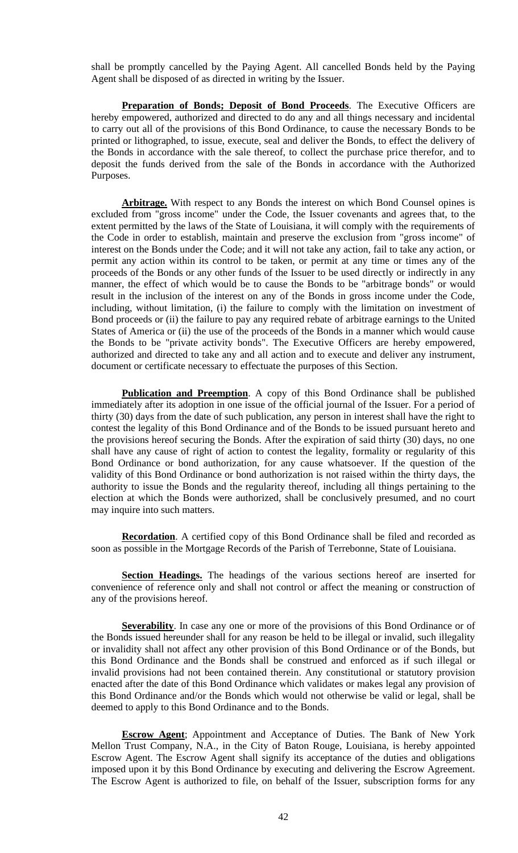shall be promptly cancelled by the Paying Agent. All cancelled Bonds held by the Paying Agent shall be disposed of as directed in writing by the Issuer.

**Preparation of Bonds; Deposit of Bond Proceeds**. The Executive Officers are hereby empowered, authorized and directed to do any and all things necessary and incidental to carry out all of the provisions of this Bond Ordinance, to cause the necessary Bonds to be printed or lithographed, to issue, execute, seal and deliver the Bonds, to effect the delivery of the Bonds in accordance with the sale thereof, to collect the purchase price therefor, and to deposit the funds derived from the sale of the Bonds in accordance with the Authorized Purposes.

Arbitrage. With respect to any Bonds the interest on which Bond Counsel opines is excluded from "gross income" under the Code, the Issuer covenants and agrees that, to the extent permitted by the laws of the State of Louisiana, it will comply with the requirements of the Code in order to establish, maintain and preserve the exclusion from "gross income" of interest on the Bonds under the Code; and it will not take any action, fail to take any action, or permit any action within its control to be taken, or permit at any time or times any of the proceeds of the Bonds or any other funds of the Issuer to be used directly or indirectly in any manner, the effect of which would be to cause the Bonds to be "arbitrage bonds" or would result in the inclusion of the interest on any of the Bonds in gross income under the Code, including, without limitation, (i) the failure to comply with the limitation on investment of Bond proceeds or (ii) the failure to pay any required rebate of arbitrage earnings to the United States of America or (ii) the use of the proceeds of the Bonds in a manner which would cause the Bonds to be "private activity bonds". The Executive Officers are hereby empowered, authorized and directed to take any and all action and to execute and deliver any instrument, document or certificate necessary to effectuate the purposes of this Section.

**Publication and Preemption**. A copy of this Bond Ordinance shall be published immediately after its adoption in one issue of the official journal of the Issuer. For a period of thirty (30) days from the date of such publication, any person in interest shall have the right to contest the legality of this Bond Ordinance and of the Bonds to be issued pursuant hereto and the provisions hereof securing the Bonds. After the expiration of said thirty (30) days, no one shall have any cause of right of action to contest the legality, formality or regularity of this Bond Ordinance or bond authorization, for any cause whatsoever. If the question of the validity of this Bond Ordinance or bond authorization is not raised within the thirty days, the authority to issue the Bonds and the regularity thereof, including all things pertaining to the election at which the Bonds were authorized, shall be conclusively presumed, and no court may inquire into such matters.

**Recordation**. A certified copy of this Bond Ordinance shall be filed and recorded as soon as possible in the Mortgage Records of the Parish of Terrebonne, State of Louisiana.

**Section Headings.** The headings of the various sections hereof are inserted for convenience of reference only and shall not control or affect the meaning or construction of any of the provisions hereof.

**Severability**. In case any one or more of the provisions of this Bond Ordinance or of the Bonds issued hereunder shall for any reason be held to be illegal or invalid, such illegality or invalidity shall not affect any other provision of this Bond Ordinance or of the Bonds, but this Bond Ordinance and the Bonds shall be construed and enforced as if such illegal or invalid provisions had not been contained therein. Any constitutional or statutory provision enacted after the date of this Bond Ordinance which validates or makes legal any provision of this Bond Ordinance and/or the Bonds which would not otherwise be valid or legal, shall be deemed to apply to this Bond Ordinance and to the Bonds.

**Escrow Agent**; Appointment and Acceptance of Duties. The Bank of New York Mellon Trust Company, N.A., in the City of Baton Rouge, Louisiana, is hereby appointed Escrow Agent. The Escrow Agent shall signify its acceptance of the duties and obligations imposed upon it by this Bond Ordinance by executing and delivering the Escrow Agreement. The Escrow Agent is authorized to file, on behalf of the Issuer, subscription forms for any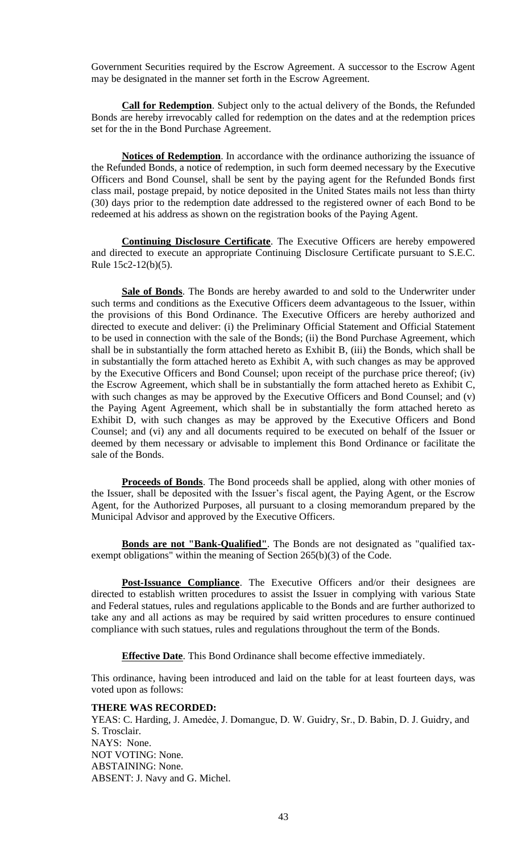Government Securities required by the Escrow Agreement. A successor to the Escrow Agent may be designated in the manner set forth in the Escrow Agreement.

**Call for Redemption**. Subject only to the actual delivery of the Bonds, the Refunded Bonds are hereby irrevocably called for redemption on the dates and at the redemption prices set for the in the Bond Purchase Agreement.

**Notices of Redemption**. In accordance with the ordinance authorizing the issuance of the Refunded Bonds, a notice of redemption, in such form deemed necessary by the Executive Officers and Bond Counsel, shall be sent by the paying agent for the Refunded Bonds first class mail, postage prepaid, by notice deposited in the United States mails not less than thirty (30) days prior to the redemption date addressed to the registered owner of each Bond to be redeemed at his address as shown on the registration books of the Paying Agent.

**Continuing Disclosure Certificate**. The Executive Officers are hereby empowered and directed to execute an appropriate Continuing Disclosure Certificate pursuant to S.E.C. Rule 15c2-12(b)(5).

**Sale of Bonds**. The Bonds are hereby awarded to and sold to the Underwriter under such terms and conditions as the Executive Officers deem advantageous to the Issuer, within the provisions of this Bond Ordinance. The Executive Officers are hereby authorized and directed to execute and deliver: (i) the Preliminary Official Statement and Official Statement to be used in connection with the sale of the Bonds; (ii) the Bond Purchase Agreement, which shall be in substantially the form attached hereto as Exhibit B, (iii) the Bonds, which shall be in substantially the form attached hereto as Exhibit A, with such changes as may be approved by the Executive Officers and Bond Counsel; upon receipt of the purchase price thereof; (iv) the Escrow Agreement, which shall be in substantially the form attached hereto as Exhibit C, with such changes as may be approved by the Executive Officers and Bond Counsel; and (v) the Paying Agent Agreement, which shall be in substantially the form attached hereto as Exhibit D, with such changes as may be approved by the Executive Officers and Bond Counsel; and (vi) any and all documents required to be executed on behalf of the Issuer or deemed by them necessary or advisable to implement this Bond Ordinance or facilitate the sale of the Bonds.

**Proceeds of Bonds**. The Bond proceeds shall be applied, along with other monies of the Issuer, shall be deposited with the Issuer's fiscal agent, the Paying Agent, or the Escrow Agent, for the Authorized Purposes, all pursuant to a closing memorandum prepared by the Municipal Advisor and approved by the Executive Officers.

**Bonds are not "Bank-Qualified"**. The Bonds are not designated as "qualified taxexempt obligations" within the meaning of Section 265(b)(3) of the Code.

**Post-Issuance Compliance**. The Executive Officers and/or their designees are directed to establish written procedures to assist the Issuer in complying with various State and Federal statues, rules and regulations applicable to the Bonds and are further authorized to take any and all actions as may be required by said written procedures to ensure continued compliance with such statues, rules and regulations throughout the term of the Bonds.

**Effective Date**. This Bond Ordinance shall become effective immediately.

This ordinance, having been introduced and laid on the table for at least fourteen days, was voted upon as follows:

### **THERE WAS RECORDED:**

YEAS: C. Harding, J. Amedée, J. Domangue, D. W. Guidry, Sr., D. Babin, D. J. Guidry, and S. Trosclair. NAYS: None. NOT VOTING: None. ABSTAINING: None. ABSENT: J. Navy and G. Michel.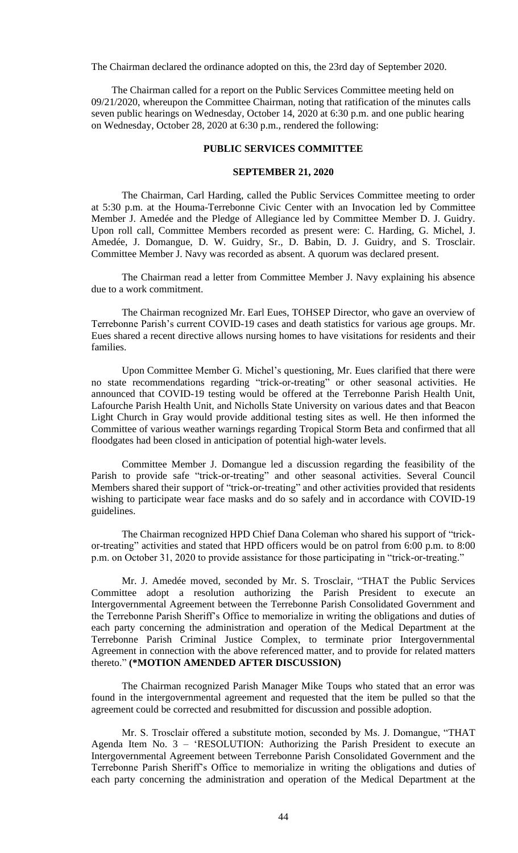The Chairman declared the ordinance adopted on this, the 23rd day of September 2020.

 The Chairman called for a report on the Public Services Committee meeting held on 09/21/2020, whereupon the Committee Chairman, noting that ratification of the minutes calls seven public hearings on Wednesday, October 14, 2020 at 6:30 p.m. and one public hearing on Wednesday, October 28, 2020 at 6:30 p.m., rendered the following:

# **PUBLIC SERVICES COMMITTEE**

### **SEPTEMBER 21, 2020**

The Chairman, Carl Harding, called the Public Services Committee meeting to order at 5:30 p.m. at the Houma-Terrebonne Civic Center with an Invocation led by Committee Member J. Amedée and the Pledge of Allegiance led by Committee Member D. J. Guidry. Upon roll call, Committee Members recorded as present were: C. Harding, G. Michel, J. Amedée, J. Domangue, D. W. Guidry, Sr., D. Babin, D. J. Guidry, and S. Trosclair. Committee Member J. Navy was recorded as absent. A quorum was declared present.

The Chairman read a letter from Committee Member J. Navy explaining his absence due to a work commitment.

The Chairman recognized Mr. Earl Eues, TOHSEP Director, who gave an overview of Terrebonne Parish's current COVID-19 cases and death statistics for various age groups. Mr. Eues shared a recent directive allows nursing homes to have visitations for residents and their families.

Upon Committee Member G. Michel's questioning, Mr. Eues clarified that there were no state recommendations regarding "trick-or-treating" or other seasonal activities. He announced that COVID-19 testing would be offered at the Terrebonne Parish Health Unit, Lafourche Parish Health Unit, and Nicholls State University on various dates and that Beacon Light Church in Gray would provide additional testing sites as well. He then informed the Committee of various weather warnings regarding Tropical Storm Beta and confirmed that all floodgates had been closed in anticipation of potential high-water levels.

Committee Member J. Domangue led a discussion regarding the feasibility of the Parish to provide safe "trick-or-treating" and other seasonal activities. Several Council Members shared their support of "trick-or-treating" and other activities provided that residents wishing to participate wear face masks and do so safely and in accordance with COVID-19 guidelines.

The Chairman recognized HPD Chief Dana Coleman who shared his support of "trickor-treating" activities and stated that HPD officers would be on patrol from 6:00 p.m. to 8:00 p.m. on October 31, 2020 to provide assistance for those participating in "trick-or-treating."

Mr. J. Amedée moved, seconded by Mr. S. Trosclair, "THAT the Public Services Committee adopt a resolution authorizing the Parish President to execute an Intergovernmental Agreement between the Terrebonne Parish Consolidated Government and the Terrebonne Parish Sheriff's Office to memorialize in writing the obligations and duties of each party concerning the administration and operation of the Medical Department at the Terrebonne Parish Criminal Justice Complex, to terminate prior Intergovernmental Agreement in connection with the above referenced matter, and to provide for related matters thereto." **(\*MOTION AMENDED AFTER DISCUSSION)**

The Chairman recognized Parish Manager Mike Toups who stated that an error was found in the intergovernmental agreement and requested that the item be pulled so that the agreement could be corrected and resubmitted for discussion and possible adoption.

Mr. S. Trosclair offered a substitute motion, seconded by Ms. J. Domangue, "THAT Agenda Item No. 3 – 'RESOLUTION: Authorizing the Parish President to execute an Intergovernmental Agreement between Terrebonne Parish Consolidated Government and the Terrebonne Parish Sheriff's Office to memorialize in writing the obligations and duties of each party concerning the administration and operation of the Medical Department at the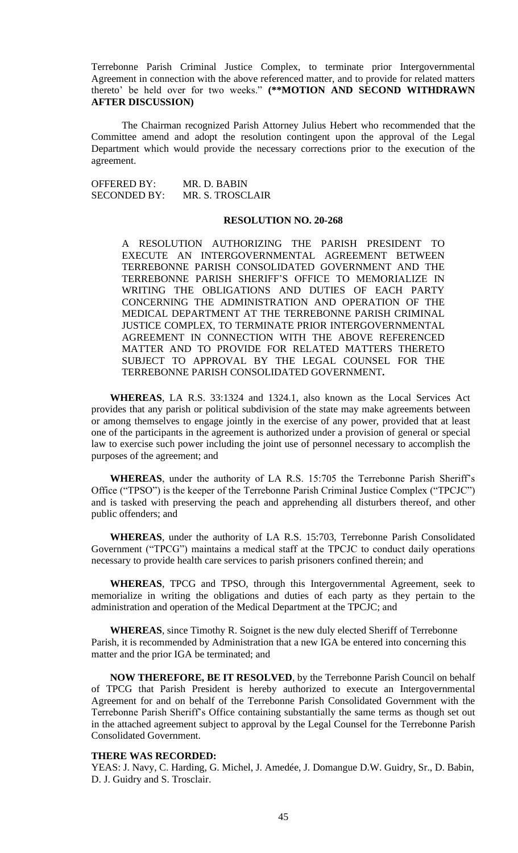Terrebonne Parish Criminal Justice Complex, to terminate prior Intergovernmental Agreement in connection with the above referenced matter, and to provide for related matters thereto' be held over for two weeks." **(\*\*MOTION AND SECOND WITHDRAWN AFTER DISCUSSION)**

The Chairman recognized Parish Attorney Julius Hebert who recommended that the Committee amend and adopt the resolution contingent upon the approval of the Legal Department which would provide the necessary corrections prior to the execution of the agreement.

OFFERED BY: MR. D. BABIN<br>SECONDED BY: MR. S. TROSCI MR. S. TROSCLAIR

# **RESOLUTION NO. 20-268**

A RESOLUTION AUTHORIZING THE PARISH PRESIDENT TO EXECUTE AN INTERGOVERNMENTAL AGREEMENT BETWEEN TERREBONNE PARISH CONSOLIDATED GOVERNMENT AND THE TERREBONNE PARISH SHERIFF'S OFFICE TO MEMORIALIZE IN WRITING THE OBLIGATIONS AND DUTIES OF EACH PARTY CONCERNING THE ADMINISTRATION AND OPERATION OF THE MEDICAL DEPARTMENT AT THE TERREBONNE PARISH CRIMINAL JUSTICE COMPLEX, TO TERMINATE PRIOR INTERGOVERNMENTAL AGREEMENT IN CONNECTION WITH THE ABOVE REFERENCED MATTER AND TO PROVIDE FOR RELATED MATTERS THERETO SUBJECT TO APPROVAL BY THE LEGAL COUNSEL FOR THE TERREBONNE PARISH CONSOLIDATED GOVERNMENT**.**

**WHEREAS**, LA R.S. 33:1324 and 1324.1, also known as the Local Services Act provides that any parish or political subdivision of the state may make agreements between or among themselves to engage jointly in the exercise of any power, provided that at least one of the participants in the agreement is authorized under a provision of general or special law to exercise such power including the joint use of personnel necessary to accomplish the purposes of the agreement; and

**WHEREAS**, under the authority of LA R.S. 15:705 the Terrebonne Parish Sheriff's Office ("TPSO") is the keeper of the Terrebonne Parish Criminal Justice Complex ("TPCJC") and is tasked with preserving the peach and apprehending all disturbers thereof, and other public offenders; and

**WHEREAS**, under the authority of LA R.S. 15:703, Terrebonne Parish Consolidated Government ("TPCG") maintains a medical staff at the TPCJC to conduct daily operations necessary to provide health care services to parish prisoners confined therein; and

**WHEREAS**, TPCG and TPSO, through this Intergovernmental Agreement, seek to memorialize in writing the obligations and duties of each party as they pertain to the administration and operation of the Medical Department at the TPCJC; and

**WHEREAS**, since Timothy R. Soignet is the new duly elected Sheriff of Terrebonne Parish, it is recommended by Administration that a new IGA be entered into concerning this matter and the prior IGA be terminated; and

**NOW THEREFORE, BE IT RESOLVED**, by the Terrebonne Parish Council on behalf of TPCG that Parish President is hereby authorized to execute an Intergovernmental Agreement for and on behalf of the Terrebonne Parish Consolidated Government with the Terrebonne Parish Sheriff's Office containing substantially the same terms as though set out in the attached agreement subject to approval by the Legal Counsel for the Terrebonne Parish Consolidated Government.

#### **THERE WAS RECORDED:**

YEAS: J. Navy, C. Harding, G. Michel, J. Amedée, J. Domangue D.W. Guidry, Sr., D. Babin, D. J. Guidry and S. Trosclair.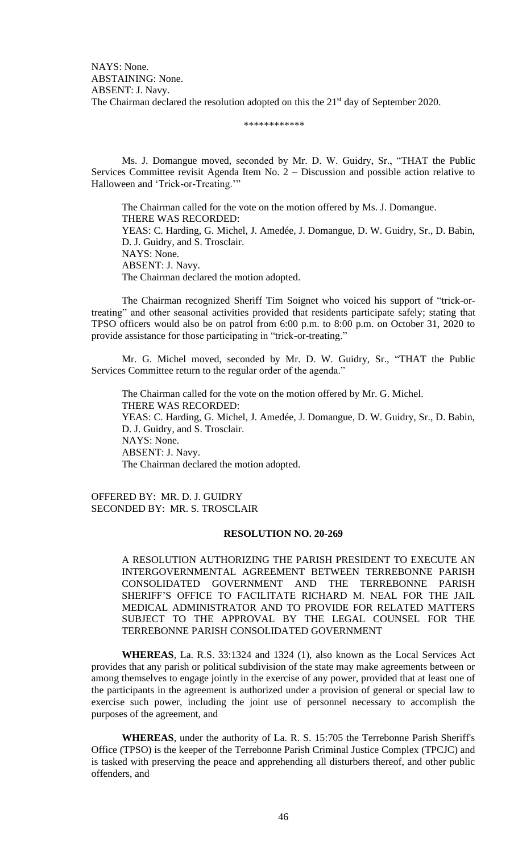\*\*\*\*\*\*\*\*\*\*\*\*

Ms. J. Domangue moved, seconded by Mr. D. W. Guidry, Sr., "THAT the Public Services Committee revisit Agenda Item No. 2 – Discussion and possible action relative to Halloween and 'Trick-or-Treating.'"

The Chairman called for the vote on the motion offered by Ms. J. Domangue. THERE WAS RECORDED: YEAS: C. Harding, G. Michel, J. Amedée, J. Domangue, D. W. Guidry, Sr., D. Babin, D. J. Guidry, and S. Trosclair. NAYS: None. ABSENT: J. Navy. The Chairman declared the motion adopted.

The Chairman recognized Sheriff Tim Soignet who voiced his support of "trick-ortreating" and other seasonal activities provided that residents participate safely; stating that TPSO officers would also be on patrol from 6:00 p.m. to 8:00 p.m. on October 31, 2020 to provide assistance for those participating in "trick-or-treating."

Mr. G. Michel moved, seconded by Mr. D. W. Guidry, Sr., "THAT the Public Services Committee return to the regular order of the agenda."

The Chairman called for the vote on the motion offered by Mr. G. Michel. THERE WAS RECORDED: YEAS: C. Harding, G. Michel, J. Amedée, J. Domangue, D. W. Guidry, Sr., D. Babin, D. J. Guidry, and S. Trosclair. NAYS: None. ABSENT: J. Navy. The Chairman declared the motion adopted.

OFFERED BY: MR. D. J. GUIDRY SECONDED BY: MR. S. TROSCLAIR

### **RESOLUTION NO. 20-269**

A RESOLUTION AUTHORIZING THE PARISH PRESIDENT TO EXECUTE AN INTERGOVERNMENTAL AGREEMENT BETWEEN TERREBONNE PARISH CONSOLIDATED GOVERNMENT AND THE TERREBONNE PARISH SHERIFF'S OFFICE TO FACILITATE RICHARD M. NEAL FOR THE JAIL MEDICAL ADMINISTRATOR AND TO PROVIDE FOR RELATED MATTERS SUBJECT TO THE APPROVAL BY THE LEGAL COUNSEL FOR THE TERREBONNE PARISH CONSOLIDATED GOVERNMENT

**WHEREAS**, La. R.S. 33:1324 and 1324 (1), also known as the Local Services Act provides that any parish or political subdivision of the state may make agreements between or among themselves to engage jointly in the exercise of any power, provided that at least one of the participants in the agreement is authorized under a provision of general or special law to exercise such power, including the joint use of personnel necessary to accomplish the purposes of the agreement, and

**WHEREAS**, under the authority of La. R. S. 15:705 the Terrebonne Parish Sheriff's Office (TPSO) is the keeper of the Terrebonne Parish Criminal Justice Complex (TPCJC) and is tasked with preserving the peace and apprehending all disturbers thereof, and other public offenders, and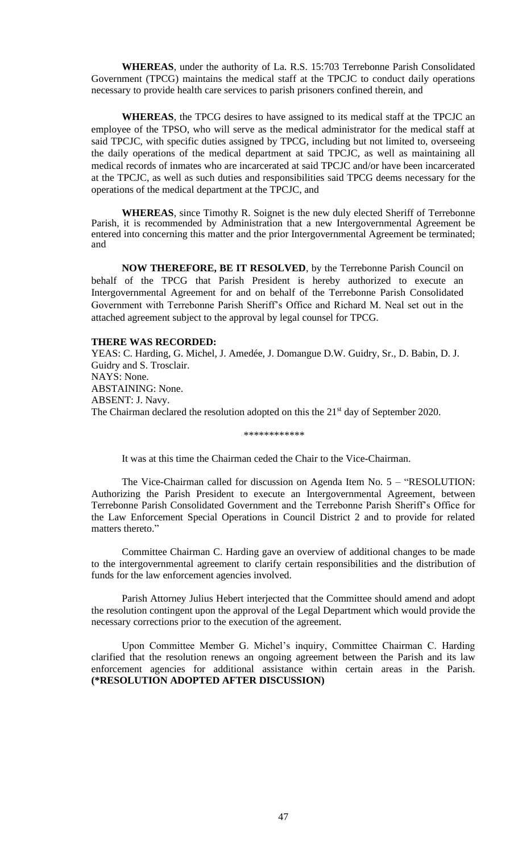**WHEREAS**, under the authority of La. R.S. 15:703 Terrebonne Parish Consolidated Government (TPCG) maintains the medical staff at the TPCJC to conduct daily operations necessary to provide health care services to parish prisoners confined therein, and

**WHEREAS**, the TPCG desires to have assigned to its medical staff at the TPCJC an employee of the TPSO, who will serve as the medical administrator for the medical staff at said TPCJC, with specific duties assigned by TPCG, including but not limited to, overseeing the daily operations of the medical department at said TPCJC, as well as maintaining all medical records of inmates who are incarcerated at said TPCJC and/or have been incarcerated at the TPCJC, as well as such duties and responsibilities said TPCG deems necessary for the operations of the medical department at the TPCJC, and

**WHEREAS**, since Timothy R. Soignet is the new duly elected Sheriff of Terrebonne Parish, it is recommended by Administration that a new Intergovernmental Agreement be entered into concerning this matter and the prior Intergovernmental Agreement be terminated; and

 **NOW THEREFORE, BE IT RESOLVED**, by the Terrebonne Parish Council on behalf of the TPCG that Parish President is hereby authorized to execute an Intergovernmental Agreement for and on behalf of the Terrebonne Parish Consolidated Government with Terrebonne Parish Sheriff's Office and Richard M. Neal set out in the attached agreement subject to the approval by legal counsel for TPCG.

#### **THERE WAS RECORDED:**

YEAS: C. Harding, G. Michel, J. Amedée, J. Domangue D.W. Guidry, Sr., D. Babin, D. J. Guidry and S. Trosclair. NAYS: None. ABSTAINING: None. ABSENT: J. Navy. The Chairman declared the resolution adopted on this the  $21<sup>st</sup>$  day of September 2020.

\*\*\*\*\*\*\*\*\*\*\*\*

It was at this time the Chairman ceded the Chair to the Vice-Chairman.

The Vice-Chairman called for discussion on Agenda Item No. 5 – "RESOLUTION: Authorizing the Parish President to execute an Intergovernmental Agreement, between Terrebonne Parish Consolidated Government and the Terrebonne Parish Sheriff's Office for the Law Enforcement Special Operations in Council District 2 and to provide for related matters thereto."

Committee Chairman C. Harding gave an overview of additional changes to be made to the intergovernmental agreement to clarify certain responsibilities and the distribution of funds for the law enforcement agencies involved.

Parish Attorney Julius Hebert interjected that the Committee should amend and adopt the resolution contingent upon the approval of the Legal Department which would provide the necessary corrections prior to the execution of the agreement.

Upon Committee Member G. Michel's inquiry, Committee Chairman C. Harding clarified that the resolution renews an ongoing agreement between the Parish and its law enforcement agencies for additional assistance within certain areas in the Parish. **(\*RESOLUTION ADOPTED AFTER DISCUSSION)**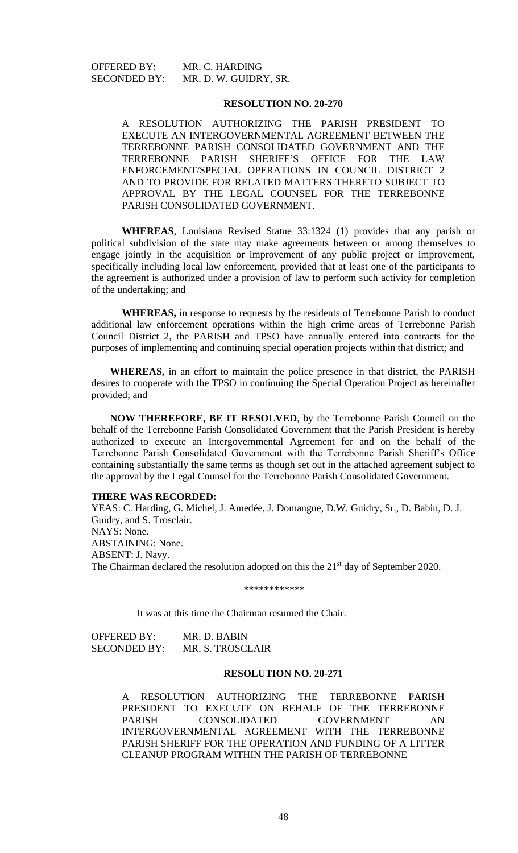# **RESOLUTION NO. 20-270**

A RESOLUTION AUTHORIZING THE PARISH PRESIDENT TO EXECUTE AN INTERGOVERNMENTAL AGREEMENT BETWEEN THE TERREBONNE PARISH CONSOLIDATED GOVERNMENT AND THE TERREBONNE PARISH SHERIFF'S OFFICE FOR THE LAW ENFORCEMENT/SPECIAL OPERATIONS IN COUNCIL DISTRICT 2 AND TO PROVIDE FOR RELATED MATTERS THERETO SUBJECT TO APPROVAL BY THE LEGAL COUNSEL FOR THE TERREBONNE PARISH CONSOLIDATED GOVERNMENT.

**WHEREAS**, Louisiana Revised Statue 33:1324 (1) provides that any parish or political subdivision of the state may make agreements between or among themselves to engage jointly in the acquisition or improvement of any public project or improvement, specifically including local law enforcement, provided that at least one of the participants to the agreement is authorized under a provision of law to perform such activity for completion of the undertaking; and

**WHEREAS,** in response to requests by the residents of Terrebonne Parish to conduct additional law enforcement operations within the high crime areas of Terrebonne Parish Council District 2, the PARISH and TPSO have annually entered into contracts for the purposes of implementing and continuing special operation projects within that district; and

**WHEREAS,** in an effort to maintain the police presence in that district, the PARISH desires to cooperate with the TPSO in continuing the Special Operation Project as hereinafter provided; and

**NOW THEREFORE, BE IT RESOLVED**, by the Terrebonne Parish Council on the behalf of the Terrebonne Parish Consolidated Government that the Parish President is hereby authorized to execute an Intergovernmental Agreement for and on the behalf of the Terrebonne Parish Consolidated Government with the Terrebonne Parish Sheriff's Office containing substantially the same terms as though set out in the attached agreement subject to the approval by the Legal Counsel for the Terrebonne Parish Consolidated Government.

#### **THERE WAS RECORDED:**

YEAS: C. Harding, G. Michel, J. Amedée, J. Domangue, D.W. Guidry, Sr., D. Babin, D. J. Guidry, and S. Trosclair. NAYS: None. ABSTAINING: None. ABSENT: J. Navy. The Chairman declared the resolution adopted on this the 21<sup>st</sup> day of September 2020.

\*\*\*\*\*\*\*\*\*\*\*\*

It was at this time the Chairman resumed the Chair.

OFFERED BY: MR. D. BABIN SECONDED BY: MR. S. TROSCLAIR

#### **RESOLUTION NO. 20-271**

A RESOLUTION AUTHORIZING THE TERREBONNE PARISH PRESIDENT TO EXECUTE ON BEHALF OF THE TERREBONNE PARISH CONSOLIDATED GOVERNMENT AN INTERGOVERNMENTAL AGREEMENT WITH THE TERREBONNE PARISH SHERIFF FOR THE OPERATION AND FUNDING OF A LITTER CLEANUP PROGRAM WITHIN THE PARISH OF TERREBONNE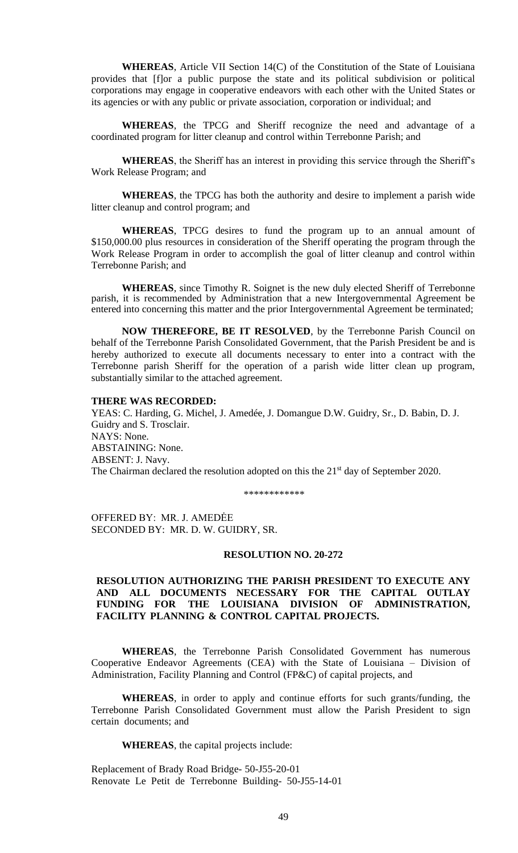**WHEREAS**, Article VII Section 14(C) of the Constitution of the State of Louisiana provides that [f]or a public purpose the state and its political subdivision or political corporations may engage in cooperative endeavors with each other with the United States or its agencies or with any public or private association, corporation or individual; and

**WHEREAS**, the TPCG and Sheriff recognize the need and advantage of a coordinated program for litter cleanup and control within Terrebonne Parish; and

**WHEREAS**, the Sheriff has an interest in providing this service through the Sheriff's Work Release Program; and

**WHEREAS**, the TPCG has both the authority and desire to implement a parish wide litter cleanup and control program; and

**WHEREAS**, TPCG desires to fund the program up to an annual amount of \$150,000.00 plus resources in consideration of the Sheriff operating the program through the Work Release Program in order to accomplish the goal of litter cleanup and control within Terrebonne Parish; and

**WHEREAS**, since Timothy R. Soignet is the new duly elected Sheriff of Terrebonne parish, it is recommended by Administration that a new Intergovernmental Agreement be entered into concerning this matter and the prior Intergovernmental Agreement be terminated;

**NOW THEREFORE, BE IT RESOLVED**, by the Terrebonne Parish Council on behalf of the Terrebonne Parish Consolidated Government, that the Parish President be and is hereby authorized to execute all documents necessary to enter into a contract with the Terrebonne parish Sheriff for the operation of a parish wide litter clean up program, substantially similar to the attached agreement.

#### **THERE WAS RECORDED:**

YEAS: C. Harding, G. Michel, J. Amedée, J. Domangue D.W. Guidry, Sr., D. Babin, D. J. Guidry and S. Trosclair. NAYS: None. ABSTAINING: None. ABSENT: J. Navy. The Chairman declared the resolution adopted on this the 21<sup>st</sup> day of September 2020.

\*\*\*\*\*\*\*\*\*\*\*\*

OFFERED BY: MR. J. AMEDĖE SECONDED BY: MR. D. W. GUIDRY, SR.

#### **RESOLUTION NO. 20-272**

# **RESOLUTION AUTHORIZING THE PARISH PRESIDENT TO EXECUTE ANY AND ALL DOCUMENTS NECESSARY FOR THE CAPITAL OUTLAY FUNDING FOR THE LOUISIANA DIVISION OF ADMINISTRATION, FACILITY PLANNING & CONTROL CAPITAL PROJECTS.**

**WHEREAS**, the Terrebonne Parish Consolidated Government has numerous Cooperative Endeavor Agreements (CEA) with the State of Louisiana – Division of Administration, Facility Planning and Control (FP&C) of capital projects, and

**WHEREAS**, in order to apply and continue efforts for such grants/funding, the Terrebonne Parish Consolidated Government must allow the Parish President to sign certain documents; and

**WHEREAS**, the capital projects include:

Replacement of Brady Road Bridge- 50-J55-20-01 Renovate Le Petit de Terrebonne Building- 50-J55-14-01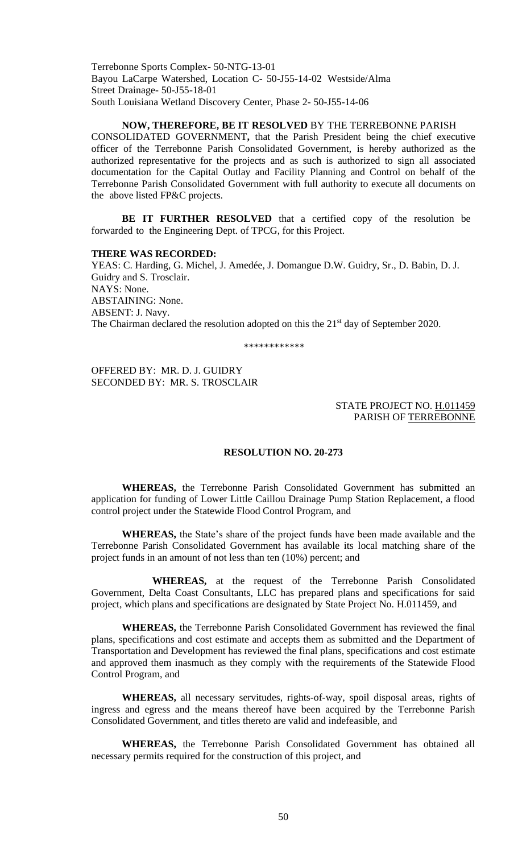Terrebonne Sports Complex- 50-NTG-13-01 Bayou LaCarpe Watershed, Location C- 50-J55-14-02 Westside/Alma Street Drainage- 50-J55-18-01 South Louisiana Wetland Discovery Center, Phase 2- 50-J55-14-06

#### **NOW, THEREFORE, BE IT RESOLVED** BY THE TERREBONNE PARISH

CONSOLIDATED GOVERNMENT**,** that the Parish President being the chief executive officer of the Terrebonne Parish Consolidated Government, is hereby authorized as the authorized representative for the projects and as such is authorized to sign all associated documentation for the Capital Outlay and Facility Planning and Control on behalf of the Terrebonne Parish Consolidated Government with full authority to execute all documents on the above listed FP&C projects.

**BE IT FURTHER RESOLVED** that a certified copy of the resolution be forwarded to the Engineering Dept. of TPCG, for this Project.

#### **THERE WAS RECORDED:**

YEAS: C. Harding, G. Michel, J. Amedée, J. Domangue D.W. Guidry, Sr., D. Babin, D. J. Guidry and S. Trosclair. NAYS: None. ABSTAINING: None. ABSENT: J. Navy. The Chairman declared the resolution adopted on this the 21<sup>st</sup> day of September 2020.

\*\*\*\*\*\*\*\*\*\*\*\*

OFFERED BY: MR. D. J. GUIDRY SECONDED BY: MR. S. TROSCLAIR

#### STATE PROJECT NO. H.011459 PARISH OF TERREBONNE

#### **RESOLUTION NO. 20-273**

**WHEREAS,** the Terrebonne Parish Consolidated Government has submitted an application for funding of Lower Little Caillou Drainage Pump Station Replacement, a flood control project under the Statewide Flood Control Program, and

**WHEREAS,** the State's share of the project funds have been made available and the Terrebonne Parish Consolidated Government has available its local matching share of the project funds in an amount of not less than ten (10%) percent; and

**WHEREAS,** at the request of the Terrebonne Parish Consolidated Government, Delta Coast Consultants, LLC has prepared plans and specifications for said project, which plans and specifications are designated by State Project No. H.011459, and

**WHEREAS,** the Terrebonne Parish Consolidated Government has reviewed the final plans, specifications and cost estimate and accepts them as submitted and the Department of Transportation and Development has reviewed the final plans, specifications and cost estimate and approved them inasmuch as they comply with the requirements of the Statewide Flood Control Program, and

**WHEREAS,** all necessary servitudes, rights-of-way, spoil disposal areas, rights of ingress and egress and the means thereof have been acquired by the Terrebonne Parish Consolidated Government, and titles thereto are valid and indefeasible, and

**WHEREAS,** the Terrebonne Parish Consolidated Government has obtained all necessary permits required for the construction of this project, and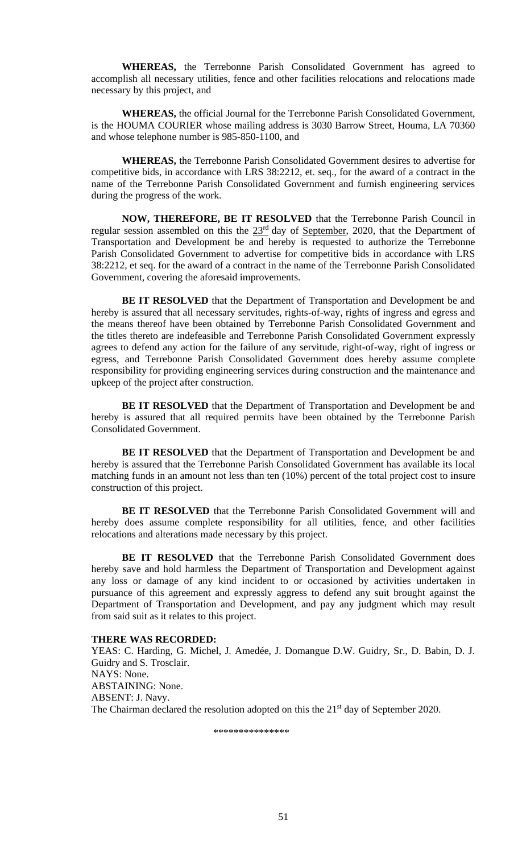**WHEREAS,** the Terrebonne Parish Consolidated Government has agreed to accomplish all necessary utilities, fence and other facilities relocations and relocations made necessary by this project, and

**WHEREAS,** the official Journal for the Terrebonne Parish Consolidated Government, is the HOUMA COURIER whose mailing address is 3030 Barrow Street, Houma, LA 70360 and whose telephone number is 985-850-1100, and

**WHEREAS,** the Terrebonne Parish Consolidated Government desires to advertise for competitive bids, in accordance with LRS 38:2212, et. seq., for the award of a contract in the name of the Terrebonne Parish Consolidated Government and furnish engineering services during the progress of the work.

**NOW, THEREFORE, BE IT RESOLVED** that the Terrebonne Parish Council in regular session assembled on this the  $23<sup>rd</sup>$  day of September, 2020, that the Department of Transportation and Development be and hereby is requested to authorize the Terrebonne Parish Consolidated Government to advertise for competitive bids in accordance with LRS 38:2212, et seq. for the award of a contract in the name of the Terrebonne Parish Consolidated Government, covering the aforesaid improvements.

**BE IT RESOLVED** that the Department of Transportation and Development be and hereby is assured that all necessary servitudes, rights-of-way, rights of ingress and egress and the means thereof have been obtained by Terrebonne Parish Consolidated Government and the titles thereto are indefeasible and Terrebonne Parish Consolidated Government expressly agrees to defend any action for the failure of any servitude, right-of-way, right of ingress or egress, and Terrebonne Parish Consolidated Government does hereby assume complete responsibility for providing engineering services during construction and the maintenance and upkeep of the project after construction.

**BE IT RESOLVED** that the Department of Transportation and Development be and hereby is assured that all required permits have been obtained by the Terrebonne Parish Consolidated Government.

**BE IT RESOLVED** that the Department of Transportation and Development be and hereby is assured that the Terrebonne Parish Consolidated Government has available its local matching funds in an amount not less than ten (10%) percent of the total project cost to insure construction of this project.

**BE IT RESOLVED** that the Terrebonne Parish Consolidated Government will and hereby does assume complete responsibility for all utilities, fence, and other facilities relocations and alterations made necessary by this project.

**BE IT RESOLVED** that the Terrebonne Parish Consolidated Government does hereby save and hold harmless the Department of Transportation and Development against any loss or damage of any kind incident to or occasioned by activities undertaken in pursuance of this agreement and expressly aggress to defend any suit brought against the Department of Transportation and Development, and pay any judgment which may result from said suit as it relates to this project.

### **THERE WAS RECORDED:**

YEAS: C. Harding, G. Michel, J. Amedée, J. Domangue D.W. Guidry, Sr., D. Babin, D. J. Guidry and S. Trosclair. NAYS: None. ABSTAINING: None. ABSENT: J. Navy. The Chairman declared the resolution adopted on this the 21<sup>st</sup> day of September 2020.

\*\*\*\*\*\*\*\*\*\*\*\*\*\*\*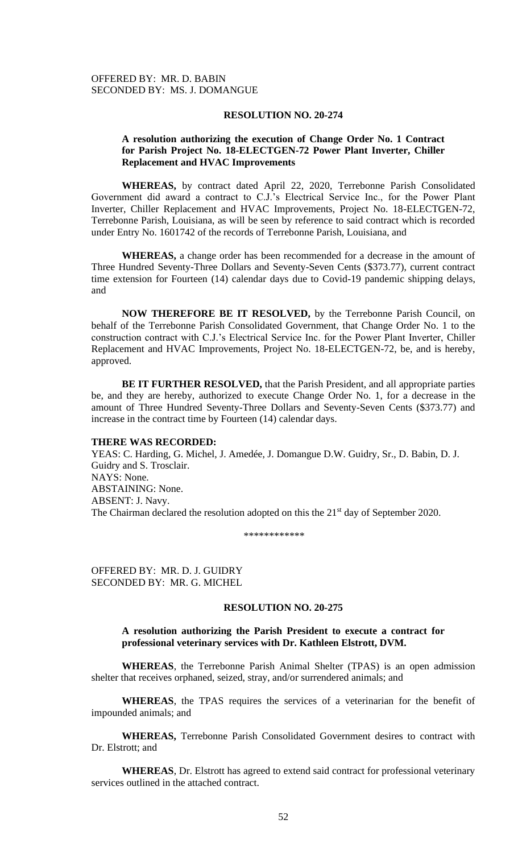### **RESOLUTION NO. 20-274**

## **A resolution authorizing the execution of Change Order No. 1 Contract for Parish Project No. 18-ELECTGEN-72 Power Plant Inverter, Chiller Replacement and HVAC Improvements**

 **WHEREAS,** by contract dated April 22, 2020, Terrebonne Parish Consolidated Government did award a contract to C.J.'s Electrical Service Inc., for the Power Plant Inverter, Chiller Replacement and HVAC Improvements, Project No. 18-ELECTGEN-72, Terrebonne Parish, Louisiana, as will be seen by reference to said contract which is recorded under Entry No. 1601742 of the records of Terrebonne Parish, Louisiana, and

 **WHEREAS,** a change order has been recommended for a decrease in the amount of Three Hundred Seventy-Three Dollars and Seventy-Seven Cents (\$373.77), current contract time extension for Fourteen (14) calendar days due to Covid-19 pandemic shipping delays, and

 **NOW THEREFORE BE IT RESOLVED,** by the Terrebonne Parish Council, on behalf of the Terrebonne Parish Consolidated Government, that Change Order No. 1 to the construction contract with C.J.'s Electrical Service Inc. for the Power Plant Inverter, Chiller Replacement and HVAC Improvements, Project No. 18-ELECTGEN-72, be, and is hereby, approved.

 **BE IT FURTHER RESOLVED,** that the Parish President, and all appropriate parties be, and they are hereby, authorized to execute Change Order No. 1, for a decrease in the amount of Three Hundred Seventy-Three Dollars and Seventy-Seven Cents (\$373.77) and increase in the contract time by Fourteen (14) calendar days.

# **THERE WAS RECORDED:**

YEAS: C. Harding, G. Michel, J. Amedée, J. Domangue D.W. Guidry, Sr., D. Babin, D. J. Guidry and S. Trosclair. NAYS: None. ABSTAINING: None. ABSENT: J. Navy. The Chairman declared the resolution adopted on this the 21<sup>st</sup> day of September 2020.

\*\*\*\*\*\*\*\*\*\*\*\*

OFFERED BY: MR. D. J. GUIDRY SECONDED BY: MR. G. MICHEL

### **RESOLUTION NO. 20-275**

## **A resolution authorizing the Parish President to execute a contract for professional veterinary services with Dr. Kathleen Elstrott, DVM.**

**WHEREAS**, the Terrebonne Parish Animal Shelter (TPAS) is an open admission shelter that receives orphaned, seized, stray, and/or surrendered animals; and

**WHEREAS**, the TPAS requires the services of a veterinarian for the benefit of impounded animals; and

**WHEREAS,** Terrebonne Parish Consolidated Government desires to contract with Dr. Elstrott; and

**WHEREAS**, Dr. Elstrott has agreed to extend said contract for professional veterinary services outlined in the attached contract.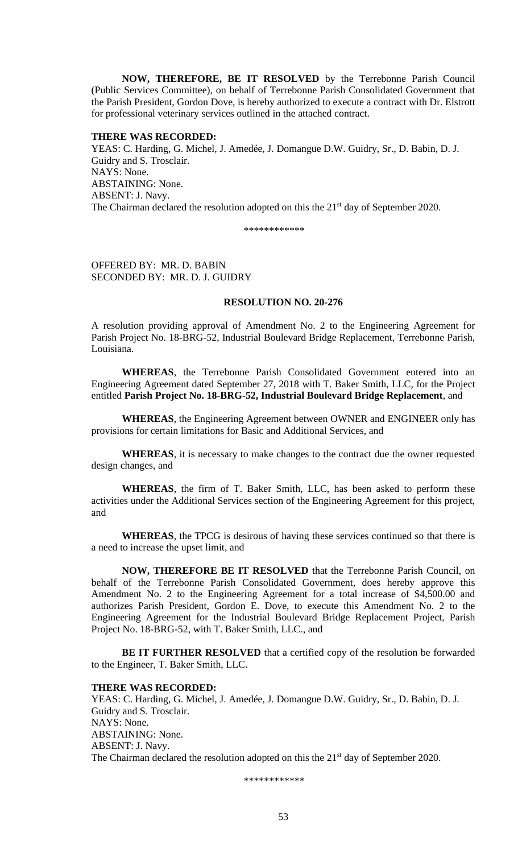**NOW, THEREFORE, BE IT RESOLVED** by the Terrebonne Parish Council (Public Services Committee), on behalf of Terrebonne Parish Consolidated Government that the Parish President, Gordon Dove, is hereby authorized to execute a contract with Dr. Elstrott for professional veterinary services outlined in the attached contract.

#### **THERE WAS RECORDED:**

YEAS: C. Harding, G. Michel, J. Amedée, J. Domangue D.W. Guidry, Sr., D. Babin, D. J. Guidry and S. Trosclair. NAYS: None. ABSTAINING: None. ABSENT: J. Navy. The Chairman declared the resolution adopted on this the  $21<sup>st</sup>$  day of September 2020.

\*\*\*\*\*\*\*\*\*\*\*\*

OFFERED BY: MR. D. BABIN SECONDED BY: MR. D. J. GUIDRY

## **RESOLUTION NO. 20-276**

A resolution providing approval of Amendment No. 2 to the Engineering Agreement for Parish Project No. 18-BRG-52, Industrial Boulevard Bridge Replacement, Terrebonne Parish, Louisiana.

**WHEREAS**, the Terrebonne Parish Consolidated Government entered into an Engineering Agreement dated September 27, 2018 with T. Baker Smith, LLC, for the Project entitled **Parish Project No. 18-BRG-52, Industrial Boulevard Bridge Replacement**, and

**WHEREAS**, the Engineering Agreement between OWNER and ENGINEER only has provisions for certain limitations for Basic and Additional Services, and

**WHEREAS**, it is necessary to make changes to the contract due the owner requested design changes, and

**WHEREAS**, the firm of T. Baker Smith, LLC, has been asked to perform these activities under the Additional Services section of the Engineering Agreement for this project, and

**WHEREAS**, the TPCG is desirous of having these services continued so that there is a need to increase the upset limit, and

**NOW, THEREFORE BE IT RESOLVED** that the Terrebonne Parish Council, on behalf of the Terrebonne Parish Consolidated Government, does hereby approve this Amendment No. 2 to the Engineering Agreement for a total increase of \$4,500.00 and authorizes Parish President, Gordon E. Dove, to execute this Amendment No. 2 to the Engineering Agreement for the Industrial Boulevard Bridge Replacement Project, Parish Project No. 18-BRG-52, with T. Baker Smith, LLC., and

**BE IT FURTHER RESOLVED** that a certified copy of the resolution be forwarded to the Engineer, T. Baker Smith, LLC.

### **THERE WAS RECORDED:**

YEAS: C. Harding, G. Michel, J. Amedée, J. Domangue D.W. Guidry, Sr., D. Babin, D. J. Guidry and S. Trosclair. NAYS: None. ABSTAINING: None. ABSENT: J. Navy. The Chairman declared the resolution adopted on this the 21<sup>st</sup> day of September 2020.

\*\*\*\*\*\*\*\*\*\*\*\*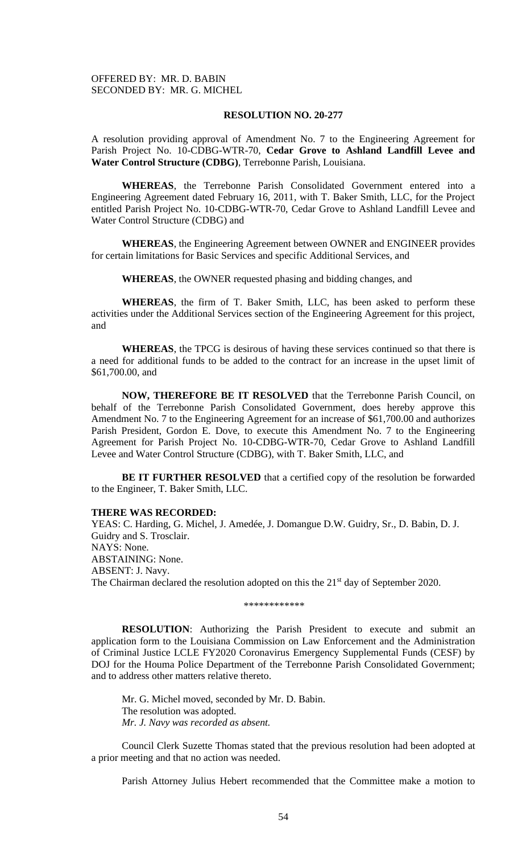# OFFERED BY: MR. D. BABIN SECONDED BY: MR. G. MICHEL

# **RESOLUTION NO. 20-277**

A resolution providing approval of Amendment No. 7 to the Engineering Agreement for Parish Project No. 10-CDBG-WTR-70, **Cedar Grove to Ashland Landfill Levee and Water Control Structure (CDBG)**, Terrebonne Parish, Louisiana.

**WHEREAS**, the Terrebonne Parish Consolidated Government entered into a Engineering Agreement dated February 16, 2011, with T. Baker Smith, LLC, for the Project entitled Parish Project No. 10-CDBG-WTR-70, Cedar Grove to Ashland Landfill Levee and Water Control Structure (CDBG) and

**WHEREAS**, the Engineering Agreement between OWNER and ENGINEER provides for certain limitations for Basic Services and specific Additional Services, and

**WHEREAS**, the OWNER requested phasing and bidding changes, and

**WHEREAS**, the firm of T. Baker Smith, LLC, has been asked to perform these activities under the Additional Services section of the Engineering Agreement for this project, and

**WHEREAS**, the TPCG is desirous of having these services continued so that there is a need for additional funds to be added to the contract for an increase in the upset limit of \$61,700.00, and

**NOW, THEREFORE BE IT RESOLVED** that the Terrebonne Parish Council, on behalf of the Terrebonne Parish Consolidated Government, does hereby approve this Amendment No. 7 to the Engineering Agreement for an increase of \$61,700.00 and authorizes Parish President, Gordon E. Dove, to execute this Amendment No. 7 to the Engineering Agreement for Parish Project No. 10-CDBG-WTR-70, Cedar Grove to Ashland Landfill Levee and Water Control Structure (CDBG), with T. Baker Smith, LLC, and

**BE IT FURTHER RESOLVED** that a certified copy of the resolution be forwarded to the Engineer, T. Baker Smith, LLC.

#### **THERE WAS RECORDED:**

YEAS: C. Harding, G. Michel, J. Amedée, J. Domangue D.W. Guidry, Sr., D. Babin, D. J. Guidry and S. Trosclair. NAYS: None. ABSTAINING: None. ABSENT: J. Navy. The Chairman declared the resolution adopted on this the 21<sup>st</sup> day of September 2020.

\*\*\*\*\*\*\*\*\*\*\*\*

**RESOLUTION**: Authorizing the Parish President to execute and submit an application form to the Louisiana Commission on Law Enforcement and the Administration of Criminal Justice LCLE FY2020 Coronavirus Emergency Supplemental Funds (CESF) by DOJ for the Houma Police Department of the Terrebonne Parish Consolidated Government; and to address other matters relative thereto.

Mr. G. Michel moved, seconded by Mr. D. Babin. The resolution was adopted. *Mr. J. Navy was recorded as absent.*

Council Clerk Suzette Thomas stated that the previous resolution had been adopted at a prior meeting and that no action was needed.

Parish Attorney Julius Hebert recommended that the Committee make a motion to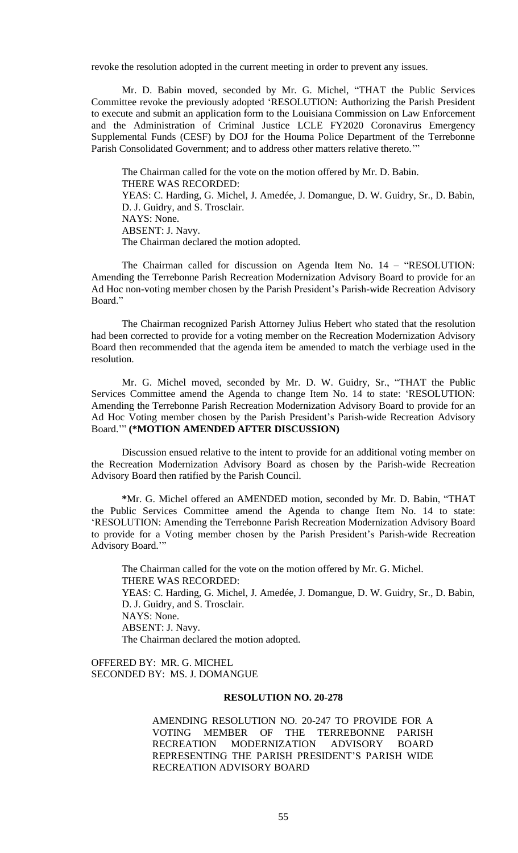revoke the resolution adopted in the current meeting in order to prevent any issues.

Mr. D. Babin moved, seconded by Mr. G. Michel, "THAT the Public Services Committee revoke the previously adopted 'RESOLUTION: Authorizing the Parish President to execute and submit an application form to the Louisiana Commission on Law Enforcement and the Administration of Criminal Justice LCLE FY2020 Coronavirus Emergency Supplemental Funds (CESF) by DOJ for the Houma Police Department of the Terrebonne Parish Consolidated Government; and to address other matters relative thereto.'"

The Chairman called for the vote on the motion offered by Mr. D. Babin. THERE WAS RECORDED: YEAS: C. Harding, G. Michel, J. Amedée, J. Domangue, D. W. Guidry, Sr., D. Babin, D. J. Guidry, and S. Trosclair. NAYS: None. ABSENT: J. Navy. The Chairman declared the motion adopted.

The Chairman called for discussion on Agenda Item No. 14 – "RESOLUTION: Amending the Terrebonne Parish Recreation Modernization Advisory Board to provide for an Ad Hoc non-voting member chosen by the Parish President's Parish-wide Recreation Advisory Board."

The Chairman recognized Parish Attorney Julius Hebert who stated that the resolution had been corrected to provide for a voting member on the Recreation Modernization Advisory Board then recommended that the agenda item be amended to match the verbiage used in the resolution.

Mr. G. Michel moved, seconded by Mr. D. W. Guidry, Sr., "THAT the Public Services Committee amend the Agenda to change Item No. 14 to state: 'RESOLUTION: Amending the Terrebonne Parish Recreation Modernization Advisory Board to provide for an Ad Hoc Voting member chosen by the Parish President's Parish-wide Recreation Advisory Board.'" **(\*MOTION AMENDED AFTER DISCUSSION)**

Discussion ensued relative to the intent to provide for an additional voting member on the Recreation Modernization Advisory Board as chosen by the Parish-wide Recreation Advisory Board then ratified by the Parish Council.

**\***Mr. G. Michel offered an AMENDED motion, seconded by Mr. D. Babin, "THAT the Public Services Committee amend the Agenda to change Item No. 14 to state: 'RESOLUTION: Amending the Terrebonne Parish Recreation Modernization Advisory Board to provide for a Voting member chosen by the Parish President's Parish-wide Recreation Advisory Board."

The Chairman called for the vote on the motion offered by Mr. G. Michel. THERE WAS RECORDED: YEAS: C. Harding, G. Michel, J. Amedée, J. Domangue, D. W. Guidry, Sr., D. Babin, D. J. Guidry, and S. Trosclair. NAYS: None. ABSENT: J. Navy. The Chairman declared the motion adopted.

OFFERED BY: MR. G. MICHEL SECONDED BY: MS. J. DOMANGUE

#### **RESOLUTION NO. 20-278**

AMENDING RESOLUTION NO. 20-247 TO PROVIDE FOR A VOTING MEMBER OF THE TERREBONNE PARISH RECREATION MODERNIZATION ADVISORY BOARD REPRESENTING THE PARISH PRESIDENT'S PARISH WIDE RECREATION ADVISORY BOARD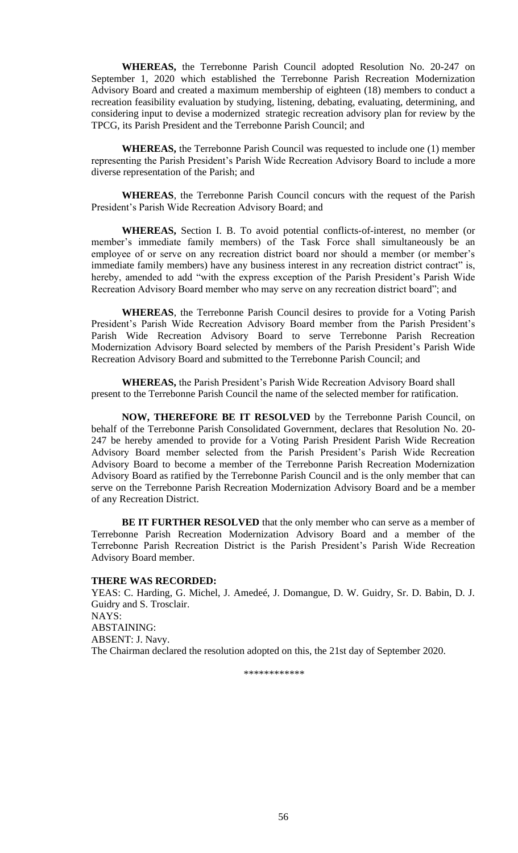**WHEREAS,** the Terrebonne Parish Council adopted Resolution No. 20-247 on September 1, 2020 which established the Terrebonne Parish Recreation Modernization Advisory Board and created a maximum membership of eighteen (18) members to conduct a recreation feasibility evaluation by studying, listening, debating, evaluating, determining, and considering input to devise a modernized strategic recreation advisory plan for review by the TPCG, its Parish President and the Terrebonne Parish Council; and

**WHEREAS,** the Terrebonne Parish Council was requested to include one (1) member representing the Parish President's Parish Wide Recreation Advisory Board to include a more diverse representation of the Parish; and

**WHEREAS**, the Terrebonne Parish Council concurs with the request of the Parish President's Parish Wide Recreation Advisory Board; and

**WHEREAS,** Section I. B. To avoid potential conflicts-of-interest, no member (or member's immediate family members) of the Task Force shall simultaneously be an employee of or serve on any recreation district board nor should a member (or member's immediate family members) have any business interest in any recreation district contract" is, hereby, amended to add "with the express exception of the Parish President's Parish Wide Recreation Advisory Board member who may serve on any recreation district board"; and

**WHEREAS**, the Terrebonne Parish Council desires to provide for a Voting Parish President's Parish Wide Recreation Advisory Board member from the Parish President's Parish Wide Recreation Advisory Board to serve Terrebonne Parish Recreation Modernization Advisory Board selected by members of the Parish President's Parish Wide Recreation Advisory Board and submitted to the Terrebonne Parish Council; and

**WHEREAS,** the Parish President's Parish Wide Recreation Advisory Board shall present to the Terrebonne Parish Council the name of the selected member for ratification.

**NOW, THEREFORE BE IT RESOLVED** by the Terrebonne Parish Council, on behalf of the Terrebonne Parish Consolidated Government, declares that Resolution No. 20- 247 be hereby amended to provide for a Voting Parish President Parish Wide Recreation Advisory Board member selected from the Parish President's Parish Wide Recreation Advisory Board to become a member of the Terrebonne Parish Recreation Modernization Advisory Board as ratified by the Terrebonne Parish Council and is the only member that can serve on the Terrebonne Parish Recreation Modernization Advisory Board and be a member of any Recreation District.

**BE IT FURTHER RESOLVED** that the only member who can serve as a member of Terrebonne Parish Recreation Modernization Advisory Board and a member of the Terrebonne Parish Recreation District is the Parish President's Parish Wide Recreation Advisory Board member.

#### **THERE WAS RECORDED:**

YEAS: C. Harding, G. Michel, J. Amedeé, J. Domangue, D. W. Guidry, Sr. D. Babin, D. J. Guidry and S. Trosclair. NAYS: ABSTAINING: ABSENT: J. Navy. The Chairman declared the resolution adopted on this, the 21st day of September 2020.

\*\*\*\*\*\*\*\*\*\*\*\*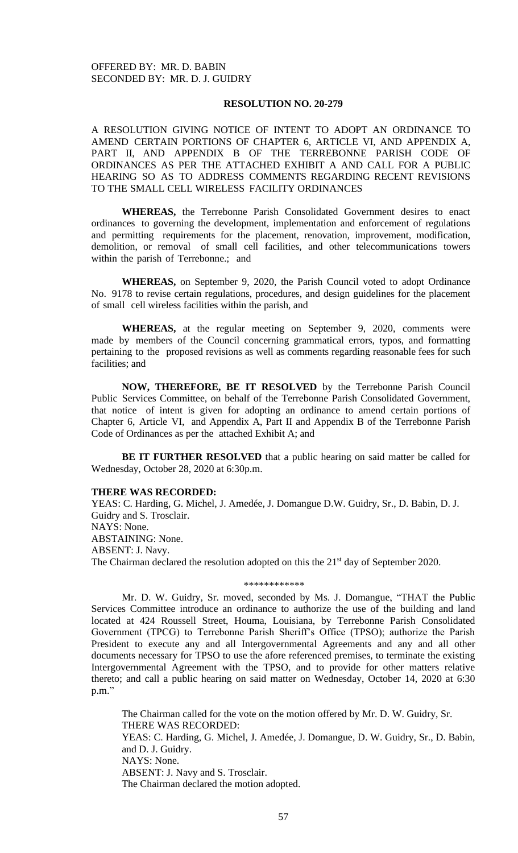# **RESOLUTION NO. 20-279**

A RESOLUTION GIVING NOTICE OF INTENT TO ADOPT AN ORDINANCE TO AMEND CERTAIN PORTIONS OF CHAPTER 6, ARTICLE VI, AND APPENDIX A, PART II, AND APPENDIX B OF THE TERREBONNE PARISH CODE OF ORDINANCES AS PER THE ATTACHED EXHIBIT A AND CALL FOR A PUBLIC HEARING SO AS TO ADDRESS COMMENTS REGARDING RECENT REVISIONS TO THE SMALL CELL WIRELESS FACILITY ORDINANCES

**WHEREAS,** the Terrebonne Parish Consolidated Government desires to enact ordinances to governing the development, implementation and enforcement of regulations and permitting requirements for the placement, renovation, improvement, modification, demolition, or removal of small cell facilities, and other telecommunications towers within the parish of Terrebonne.; and

**WHEREAS,** on September 9, 2020, the Parish Council voted to adopt Ordinance No. 9178 to revise certain regulations, procedures, and design guidelines for the placement of small cell wireless facilities within the parish, and

**WHEREAS,** at the regular meeting on September 9, 2020, comments were made by members of the Council concerning grammatical errors, typos, and formatting pertaining to the proposed revisions as well as comments regarding reasonable fees for such facilities; and

**NOW, THEREFORE, BE IT RESOLVED** by the Terrebonne Parish Council Public Services Committee, on behalf of the Terrebonne Parish Consolidated Government, that notice of intent is given for adopting an ordinance to amend certain portions of Chapter 6, Article VI, and Appendix A, Part II and Appendix B of the Terrebonne Parish Code of Ordinances as per the attached Exhibit A; and

**BE IT FURTHER RESOLVED** that a public hearing on said matter be called for Wednesday, October 28, 2020 at 6:30p.m.

### **THERE WAS RECORDED:**

YEAS: C. Harding, G. Michel, J. Amedée, J. Domangue D.W. Guidry, Sr., D. Babin, D. J. Guidry and S. Trosclair. NAYS: None. ABSTAINING: None. ABSENT: J. Navy. The Chairman declared the resolution adopted on this the 21<sup>st</sup> day of September 2020.

### \*\*\*\*\*\*\*\*\*\*\*\*

Mr. D. W. Guidry, Sr. moved, seconded by Ms. J. Domangue, "THAT the Public Services Committee introduce an ordinance to authorize the use of the building and land located at 424 Roussell Street, Houma, Louisiana, by Terrebonne Parish Consolidated Government (TPCG) to Terrebonne Parish Sheriff's Office (TPSO); authorize the Parish President to execute any and all Intergovernmental Agreements and any and all other documents necessary for TPSO to use the afore referenced premises, to terminate the existing Intergovernmental Agreement with the TPSO, and to provide for other matters relative thereto; and call a public hearing on said matter on Wednesday, October 14, 2020 at 6:30 p.m."

The Chairman called for the vote on the motion offered by Mr. D. W. Guidry, Sr. THERE WAS RECORDED: YEAS: C. Harding, G. Michel, J. Amedée, J. Domangue, D. W. Guidry, Sr., D. Babin, and D. J. Guidry. NAYS: None. ABSENT: J. Navy and S. Trosclair. The Chairman declared the motion adopted.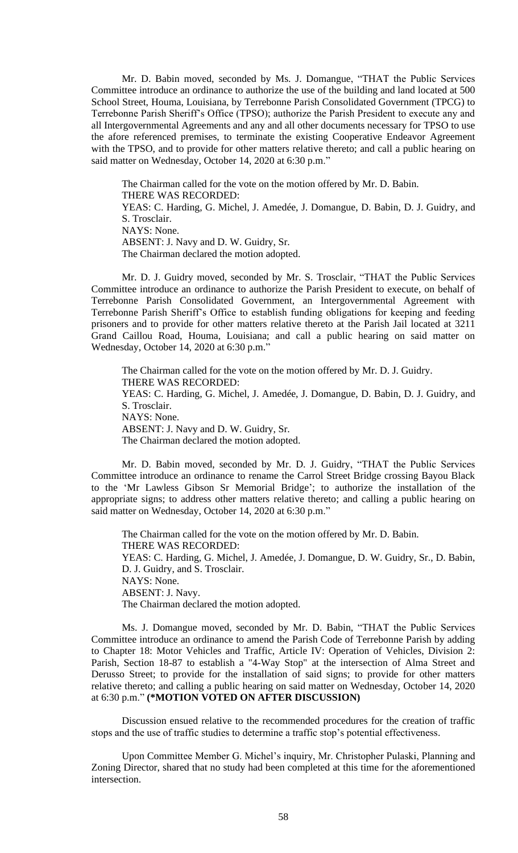Mr. D. Babin moved, seconded by Ms. J. Domangue, "THAT the Public Services Committee introduce an ordinance to authorize the use of the building and land located at 500 School Street, Houma, Louisiana, by Terrebonne Parish Consolidated Government (TPCG) to Terrebonne Parish Sheriff's Office (TPSO); authorize the Parish President to execute any and all Intergovernmental Agreements and any and all other documents necessary for TPSO to use the afore referenced premises, to terminate the existing Cooperative Endeavor Agreement with the TPSO, and to provide for other matters relative thereto; and call a public hearing on said matter on Wednesday, October 14, 2020 at 6:30 p.m."

The Chairman called for the vote on the motion offered by Mr. D. Babin. THERE WAS RECORDED: YEAS: C. Harding, G. Michel, J. Amedée, J. Domangue, D. Babin, D. J. Guidry, and

S. Trosclair. NAYS: None. ABSENT: J. Navy and D. W. Guidry, Sr.

The Chairman declared the motion adopted.

Mr. D. J. Guidry moved, seconded by Mr. S. Trosclair, "THAT the Public Services Committee introduce an ordinance to authorize the Parish President to execute, on behalf of Terrebonne Parish Consolidated Government, an Intergovernmental Agreement with Terrebonne Parish Sheriff's Office to establish funding obligations for keeping and feeding prisoners and to provide for other matters relative thereto at the Parish Jail located at 3211 Grand Caillou Road, Houma, Louisiana; and call a public hearing on said matter on Wednesday, October 14, 2020 at 6:30 p.m."

The Chairman called for the vote on the motion offered by Mr. D. J. Guidry. THERE WAS RECORDED: YEAS: C. Harding, G. Michel, J. Amedée, J. Domangue, D. Babin, D. J. Guidry, and S. Trosclair. NAYS: None. ABSENT: J. Navy and D. W. Guidry, Sr. The Chairman declared the motion adopted.

Mr. D. Babin moved, seconded by Mr. D. J. Guidry, "THAT the Public Services Committee introduce an ordinance to rename the Carrol Street Bridge crossing Bayou Black to the 'Mr Lawless Gibson Sr Memorial Bridge'; to authorize the installation of the appropriate signs; to address other matters relative thereto; and calling a public hearing on said matter on Wednesday, October 14, 2020 at 6:30 p.m."

The Chairman called for the vote on the motion offered by Mr. D. Babin. THERE WAS RECORDED: YEAS: C. Harding, G. Michel, J. Amedée, J. Domangue, D. W. Guidry, Sr., D. Babin, D. J. Guidry, and S. Trosclair. NAYS: None. ABSENT: J. Navy. The Chairman declared the motion adopted.

Ms. J. Domangue moved, seconded by Mr. D. Babin, "THAT the Public Services Committee introduce an ordinance to amend the Parish Code of Terrebonne Parish by adding to Chapter 18: Motor Vehicles and Traffic, Article IV: Operation of Vehicles, Division 2: Parish, Section 18-87 to establish a "4-Way Stop" at the intersection of Alma Street and Derusso Street; to provide for the installation of said signs; to provide for other matters relative thereto; and calling a public hearing on said matter on Wednesday, October 14, 2020 at 6:30 p.m." **(\*MOTION VOTED ON AFTER DISCUSSION)**

Discussion ensued relative to the recommended procedures for the creation of traffic stops and the use of traffic studies to determine a traffic stop's potential effectiveness.

Upon Committee Member G. Michel's inquiry, Mr. Christopher Pulaski, Planning and Zoning Director, shared that no study had been completed at this time for the aforementioned intersection.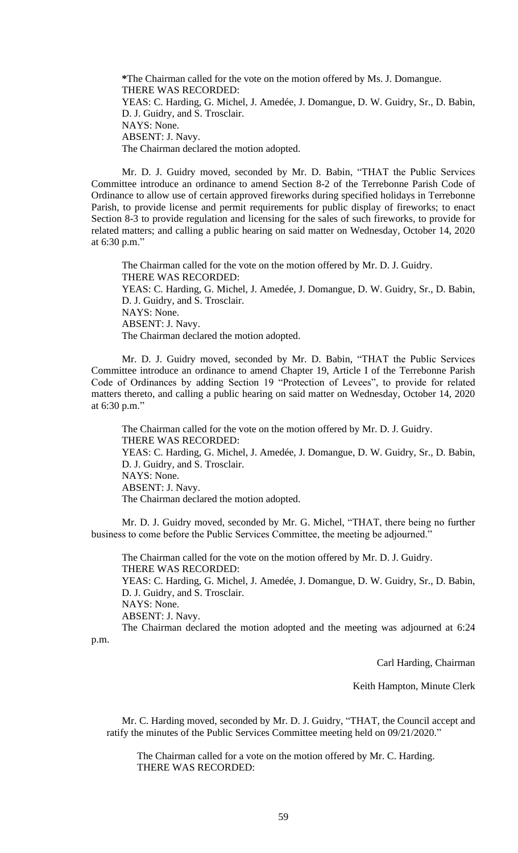**\***The Chairman called for the vote on the motion offered by Ms. J. Domangue. THERE WAS RECORDED: YEAS: C. Harding, G. Michel, J. Amedée, J. Domangue, D. W. Guidry, Sr., D. Babin, D. J. Guidry, and S. Trosclair. NAYS: None. ABSENT: J. Navy. The Chairman declared the motion adopted.

Mr. D. J. Guidry moved, seconded by Mr. D. Babin, "THAT the Public Services Committee introduce an ordinance to amend Section 8-2 of the Terrebonne Parish Code of Ordinance to allow use of certain approved fireworks during specified holidays in Terrebonne Parish, to provide license and permit requirements for public display of fireworks; to enact Section 8-3 to provide regulation and licensing for the sales of such fireworks, to provide for related matters; and calling a public hearing on said matter on Wednesday, October 14, 2020 at 6:30 p.m."

The Chairman called for the vote on the motion offered by Mr. D. J. Guidry. THERE WAS RECORDED: YEAS: C. Harding, G. Michel, J. Amedée, J. Domangue, D. W. Guidry, Sr., D. Babin, D. J. Guidry, and S. Trosclair. NAYS: None. ABSENT: J. Navy. The Chairman declared the motion adopted.

Mr. D. J. Guidry moved, seconded by Mr. D. Babin, "THAT the Public Services Committee introduce an ordinance to amend Chapter 19, Article I of the Terrebonne Parish Code of Ordinances by adding Section 19 "Protection of Levees", to provide for related matters thereto, and calling a public hearing on said matter on Wednesday, October 14, 2020 at 6:30 p.m."

The Chairman called for the vote on the motion offered by Mr. D. J. Guidry. THERE WAS RECORDED: YEAS: C. Harding, G. Michel, J. Amedée, J. Domangue, D. W. Guidry, Sr., D. Babin, D. J. Guidry, and S. Trosclair. NAYS: None. ABSENT: J. Navy. The Chairman declared the motion adopted.

Mr. D. J. Guidry moved, seconded by Mr. G. Michel, "THAT, there being no further business to come before the Public Services Committee, the meeting be adjourned."

The Chairman called for the vote on the motion offered by Mr. D. J. Guidry. THERE WAS RECORDED:

YEAS: C. Harding, G. Michel, J. Amedée, J. Domangue, D. W. Guidry, Sr., D. Babin, D. J. Guidry, and S. Trosclair.

NAYS: None.

ABSENT: J. Navy.

The Chairman declared the motion adopted and the meeting was adjourned at 6:24

p.m.

Carl Harding, Chairman

Keith Hampton, Minute Clerk

Mr. C. Harding moved, seconded by Mr. D. J. Guidry, "THAT, the Council accept and ratify the minutes of the Public Services Committee meeting held on 09/21/2020."

The Chairman called for a vote on the motion offered by Mr. C. Harding. THERE WAS RECORDED: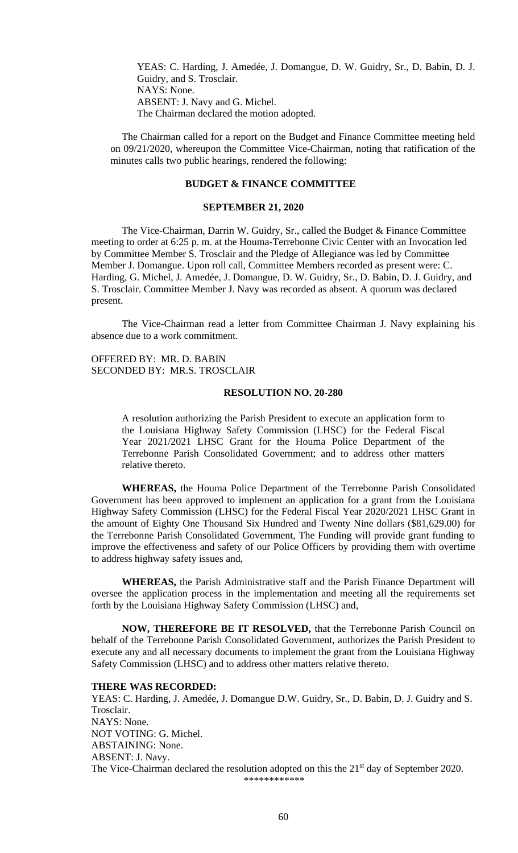YEAS: C. Harding, J. Amedée, J. Domangue, D. W. Guidry, Sr., D. Babin, D. J. Guidry, and S. Trosclair. NAYS: None. ABSENT: J. Navy and G. Michel. The Chairman declared the motion adopted.

The Chairman called for a report on the Budget and Finance Committee meeting held on 09/21/2020, whereupon the Committee Vice-Chairman, noting that ratification of the minutes calls two public hearings, rendered the following:

# **BUDGET & FINANCE COMMITTEE**

#### **SEPTEMBER 21, 2020**

The Vice-Chairman, Darrin W. Guidry, Sr., called the Budget & Finance Committee meeting to order at 6:25 p. m. at the Houma-Terrebonne Civic Center with an Invocation led by Committee Member S. Trosclair and the Pledge of Allegiance was led by Committee Member J. Domangue. Upon roll call, Committee Members recorded as present were: C. Harding, G. Michel, J. Amedée, J. Domangue, D. W. Guidry, Sr., D. Babin, D. J. Guidry, and S. Trosclair. Committee Member J. Navy was recorded as absent. A quorum was declared present.

The Vice-Chairman read a letter from Committee Chairman J. Navy explaining his absence due to a work commitment.

OFFERED BY: MR. D. BABIN SECONDED BY: MR.S. TROSCLAIR

## **RESOLUTION NO. 20-280**

A resolution authorizing the Parish President to execute an application form to the Louisiana Highway Safety Commission (LHSC) for the Federal Fiscal Year 2021/2021 LHSC Grant for the Houma Police Department of the Terrebonne Parish Consolidated Government; and to address other matters relative thereto.

**WHEREAS,** the Houma Police Department of the Terrebonne Parish Consolidated Government has been approved to implement an application for a grant from the Louisiana Highway Safety Commission (LHSC) for the Federal Fiscal Year 2020/2021 LHSC Grant in the amount of Eighty One Thousand Six Hundred and Twenty Nine dollars (\$81,629.00) for the Terrebonne Parish Consolidated Government, The Funding will provide grant funding to improve the effectiveness and safety of our Police Officers by providing them with overtime to address highway safety issues and,

**WHEREAS,** the Parish Administrative staff and the Parish Finance Department will oversee the application process in the implementation and meeting all the requirements set forth by the Louisiana Highway Safety Commission (LHSC) and,

**NOW, THEREFORE BE IT RESOLVED,** that the Terrebonne Parish Council on behalf of the Terrebonne Parish Consolidated Government, authorizes the Parish President to execute any and all necessary documents to implement the grant from the Louisiana Highway Safety Commission (LHSC) and to address other matters relative thereto.

### **THERE WAS RECORDED:**

YEAS: C. Harding, J. Amedée, J. Domangue D.W. Guidry, Sr., D. Babin, D. J. Guidry and S. Trosclair. NAYS: None. NOT VOTING: G. Michel. ABSTAINING: None. ABSENT: J. Navy. The Vice-Chairman declared the resolution adopted on this the 21<sup>st</sup> day of September 2020. \*\*\*\*\*\*\*\*\*\*\*\*

60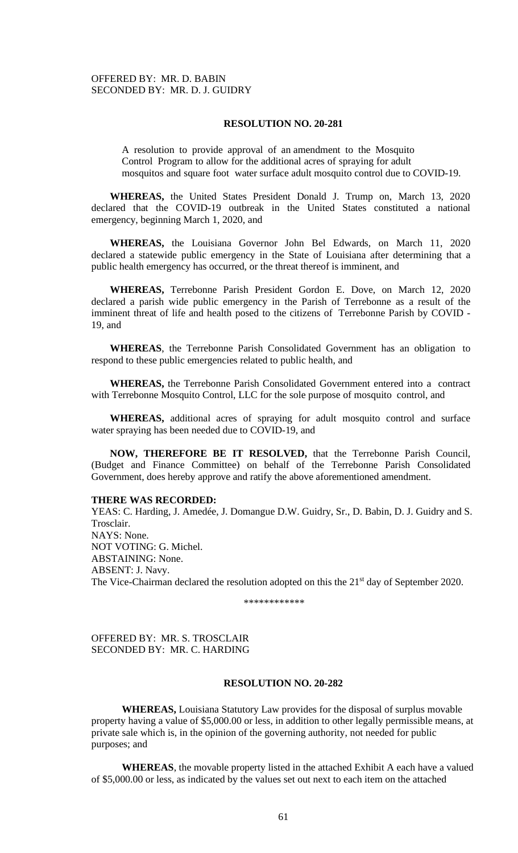### **RESOLUTION NO. 20-281**

A resolution to provide approval of an amendment to the Mosquito Control Program to allow for the additional acres of spraying for adult mosquitos and square foot water surface adult mosquito control due to COVID-19.

**WHEREAS,** the United States President Donald J. Trump on, March 13, 2020 declared that the COVID-19 outbreak in the United States constituted a national emergency, beginning March 1, 2020, and

**WHEREAS,** the Louisiana Governor John Bel Edwards, on March 11, 2020 declared a statewide public emergency in the State of Louisiana after determining that a public health emergency has occurred, or the threat thereof is imminent, and

**WHEREAS,** Terrebonne Parish President Gordon E. Dove, on March 12, 2020 declared a parish wide public emergency in the Parish of Terrebonne as a result of the imminent threat of life and health posed to the citizens of Terrebonne Parish by COVID - 19, and

**WHEREAS**, the Terrebonne Parish Consolidated Government has an obligation to respond to these public emergencies related to public health, and

**WHEREAS,** the Terrebonne Parish Consolidated Government entered into a contract with Terrebonne Mosquito Control, LLC for the sole purpose of mosquito control, and

**WHEREAS,** additional acres of spraying for adult mosquito control and surface water spraying has been needed due to COVID-19, and

**NOW, THEREFORE BE IT RESOLVED,** that the Terrebonne Parish Council, (Budget and Finance Committee) on behalf of the Terrebonne Parish Consolidated Government, does hereby approve and ratify the above aforementioned amendment.

### **THERE WAS RECORDED:**

YEAS: C. Harding, J. Amedée, J. Domangue D.W. Guidry, Sr., D. Babin, D. J. Guidry and S. Trosclair. NAYS: None. NOT VOTING: G. Michel. ABSTAINING: None. ABSENT: J. Navy. The Vice-Chairman declared the resolution adopted on this the 21<sup>st</sup> day of September 2020.

\*\*\*\*\*\*\*\*\*\*\*\*

OFFERED BY: MR. S. TROSCLAIR SECONDED BY: MR. C. HARDING

## **RESOLUTION NO. 20-282**

**WHEREAS,** Louisiana Statutory Law provides for the disposal of surplus movable property having a value of \$5,000.00 or less, in addition to other legally permissible means, at private sale which is, in the opinion of the governing authority, not needed for public purposes; and

**WHEREAS**, the movable property listed in the attached Exhibit A each have a valued of \$5,000.00 or less, as indicated by the values set out next to each item on the attached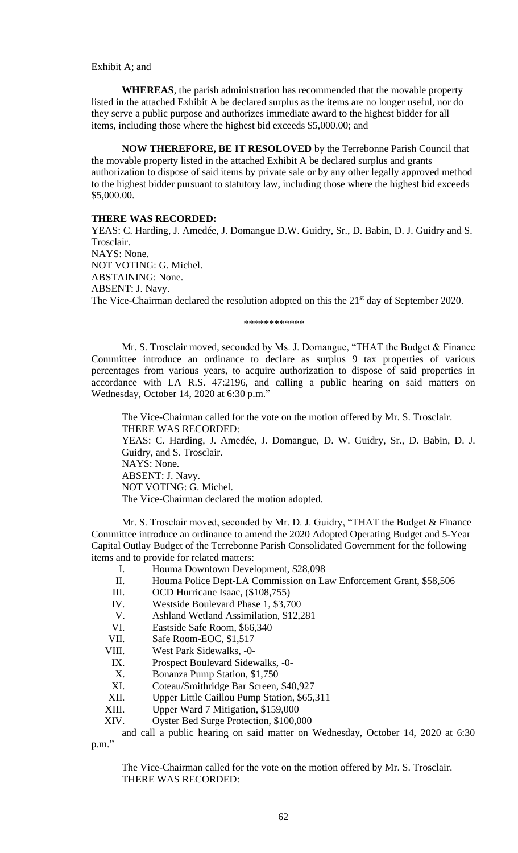#### Exhibit A; and

**WHEREAS**, the parish administration has recommended that the movable property listed in the attached Exhibit A be declared surplus as the items are no longer useful, nor do they serve a public purpose and authorizes immediate award to the highest bidder for all items, including those where the highest bid exceeds \$5,000.00; and

**NOW THEREFORE, BE IT RESOLOVED** by the Terrebonne Parish Council that the movable property listed in the attached Exhibit A be declared surplus and grants authorization to dispose of said items by private sale or by any other legally approved method to the highest bidder pursuant to statutory law, including those where the highest bid exceeds \$5,000.00.

#### **THERE WAS RECORDED:**

YEAS: C. Harding, J. Amedée, J. Domangue D.W. Guidry, Sr., D. Babin, D. J. Guidry and S. Trosclair. NAYS: None. NOT VOTING: G. Michel. ABSTAINING: None. ABSENT: J. Navy. The Vice-Chairman declared the resolution adopted on this the 21<sup>st</sup> day of September 2020.

\*\*\*\*\*\*\*\*\*\*\*\*

Mr. S. Trosclair moved, seconded by Ms. J. Domangue, "THAT the Budget & Finance Committee introduce an ordinance to declare as surplus 9 tax properties of various percentages from various years, to acquire authorization to dispose of said properties in accordance with LA R.S. 47:2196, and calling a public hearing on said matters on Wednesday, October 14, 2020 at 6:30 p.m."

The Vice-Chairman called for the vote on the motion offered by Mr. S. Trosclair. THERE WAS RECORDED: YEAS: C. Harding, J. Amedée, J. Domangue, D. W. Guidry, Sr., D. Babin, D. J. Guidry, and S. Trosclair. NAYS: None. ABSENT: J. Navy. NOT VOTING: G. Michel. The Vice-Chairman declared the motion adopted.

Mr. S. Trosclair moved, seconded by Mr. D. J. Guidry, "THAT the Budget & Finance Committee introduce an ordinance to amend the 2020 Adopted Operating Budget and 5-Year Capital Outlay Budget of the Terrebonne Parish Consolidated Government for the following items and to provide for related matters:

- I. Houma Downtown Development, \$28,098
- II. Houma Police Dept-LA Commission on Law Enforcement Grant, \$58,506
- III. OCD Hurricane Isaac, (\$108,755)
- IV. Westside Boulevard Phase 1, \$3,700
- V. Ashland Wetland Assimilation, \$12,281
- VI. Eastside Safe Room, \$66,340
- VII. Safe Room-EOC, \$1,517
- VIII. West Park Sidewalks, -0-
- IX. Prospect Boulevard Sidewalks, -0-
- X. Bonanza Pump Station, \$1,750
- XI. Coteau/Smithridge Bar Screen, \$40,927
- XII. Upper Little Caillou Pump Station, \$65,311
- XIII. Upper Ward 7 Mitigation, \$159,000
- XIV. Oyster Bed Surge Protection, \$100,000

and call a public hearing on said matter on Wednesday, October 14, 2020 at 6:30 p.m."

The Vice-Chairman called for the vote on the motion offered by Mr. S. Trosclair. THERE WAS RECORDED: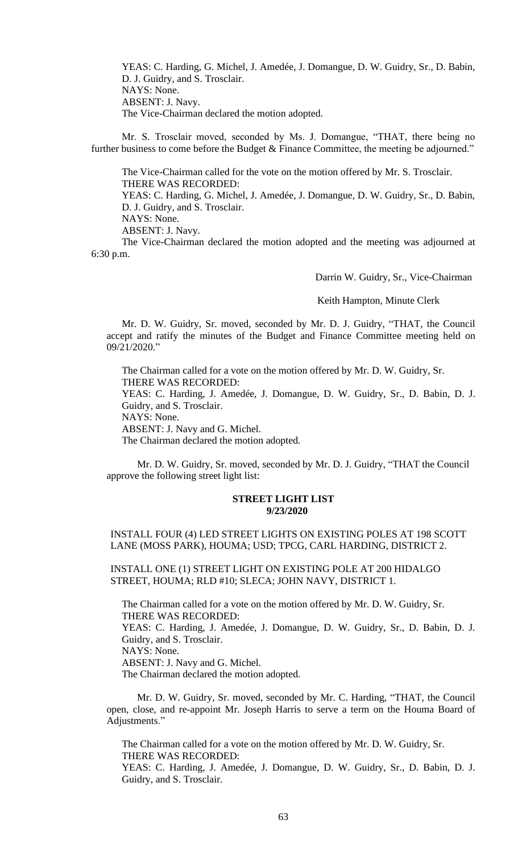YEAS: C. Harding, G. Michel, J. Amedée, J. Domangue, D. W. Guidry, Sr., D. Babin, D. J. Guidry, and S. Trosclair. NAYS: None. ABSENT: J. Navy. The Vice-Chairman declared the motion adopted.

Mr. S. Trosclair moved, seconded by Ms. J. Domangue, "THAT, there being no further business to come before the Budget & Finance Committee, the meeting be adjourned."

The Vice-Chairman called for the vote on the motion offered by Mr. S. Trosclair. THERE WAS RECORDED: YEAS: C. Harding, G. Michel, J. Amedée, J. Domangue, D. W. Guidry, Sr., D. Babin, D. J. Guidry, and S. Trosclair. NAYS: None.

ABSENT: J. Navy.

The Vice-Chairman declared the motion adopted and the meeting was adjourned at 6:30 p.m.

Darrin W. Guidry, Sr., Vice-Chairman

Keith Hampton, Minute Clerk

Mr. D. W. Guidry, Sr. moved, seconded by Mr. D. J. Guidry, "THAT, the Council accept and ratify the minutes of the Budget and Finance Committee meeting held on 09/21/2020."

The Chairman called for a vote on the motion offered by Mr. D. W. Guidry, Sr. THERE WAS RECORDED:

YEAS: C. Harding, J. Amedée, J. Domangue, D. W. Guidry, Sr., D. Babin, D. J. Guidry, and S. Trosclair.

NAYS: None.

ABSENT: J. Navy and G. Michel.

The Chairman declared the motion adopted.

Mr. D. W. Guidry, Sr. moved, seconded by Mr. D. J. Guidry, "THAT the Council approve the following street light list:

#### **STREET LIGHT LIST 9/23/2020**

# INSTALL FOUR (4) LED STREET LIGHTS ON EXISTING POLES AT 198 SCOTT LANE (MOSS PARK), HOUMA; USD; TPCG, CARL HARDING, DISTRICT 2.

INSTALL ONE (1) STREET LIGHT ON EXISTING POLE AT 200 HIDALGO STREET, HOUMA; RLD #10; SLECA; JOHN NAVY, DISTRICT 1.

The Chairman called for a vote on the motion offered by Mr. D. W. Guidry, Sr. THERE WAS RECORDED: YEAS: C. Harding, J. Amedée, J. Domangue, D. W. Guidry, Sr., D. Babin, D. J. Guidry, and S. Trosclair. NAYS: None. ABSENT: J. Navy and G. Michel. The Chairman declared the motion adopted.

Mr. D. W. Guidry, Sr. moved, seconded by Mr. C. Harding, "THAT, the Council open, close, and re-appoint Mr. Joseph Harris to serve a term on the Houma Board of Adjustments."

The Chairman called for a vote on the motion offered by Mr. D. W. Guidry, Sr. THERE WAS RECORDED: YEAS: C. Harding, J. Amedée, J. Domangue, D. W. Guidry, Sr., D. Babin, D. J.

Guidry, and S. Trosclair.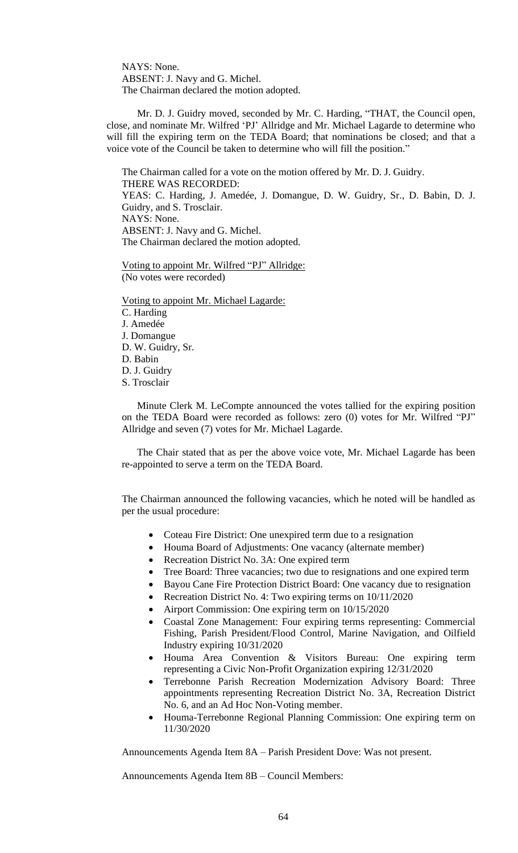NAYS: None. ABSENT: J. Navy and G. Michel. The Chairman declared the motion adopted.

Mr. D. J. Guidry moved, seconded by Mr. C. Harding, "THAT, the Council open, close, and nominate Mr. Wilfred 'PJ' Allridge and Mr. Michael Lagarde to determine who will fill the expiring term on the TEDA Board; that nominations be closed; and that a voice vote of the Council be taken to determine who will fill the position."

The Chairman called for a vote on the motion offered by Mr. D. J. Guidry. THERE WAS RECORDED: YEAS: C. Harding, J. Amedée, J. Domangue, D. W. Guidry, Sr., D. Babin, D. J. Guidry, and S. Trosclair. NAYS: None. ABSENT: J. Navy and G. Michel. The Chairman declared the motion adopted.

Voting to appoint Mr. Wilfred "PJ" Allridge: (No votes were recorded)

Voting to appoint Mr. Michael Lagarde: C. Harding J. Amedée J. Domangue D. W. Guidry, Sr. D. Babin D. J. Guidry S. Trosclair

Minute Clerk M. LeCompte announced the votes tallied for the expiring position on the TEDA Board were recorded as follows: zero (0) votes for Mr. Wilfred "PJ" Allridge and seven (7) votes for Mr. Michael Lagarde.

The Chair stated that as per the above voice vote, Mr. Michael Lagarde has been re-appointed to serve a term on the TEDA Board.

The Chairman announced the following vacancies, which he noted will be handled as per the usual procedure:

- Coteau Fire District: One unexpired term due to a resignation
- Houma Board of Adjustments: One vacancy (alternate member)
- Recreation District No. 3A: One expired term
- Tree Board: Three vacancies; two due to resignations and one expired term
- Bayou Cane Fire Protection District Board: One vacancy due to resignation
- Recreation District No. 4: Two expiring terms on  $10/11/2020$
- Airport Commission: One expiring term on 10/15/2020
- Coastal Zone Management: Four expiring terms representing: Commercial Fishing, Parish President/Flood Control, Marine Navigation, and Oilfield Industry expiring 10/31/2020
- Houma Area Convention & Visitors Bureau: One expiring term representing a Civic Non-Profit Organization expiring 12/31/2020
- Terrebonne Parish Recreation Modernization Advisory Board: Three appointments representing Recreation District No. 3A, Recreation District No. 6, and an Ad Hoc Non-Voting member.
- Houma-Terrebonne Regional Planning Commission: One expiring term on 11/30/2020

Announcements Agenda Item 8A – Parish President Dove: Was not present.

Announcements Agenda Item 8B – Council Members: